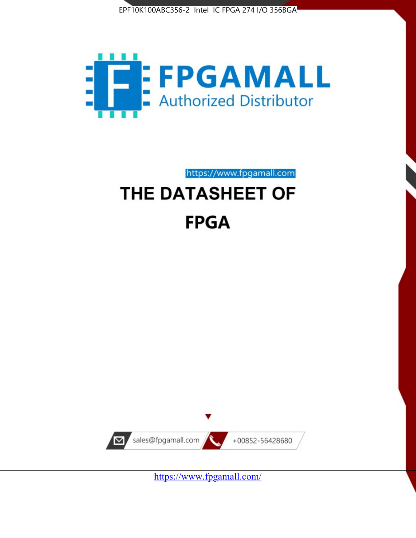



https://www.fpgamall.com

# THE DATASHEET OF **FPGA**



<https://www.fpgamall.com/>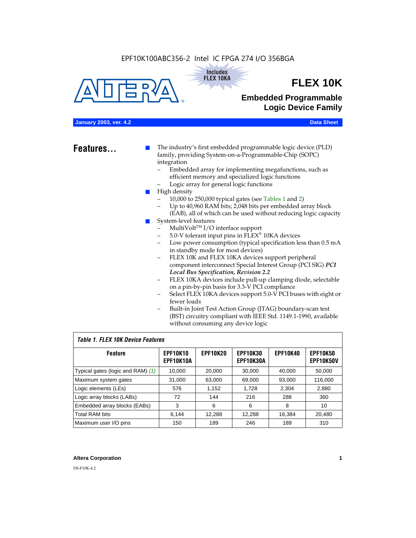## EPF10K100ABC356-2 Intel IC FPGA 274 I/O 356BGA





## **FLEX 10K**

## **Embedded Programmable Logic Device Family**

## **January 2003, ver. 4.2 Data Sheet**

**Features...** ■ The industry's first embedded programmable logic device (PLD) family, providing System-on-a-Programmable-Chip (SOPC) integration

- Embedded array for implementing megafunctions, such as efficient memory and specialized logic functions
- Logic array for general logic functions
- High density
	- 10,000 to 250,000 typical gates (see Tables 1 and 2)
	- Up to 40,960 RAM bits; 2,048 bits per embedded array block (EAB), all of which can be used without reducing logic capacity
- System-level features
	- $MultiVolt<sup>TM</sup> I/O interface support$
	- 5.0-V tolerant input pins in FLEX® 10KA devices
	- Low power consumption (typical specification less than 0.5 mA in standby mode for most devices)
	- FLEX 10K and FLEX 10KA devices support peripheral component interconnect Special Interest Group (PCI SIG) *PCI Local Bus Specification, Revision 2.2*
	- FLEX 10KA devices include pull-up clamping diode, selectable on a pin-by-pin basis for 3.3-V PCI compliance
	- Select FLEX 10KA devices support 5.0-V PCI buses with eight or fewer loads
	- Built-in Joint Test Action Group (JTAG) boundary-scan test (BST) circuitry compliant with IEEE Std. 1149.1-1990, available without consuming any device logic

## *Table 1. FLEX 10K Device Features*

| <b>Feature</b>                    | <b>EPF10K10</b><br>EPF10K10A | <b>EPF10K20</b> | <b>EPF10K30</b><br><b>EPF10K30A</b> | <b>EPF10K40</b> | <b>EPF10K50</b><br><b>EPF10K50V</b> |
|-----------------------------------|------------------------------|-----------------|-------------------------------------|-----------------|-------------------------------------|
| Typical gates (logic and RAM) (1) | 10,000                       | 20,000          | 30,000                              | 40,000          | 50,000                              |
| Maximum system gates              | 31,000                       | 63,000          | 69,000                              | 93,000          | 116,000                             |
| Logic elements (LEs)              | 576                          | 1,152           | 1.728                               | 2.304           | 2,880                               |
| Logic array blocks (LABs)         | 72                           | 144             | 216                                 | 288             | 360                                 |
| Embedded array blocks (EABs)      | 3                            | 6               | 6                                   | 8               | 10                                  |
| <b>Total RAM bits</b>             | 6.144                        | 12,288          | 12,288                              | 16,384          | 20,480                              |
| Maximum user I/O pins             | 150                          | 189             | 246                                 | 189             | 310                                 |

## **Altera Corporation 1**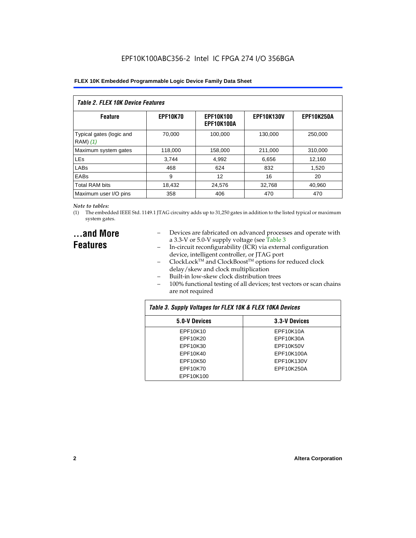| Table 2. FLEX 10K Device Features    |                 |                                |                   |                   |  |
|--------------------------------------|-----------------|--------------------------------|-------------------|-------------------|--|
| <b>Feature</b>                       | <b>EPF10K70</b> | <b>EPF10K100</b><br>EPF10K100A | <b>EPF10K130V</b> | <b>EPF10K250A</b> |  |
| Typical gates (logic and<br>RAM) (1) | 70.000          | 100.000                        | 130.000           | 250,000           |  |
| Maximum system gates                 | 118,000         | 158,000                        | 211,000           | 310,000           |  |
| <b>LEs</b>                           | 3.744           | 4,992                          | 6,656             | 12,160            |  |
| LABs                                 | 468             | 624                            | 832               | 1,520             |  |
| EABs                                 | 9               | 12                             | 16                | 20                |  |
| <b>Total RAM bits</b>                | 18,432          | 24,576                         | 32,768            | 40,960            |  |
| Maximum user I/O pins                | 358             | 406                            | 470               | 470               |  |

#### *Note to tables:*

(1) The embedded IEEE Std. 1149.1 JTAG circuitry adds up to 31,250 gates in addition to the listed typical or maximum system gates.

## **...and More Features**

- Devices are fabricated on advanced processes and operate with a 3.3-V or 5.0-V supply voltage (see Table 3
- In-circuit reconfigurability (ICR) via external configuration device, intelligent controller, or JTAG port
- $ClockLock^{TM}$  and  $ClockBoost^{TM}$  options for reduced clock delay/skew and clock multiplication
- Built-in low-skew clock distribution trees
- 100% functional testing of all devices; test vectors or scan chains are not required

| Table 3. Supply Voltages for FLEX 10K & FLEX 10KA Devices |               |  |  |  |
|-----------------------------------------------------------|---------------|--|--|--|
| 5.0-V Devices                                             | 3.3-V Devices |  |  |  |
| EPF10K10                                                  | EPF10K10A     |  |  |  |
| EPF10K20                                                  | EPF10K30A     |  |  |  |
| EPF10K30                                                  | EPF10K50V     |  |  |  |
| EPF10K40                                                  | EPF10K100A    |  |  |  |
| EPF10K50                                                  | EPF10K130V    |  |  |  |
| EPF10K70                                                  | EPF10K250A    |  |  |  |
| EPF10K100                                                 |               |  |  |  |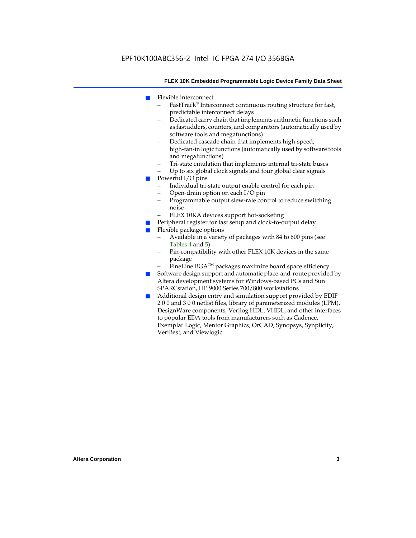- Flexible interconnect
	- FastTrack® Interconnect continuous routing structure for fast, predictable interconnect delays
	- Dedicated carry chain that implements arithmetic functions such as fast adders, counters, and comparators (automatically used by software tools and megafunctions)
	- Dedicated cascade chain that implements high-speed, high-fan-in logic functions (automatically used by software tools and megafunctions)
	- Tri-state emulation that implements internal tri-state buses
	- Up to six global clock signals and four global clear signals
- Powerful I/O pins
	- Individual tri-state output enable control for each pin
	- Open-drain option on each I/O pin
	- Programmable output slew-rate control to reduce switching noise
	- FLEX 10KA devices support hot-socketing
- Peripheral register for fast setup and clock-to-output delay
- Flexible package options
	- Available in a variety of packages with 84 to 600 pins (see Tables 4 and 5)
	- Pin-compatibility with other FLEX 10K devices in the same package
	- FineLine BGA<sup>TM</sup> packages maximize board space efficiency
- Software design support and automatic place-and-route provided by Altera development systems for Windows-based PCs and Sun SPARCstation, HP 9000 Series 700/800 workstations
- Additional design entry and simulation support provided by EDIF 2 0 0 and 3 0 0 netlist files, library of parameterized modules (LPM), DesignWare components, Verilog HDL, VHDL, and other interfaces to popular EDA tools from manufacturers such as Cadence, Exemplar Logic, Mentor Graphics, OrCAD, Synopsys, Synplicity, VeriBest, and Viewlogic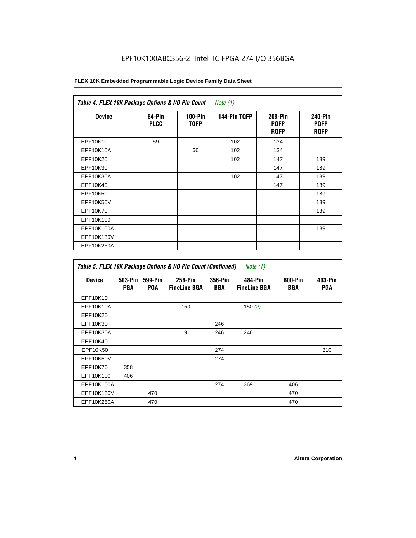## EPF10K100ABC356-2 Intel IC FPGA 274 I/O 356BGA

## **FLEX 10K Embedded Programmable Logic Device Family Data Sheet**

| <b>Device</b> | 84-Pin<br><b>PLCC</b> | $100-Pin$<br><b>TQFP</b> | 144-Pin TQFP | 208-Pin<br><b>PQFP</b><br><b>ROFP</b> | <b>240-Pin</b><br><b>PQFP</b><br><b>RQFP</b> |
|---------------|-----------------------|--------------------------|--------------|---------------------------------------|----------------------------------------------|
| EPF10K10      | 59                    |                          | 102          | 134                                   |                                              |
| EPF10K10A     |                       | 66                       | 102          | 134                                   |                                              |
| EPF10K20      |                       |                          | 102          | 147                                   | 189                                          |
| EPF10K30      |                       |                          |              | 147                                   | 189                                          |
| EPF10K30A     |                       |                          | 102          | 147                                   | 189                                          |
| EPF10K40      |                       |                          |              | 147                                   | 189                                          |
| EPF10K50      |                       |                          |              |                                       | 189                                          |
| EPF10K50V     |                       |                          |              |                                       | 189                                          |
| EPF10K70      |                       |                          |              |                                       | 189                                          |
| EPF10K100     |                       |                          |              |                                       |                                              |
| EPF10K100A    |                       |                          |              |                                       | 189                                          |
| EPF10K130V    |                       |                          |              |                                       |                                              |
| EPF10K250A    |                       |                          |              |                                       |                                              |

| Table 5. FLEX 10K Package Options & I/O Pin Count (Continued)<br>Note $(1)$ |                       |                       |                                |                       |                                |                |                       |
|-----------------------------------------------------------------------------|-----------------------|-----------------------|--------------------------------|-----------------------|--------------------------------|----------------|-----------------------|
| <b>Device</b>                                                               | 503-Pin<br><b>PGA</b> | 599-Pin<br><b>PGA</b> | 256-Pin<br><b>FineLine BGA</b> | 356-Pin<br><b>BGA</b> | 484-Pin<br><b>FineLine BGA</b> | 600-Pin<br>BGA | 403-Pin<br><b>PGA</b> |
| EPF10K10                                                                    |                       |                       |                                |                       |                                |                |                       |
| EPF10K10A                                                                   |                       |                       | 150                            |                       | 150 $(2)$                      |                |                       |
| EPF10K20                                                                    |                       |                       |                                |                       |                                |                |                       |
| EPF10K30                                                                    |                       |                       |                                | 246                   |                                |                |                       |
| EPF10K30A                                                                   |                       |                       | 191                            | 246                   | 246                            |                |                       |
| EPF10K40                                                                    |                       |                       |                                |                       |                                |                |                       |
| EPF10K50                                                                    |                       |                       |                                | 274                   |                                |                | 310                   |
| EPF10K50V                                                                   |                       |                       |                                | 274                   |                                |                |                       |
| EPF10K70                                                                    | 358                   |                       |                                |                       |                                |                |                       |
| EPF10K100                                                                   | 406                   |                       |                                |                       |                                |                |                       |
| EPF10K100A                                                                  |                       |                       |                                | 274                   | 369                            | 406            |                       |
| EPF10K130V                                                                  |                       | 470                   |                                |                       |                                | 470            |                       |
| EPF10K250A                                                                  |                       | 470                   |                                |                       |                                | 470            |                       |

 $\mathbf{r}$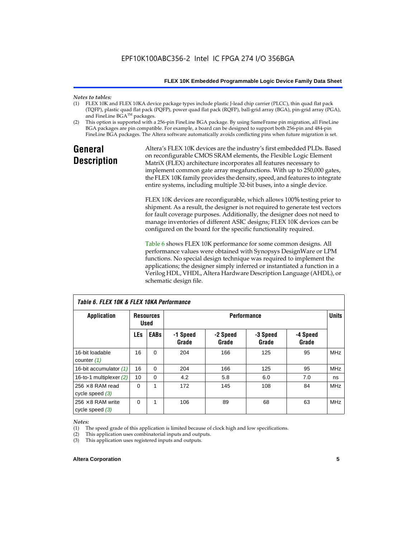## *Notes to tables:*

- FLEX 10K and FLEX 10KA device package types include plastic J-lead chip carrier (PLCC), thin quad flat pack (TQFP), plastic quad flat pack (PQFP), power quad flat pack (RQFP), ball-grid array (BGA), pin-grid array (PGA), and FineLine BGA™ packages.
- (2) This option is supported with a 256-pin FineLine BGA package. By using SameFrame pin migration, all FineLine BGA packages are pin compatible. For example, a board can be designed to support both 256-pin and 484-pin FineLine BGA packages. The Altera software automatically avoids conflicting pins when future migration is set.

## **General Description**

Altera's FLEX 10K devices are the industry's first embedded PLDs. Based on reconfigurable CMOS SRAM elements, the Flexible Logic Element MatriX (FLEX) architecture incorporates all features necessary to implement common gate array megafunctions. With up to 250,000 gates, the FLEX 10K family provides the density, speed, and features to integrate entire systems, including multiple 32-bit buses, into a single device.

FLEX 10K devices are reconfigurable, which allows 100% testing prior to shipment. As a result, the designer is not required to generate test vectors for fault coverage purposes. Additionally, the designer does not need to manage inventories of different ASIC designs; FLEX 10K devices can be configured on the board for the specific functionality required.

Table 6 shows FLEX 10K performance for some common designs. All performance values were obtained with Synopsys DesignWare or LPM functions. No special design technique was required to implement the applications; the designer simply inferred or instantiated a function in a Verilog HDL, VHDL, Altera Hardware Description Language (AHDL), or schematic design file.

| TADIE D. FLEA TUN & FLEA TUNA FEITUITITAIICE  |                                                       |             |                   |                   |                   |                   |            |
|-----------------------------------------------|-------------------------------------------------------|-------------|-------------------|-------------------|-------------------|-------------------|------------|
| Application                                   | <b>Performance</b><br><b>Resources</b><br><b>Used</b> |             |                   |                   |                   | <b>Units</b>      |            |
|                                               | <b>LEs</b>                                            | <b>EABs</b> | -1 Speed<br>Grade | -2 Speed<br>Grade | -3 Speed<br>Grade | -4 Speed<br>Grade |            |
| 16-bit loadable<br>counter $(1)$              | 16                                                    | $\mathbf 0$ | 204               | 166               | 125               | 95                | <b>MHz</b> |
| 16-bit accumulator (1)                        | 16                                                    | $\Omega$    | 204               | 166               | 125               | 95                | <b>MHz</b> |
| 16-to-1 multiplexer $(2)$                     | 10                                                    | $\Omega$    | 4.2               | 5.8               | 6.0               | 7.0               | ns         |
| $256 \times 8$ RAM read<br>cycle speed $(3)$  | $\Omega$                                              | 1           | 172               | 145               | 108               | 84                | <b>MHz</b> |
| $256 \times 8$ RAM write<br>cycle speed $(3)$ | 0                                                     | 1           | 106               | 89                | 68                | 63                | <b>MHz</b> |

*Table 6. FLEX 10K & FLEX 10KA Performance*

#### *Notes:*

(1) The speed grade of this application is limited because of clock high and low specifications.

(2) This application uses combinatorial inputs and outputs.

(3) This application uses registered inputs and outputs.

#### **Altera Corporation 5**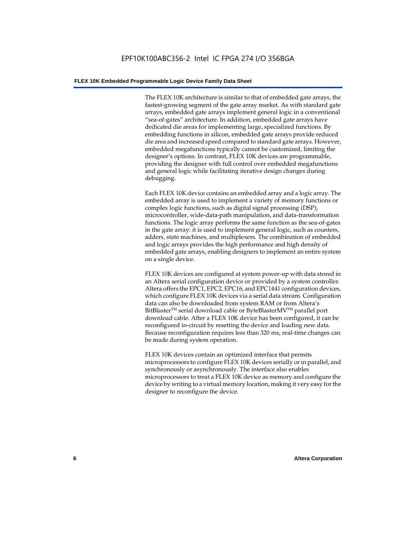The FLEX 10K architecture is similar to that of embedded gate arrays, the fastest-growing segment of the gate array market. As with standard gate arrays, embedded gate arrays implement general logic in a conventional "sea-of-gates" architecture. In addition, embedded gate arrays have dedicated die areas for implementing large, specialized functions. By embedding functions in silicon, embedded gate arrays provide reduced die area and increased speed compared to standard gate arrays. However, embedded megafunctions typically cannot be customized, limiting the designer's options. In contrast, FLEX 10K devices are programmable, providing the designer with full control over embedded megafunctions and general logic while facilitating iterative design changes during debugging.

Each FLEX 10K device contains an embedded array and a logic array. The embedded array is used to implement a variety of memory functions or complex logic functions, such as digital signal processing (DSP), microcontroller, wide-data-path manipulation, and data-transformation functions. The logic array performs the same function as the sea-of-gates in the gate array: it is used to implement general logic, such as counters, adders, state machines, and multiplexers. The combination of embedded and logic arrays provides the high performance and high density of embedded gate arrays, enabling designers to implement an entire system on a single device.

FLEX 10K devices are configured at system power-up with data stored in an Altera serial configuration device or provided by a system controller. Altera offers the EPC1, EPC2, EPC16, and EPC1441 configuration devices, which configure FLEX 10K devices via a serial data stream. Configuration data can also be downloaded from system RAM or from Altera's BitBlaster<sup>™</sup> serial download cable or ByteBlasterMV<sup>™</sup> parallel port download cable. After a FLEX 10K device has been configured, it can be reconfigured in-circuit by resetting the device and loading new data. Because reconfiguration requires less than 320 ms, real-time changes can be made during system operation.

FLEX 10K devices contain an optimized interface that permits microprocessors to configure FLEX 10K devices serially or in parallel, and synchronously or asynchronously. The interface also enables microprocessors to treat a FLEX 10K device as memory and configure the device by writing to a virtual memory location, making it very easy for the designer to reconfigure the device.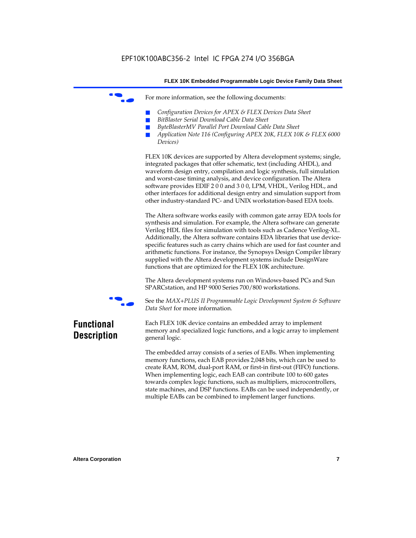For more information, see the following documents:

- *Configuration Devices for APEX & FLEX Devices Data Sheet*
- $BitBlaster$  Serial Download Cable Data Sheet
- *ByteBlasterMV Parallel Port Download Cable Data Sheet*
- *Application Note 116 (Configuring APEX 20K, FLEX 10K & FLEX 6000 Devices)*

FLEX 10K devices are supported by Altera development systems; single, integrated packages that offer schematic, text (including AHDL), and waveform design entry, compilation and logic synthesis, full simulation and worst-case timing analysis, and device configuration. The Altera software provides EDIF 2 0 0 and 3 0 0, LPM, VHDL, Verilog HDL, and other interfaces for additional design entry and simulation support from other industry-standard PC- and UNIX workstation-based EDA tools.

The Altera software works easily with common gate array EDA tools for synthesis and simulation. For example, the Altera software can generate Verilog HDL files for simulation with tools such as Cadence Verilog-XL. Additionally, the Altera software contains EDA libraries that use devicespecific features such as carry chains which are used for fast counter and arithmetic functions. For instance, the Synopsys Design Compiler library supplied with the Altera development systems include DesignWare functions that are optimized for the FLEX 10K architecture.

The Altera development systems run on Windows-based PCs and Sun SPARCstation, and HP 9000 Series 700/800 workstations.



f See the *MAX+PLUS II Programmable Logic Development System & Software Data Sheet* for more information.

## **Functional Description**

Each FLEX 10K device contains an embedded array to implement memory and specialized logic functions, and a logic array to implement general logic.

The embedded array consists of a series of EABs. When implementing memory functions, each EAB provides 2,048 bits, which can be used to create RAM, ROM, dual-port RAM, or first-in first-out (FIFO) functions. When implementing logic, each EAB can contribute 100 to 600 gates towards complex logic functions, such as multipliers, microcontrollers, state machines, and DSP functions. EABs can be used independently, or multiple EABs can be combined to implement larger functions.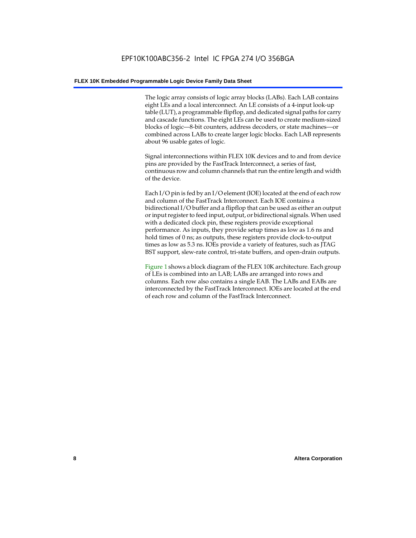The logic array consists of logic array blocks (LABs). Each LAB contains eight LEs and a local interconnect. An LE consists of a 4-input look-up table (LUT), a programmable flipflop, and dedicated signal paths for carry and cascade functions. The eight LEs can be used to create medium-sized blocks of logic—8-bit counters, address decoders, or state machines—or combined across LABs to create larger logic blocks. Each LAB represents about 96 usable gates of logic.

Signal interconnections within FLEX 10K devices and to and from device pins are provided by the FastTrack Interconnect, a series of fast, continuous row and column channels that run the entire length and width of the device.

Each I/O pin is fed by an I/O element (IOE) located at the end of each row and column of the FastTrack Interconnect. Each IOE contains a bidirectional I/O buffer and a flipflop that can be used as either an output or input register to feed input, output, or bidirectional signals. When used with a dedicated clock pin, these registers provide exceptional performance. As inputs, they provide setup times as low as 1.6 ns and hold times of 0 ns; as outputs, these registers provide clock-to-output times as low as 5.3 ns. IOEs provide a variety of features, such as JTAG BST support, slew-rate control, tri-state buffers, and open-drain outputs.

Figure 1 shows a block diagram of the FLEX 10K architecture. Each group of LEs is combined into an LAB; LABs are arranged into rows and columns. Each row also contains a single EAB. The LABs and EABs are interconnected by the FastTrack Interconnect. IOEs are located at the end of each row and column of the FastTrack Interconnect.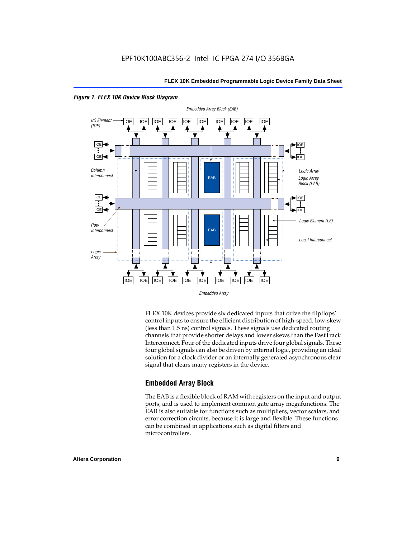

#### *Figure 1. FLEX 10K Device Block Diagram*

FLEX 10K devices provide six dedicated inputs that drive the flipflops' control inputs to ensure the efficient distribution of high-speed, low-skew (less than 1.5 ns) control signals. These signals use dedicated routing channels that provide shorter delays and lower skews than the FastTrack Interconnect. Four of the dedicated inputs drive four global signals. These four global signals can also be driven by internal logic, providing an ideal solution for a clock divider or an internally generated asynchronous clear signal that clears many registers in the device.

## **Embedded Array Block**

The EAB is a flexible block of RAM with registers on the input and output ports, and is used to implement common gate array megafunctions. The EAB is also suitable for functions such as multipliers, vector scalars, and error correction circuits, because it is large and flexible. These functions can be combined in applications such as digital filters and microcontrollers.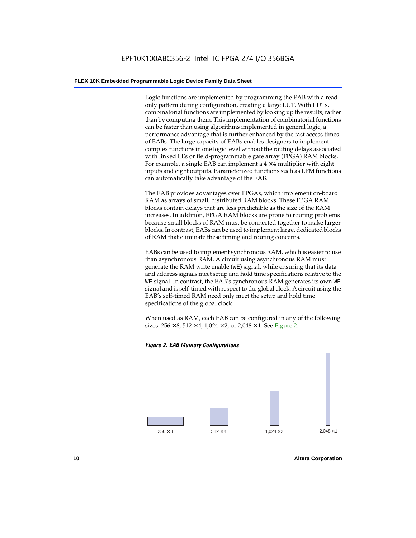Logic functions are implemented by programming the EAB with a readonly pattern during configuration, creating a large LUT. With LUTs, combinatorial functions are implemented by looking up the results, rather than by computing them. This implementation of combinatorial functions can be faster than using algorithms implemented in general logic, a performance advantage that is further enhanced by the fast access times of EABs. The large capacity of EABs enables designers to implement complex functions in one logic level without the routing delays associated with linked LEs or field-programmable gate array (FPGA) RAM blocks. For example, a single EAB can implement a  $4 \times 4$  multiplier with eight inputs and eight outputs. Parameterized functions such as LPM functions can automatically take advantage of the EAB.

The EAB provides advantages over FPGAs, which implement on-board RAM as arrays of small, distributed RAM blocks. These FPGA RAM blocks contain delays that are less predictable as the size of the RAM increases. In addition, FPGA RAM blocks are prone to routing problems because small blocks of RAM must be connected together to make larger blocks. In contrast, EABs can be used to implement large, dedicated blocks of RAM that eliminate these timing and routing concerns.

EABs can be used to implement synchronous RAM, which is easier to use than asynchronous RAM. A circuit using asynchronous RAM must generate the RAM write enable (WE) signal, while ensuring that its data and address signals meet setup and hold time specifications relative to the WE signal. In contrast, the EAB's synchronous RAM generates its own WE signal and is self-timed with respect to the global clock. A circuit using the EAB's self-timed RAM need only meet the setup and hold time specifications of the global clock.

When used as RAM, each EAB can be configured in any of the following sizes:  $256 \times 8$ ,  $512 \times 4$ ,  $1,024 \times 2$ , or  $2,048 \times 1$ . See Figure 2.



**10 Altera Corporation**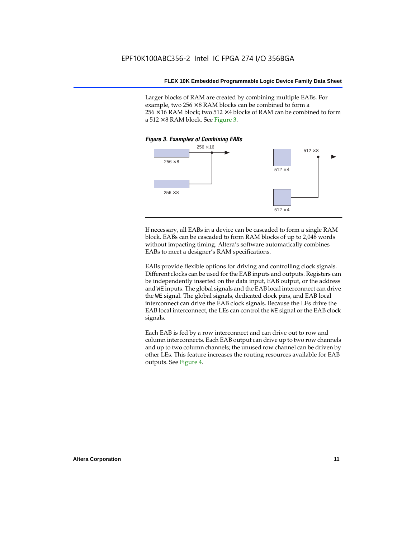Larger blocks of RAM are created by combining multiple EABs. For example, two  $256 \times 8$  RAM blocks can be combined to form a  $256 \times 16$  RAM block; two 512  $\times$  4 blocks of RAM can be combined to form a  $512 \times 8$  RAM block. See Figure 3.



If necessary, all EABs in a device can be cascaded to form a single RAM block. EABs can be cascaded to form RAM blocks of up to 2,048 words without impacting timing. Altera's software automatically combines EABs to meet a designer's RAM specifications.

EABs provide flexible options for driving and controlling clock signals. Different clocks can be used for the EAB inputs and outputs. Registers can be independently inserted on the data input, EAB output, or the address and WE inputs. The global signals and the EAB local interconnect can drive the WE signal. The global signals, dedicated clock pins, and EAB local interconnect can drive the EAB clock signals. Because the LEs drive the EAB local interconnect, the LEs can control the WE signal or the EAB clock signals.

Each EAB is fed by a row interconnect and can drive out to row and column interconnects. Each EAB output can drive up to two row channels and up to two column channels; the unused row channel can be driven by other LEs. This feature increases the routing resources available for EAB outputs. See Figure 4.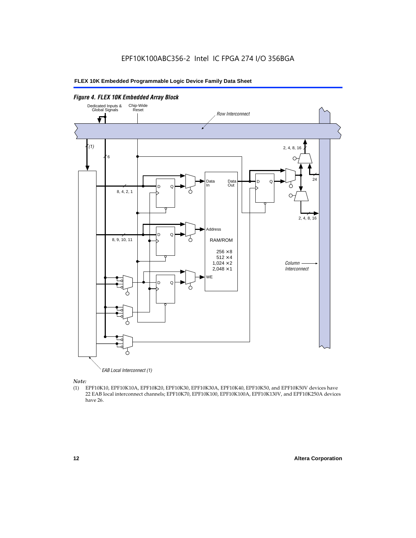

## EAB Local Interconnect (1)

*Note:*<br>(1) **H** 

(1) EPF10K10, EPF10K10A, EPF10K20, EPF10K30, EPF10K30A, EPF10K40, EPF10K50, and EPF10K50V devices have 22 EAB local interconnect channels; EPF10K70, EPF10K100, EPF10K100A, EPF10K130V, and EPF10K250A devices have 26.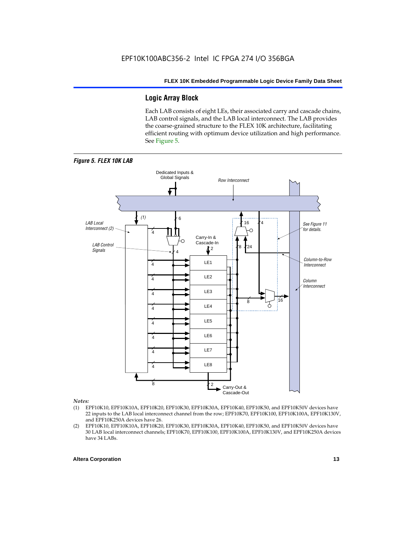## **Logic Array Block**

Each LAB consists of eight LEs, their associated carry and cascade chains, LAB control signals, and the LAB local interconnect. The LAB provides the coarse-grained structure to the FLEX 10K architecture, facilitating efficient routing with optimum device utilization and high performance. See Figure 5.



#### *Notes:*

- (1) EPF10K10, EPF10K10A, EPF10K20, EPF10K30, EPF10K30A, EPF10K40, EPF10K50, and EPF10K50V devices have 22 inputs to the LAB local interconnect channel from the row; EPF10K70, EPF10K100, EPF10K100A, EPF10K130V, and EPF10K250A devices have 26.
- (2) EPF10K10, EPF10K10A, EPF10K20, EPF10K30, EPF10K30A, EPF10K40, EPF10K50, and EPF10K50V devices have 30 LAB local interconnect channels; EPF10K70, EPF10K100, EPF10K100A, EPF10K130V, and EPF10K250A devices have 34 LABs.

#### **Altera Corporation 13 13**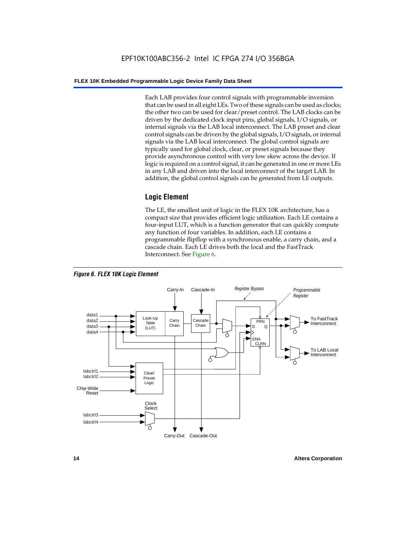Each LAB provides four control signals with programmable inversion that can be used in all eight LEs. Two of these signals can be used as clocks; the other two can be used for clear/preset control. The LAB clocks can be driven by the dedicated clock input pins, global signals, I/O signals, or internal signals via the LAB local interconnect. The LAB preset and clear control signals can be driven by the global signals, I/O signals, or internal signals via the LAB local interconnect. The global control signals are typically used for global clock, clear, or preset signals because they provide asynchronous control with very low skew across the device. If logic is required on a control signal, it can be generated in one or more LEs in any LAB and driven into the local interconnect of the target LAB. In addition, the global control signals can be generated from LE outputs.

## **Logic Element**

The LE, the smallest unit of logic in the FLEX 10K architecture, has a compact size that provides efficient logic utilization. Each LE contains a four-input LUT, which is a function generator that can quickly compute any function of four variables. In addition, each LE contains a programmable flipflop with a synchronous enable, a carry chain, and a cascade chain. Each LE drives both the local and the FastTrack Interconnect. See Figure 6.



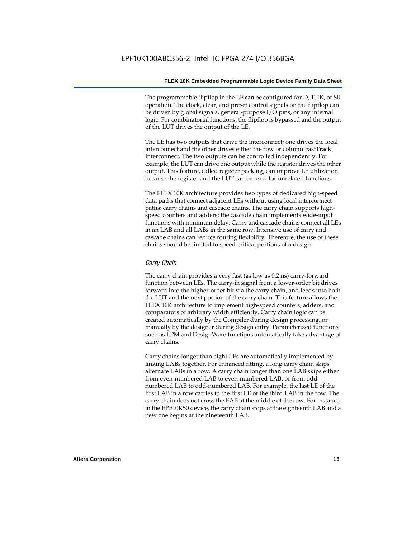The programmable flipflop in the LE can be configured for D, T, JK, or SR operation. The clock, clear, and preset control signals on the flipflop can be driven by global signals, general-purpose I/O pins, or any internal logic. For combinatorial functions, the flipflop is bypassed and the output of the LUT drives the output of the LE.

The LE has two outputs that drive the interconnect; one drives the local interconnect and the other drives either the row or column FastTrack Interconnect. The two outputs can be controlled independently. For example, the LUT can drive one output while the register drives the other output. This feature, called register packing, can improve LE utilization because the register and the LUT can be used for unrelated functions.

The FLEX 10K architecture provides two types of dedicated high-speed data paths that connect adjacent LEs without using local interconnect paths: carry chains and cascade chains. The carry chain supports highspeed counters and adders; the cascade chain implements wide-input functions with minimum delay. Carry and cascade chains connect all LEs in an LAB and all LABs in the same row. Intensive use of carry and cascade chains can reduce routing flexibility. Therefore, the use of these chains should be limited to speed-critical portions of a design.

## *Carry Chain*

The carry chain provides a very fast (as low as 0.2 ns) carry-forward function between LEs. The carry-in signal from a lower-order bit drives forward into the higher-order bit via the carry chain, and feeds into both the LUT and the next portion of the carry chain. This feature allows the FLEX 10K architecture to implement high-speed counters, adders, and comparators of arbitrary width efficiently. Carry chain logic can be created automatically by the Compiler during design processing, or manually by the designer during design entry. Parameterized functions such as LPM and DesignWare functions automatically take advantage of carry chains.

Carry chains longer than eight LEs are automatically implemented by linking LABs together. For enhanced fitting, a long carry chain skips alternate LABs in a row. A carry chain longer than one LAB skips either from even-numbered LAB to even-numbered LAB, or from oddnumbered LAB to odd-numbered LAB. For example, the last LE of the first LAB in a row carries to the first LE of the third LAB in the row. The carry chain does not cross the EAB at the middle of the row. For instance, in the EPF10K50 device, the carry chain stops at the eighteenth LAB and a new one begins at the nineteenth LAB.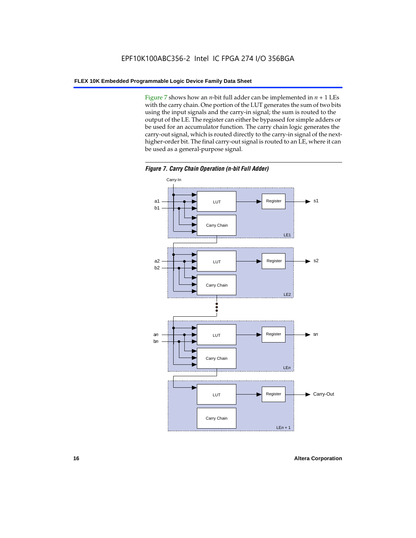Figure 7 shows how an *n*-bit full adder can be implemented in  $n + 1$  LEs with the carry chain. One portion of the LUT generates the sum of two bits using the input signals and the carry-in signal; the sum is routed to the output of the LE. The register can either be bypassed for simple adders or be used for an accumulator function. The carry chain logic generates the carry-out signal, which is routed directly to the carry-in signal of the nexthigher-order bit. The final carry-out signal is routed to an LE, where it can be used as a general-purpose signal.



*Figure 7. Carry Chain Operation (n-bit Full Adder)*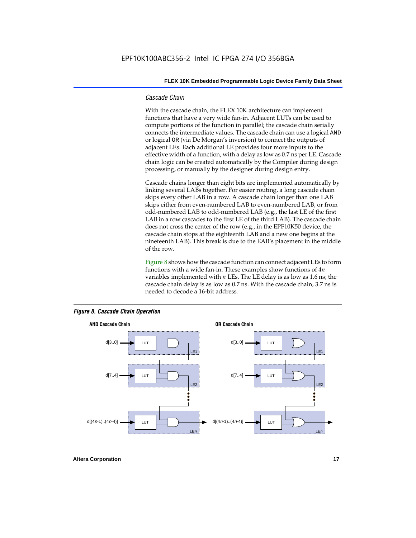#### *Cascade Chain*

With the cascade chain, the FLEX 10K architecture can implement functions that have a very wide fan-in. Adjacent LUTs can be used to compute portions of the function in parallel; the cascade chain serially connects the intermediate values. The cascade chain can use a logical AND or logical OR (via De Morgan's inversion) to connect the outputs of adjacent LEs. Each additional LE provides four more inputs to the effective width of a function, with a delay as low as 0.7 ns per LE. Cascade chain logic can be created automatically by the Compiler during design processing, or manually by the designer during design entry.

Cascade chains longer than eight bits are implemented automatically by linking several LABs together. For easier routing, a long cascade chain skips every other LAB in a row. A cascade chain longer than one LAB skips either from even-numbered LAB to even-numbered LAB, or from odd-numbered LAB to odd-numbered LAB (e.g., the last LE of the first LAB in a row cascades to the first LE of the third LAB). The cascade chain does not cross the center of the row (e.g., in the EPF10K50 device, the cascade chain stops at the eighteenth LAB and a new one begins at the nineteenth LAB). This break is due to the EAB's placement in the middle of the row.

Figure 8 shows how the cascade function can connect adjacent LEs to form functions with a wide fan-in. These examples show functions of 4*n* variables implemented with *n* LEs. The LE delay is as low as 1.6 ns; the cascade chain delay is as low as 0.7 ns. With the cascade chain, 3.7 ns is needed to decode a 16-bit address.



#### *Figure 8. Cascade Chain Operation*

**Altera Corporation 17 17**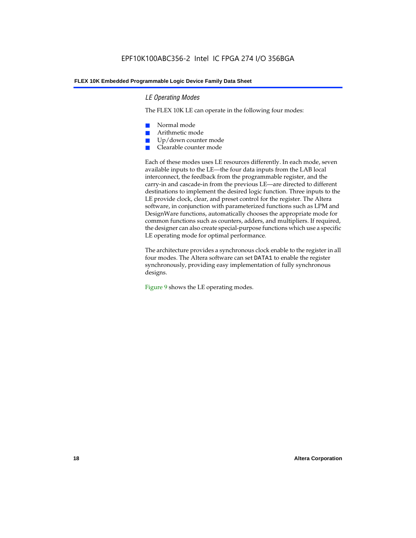## *LE Operating Modes*

The FLEX 10K LE can operate in the following four modes:

- Normal mode
- Arithmetic mode
- Up/down counter mode
- Clearable counter mode

Each of these modes uses LE resources differently. In each mode, seven available inputs to the LE—the four data inputs from the LAB local interconnect, the feedback from the programmable register, and the carry-in and cascade-in from the previous LE—are directed to different destinations to implement the desired logic function. Three inputs to the LE provide clock, clear, and preset control for the register. The Altera software, in conjunction with parameterized functions such as LPM and DesignWare functions, automatically chooses the appropriate mode for common functions such as counters, adders, and multipliers. If required, the designer can also create special-purpose functions which use a specific LE operating mode for optimal performance.

The architecture provides a synchronous clock enable to the register in all four modes. The Altera software can set DATA1 to enable the register synchronously, providing easy implementation of fully synchronous designs.

Figure 9 shows the LE operating modes.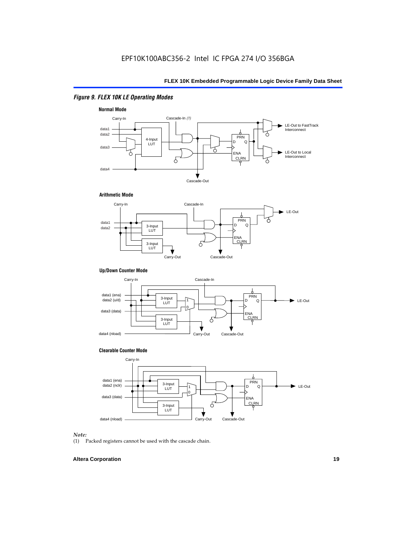## *Figure 9. FLEX 10K LE Operating Modes*







## **Up/Down Counter Mode**



#### **Clearable Counter Mode**



#### *Note:*

(1) Packed registers cannot be used with the cascade chain.

#### **Altera Corporation 19**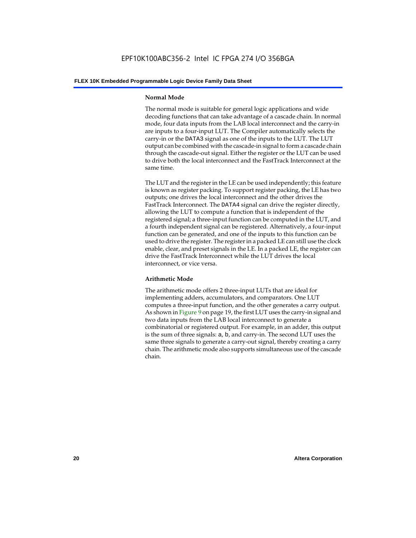#### **Normal Mode**

The normal mode is suitable for general logic applications and wide decoding functions that can take advantage of a cascade chain. In normal mode, four data inputs from the LAB local interconnect and the carry-in are inputs to a four-input LUT. The Compiler automatically selects the carry-in or the DATA3 signal as one of the inputs to the LUT. The LUT output can be combined with the cascade-in signal to form a cascade chain through the cascade-out signal. Either the register or the LUT can be used to drive both the local interconnect and the FastTrack Interconnect at the same time.

The LUT and the register in the LE can be used independently; this feature is known as register packing. To support register packing, the LE has two outputs; one drives the local interconnect and the other drives the FastTrack Interconnect. The DATA4 signal can drive the register directly, allowing the LUT to compute a function that is independent of the registered signal; a three-input function can be computed in the LUT, and a fourth independent signal can be registered. Alternatively, a four-input function can be generated, and one of the inputs to this function can be used to drive the register. The register in a packed LE can still use the clock enable, clear, and preset signals in the LE. In a packed LE, the register can drive the FastTrack Interconnect while the LUT drives the local interconnect, or vice versa.

## **Arithmetic Mode**

The arithmetic mode offers 2 three-input LUTs that are ideal for implementing adders, accumulators, and comparators. One LUT computes a three-input function, and the other generates a carry output. As shown in Figure 9 on page 19, the first LUT uses the carry-in signal and two data inputs from the LAB local interconnect to generate a combinatorial or registered output. For example, in an adder, this output is the sum of three signals: a, b, and carry-in. The second LUT uses the same three signals to generate a carry-out signal, thereby creating a carry chain. The arithmetic mode also supports simultaneous use of the cascade chain.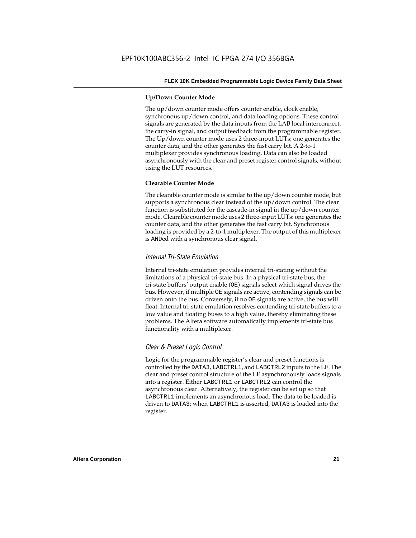#### **Up/Down Counter Mode**

The up/down counter mode offers counter enable, clock enable, synchronous up/down control, and data loading options. These control signals are generated by the data inputs from the LAB local interconnect, the carry-in signal, and output feedback from the programmable register. The Up/down counter mode uses 2 three-input LUTs: one generates the counter data, and the other generates the fast carry bit. A 2-to-1 multiplexer provides synchronous loading. Data can also be loaded asynchronously with the clear and preset register control signals, without using the LUT resources.

#### **Clearable Counter Mode**

The clearable counter mode is similar to the up/down counter mode, but supports a synchronous clear instead of the up/down control. The clear function is substituted for the cascade-in signal in the up/down counter mode. Clearable counter mode uses 2 three-input LUTs: one generates the counter data, and the other generates the fast carry bit. Synchronous loading is provided by a 2-to-1 multiplexer. The output of this multiplexer is ANDed with a synchronous clear signal.

## *Internal Tri-State Emulation*

Internal tri-state emulation provides internal tri-stating without the limitations of a physical tri-state bus. In a physical tri-state bus, the tri-state buffers' output enable (OE) signals select which signal drives the bus. However, if multiple OE signals are active, contending signals can be driven onto the bus. Conversely, if no OE signals are active, the bus will float. Internal tri-state emulation resolves contending tri-state buffers to a low value and floating buses to a high value, thereby eliminating these problems. The Altera software automatically implements tri-state bus functionality with a multiplexer.

#### *Clear & Preset Logic Control*

Logic for the programmable register's clear and preset functions is controlled by the DATA3, LABCTRL1, and LABCTRL2 inputs to the LE. The clear and preset control structure of the LE asynchronously loads signals into a register. Either LABCTRL1 or LABCTRL2 can control the asynchronous clear. Alternatively, the register can be set up so that LABCTRL1 implements an asynchronous load. The data to be loaded is driven to DATA3; when LABCTRL1 is asserted, DATA3 is loaded into the register.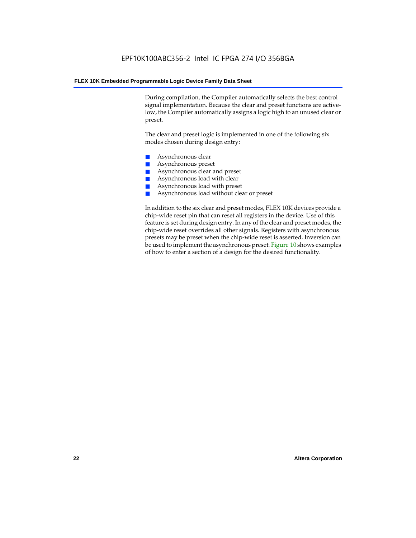During compilation, the Compiler automatically selects the best control signal implementation. Because the clear and preset functions are activelow, the Compiler automatically assigns a logic high to an unused clear or preset.

The clear and preset logic is implemented in one of the following six modes chosen during design entry:

- Asynchronous clear
- Asynchronous preset
- Asynchronous clear and preset
- Asynchronous load with clear
- Asynchronous load with preset
- Asynchronous load without clear or preset

In addition to the six clear and preset modes, FLEX 10K devices provide a chip-wide reset pin that can reset all registers in the device. Use of this feature is set during design entry. In any of the clear and preset modes, the chip-wide reset overrides all other signals. Registers with asynchronous presets may be preset when the chip-wide reset is asserted. Inversion can be used to implement the asynchronous preset. Figure 10 shows examples of how to enter a section of a design for the desired functionality.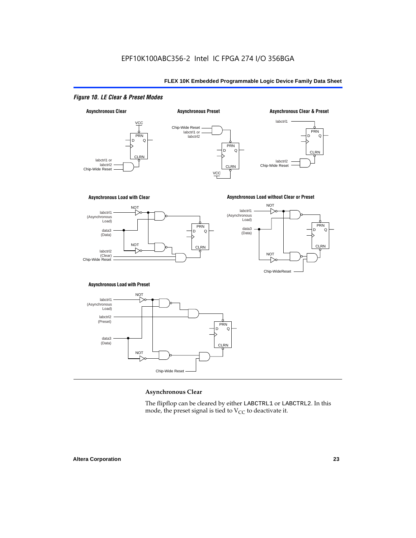## *Figure 10. LE Clear & Preset Modes*



#### **Asynchronous Clear**

The flipflop can be cleared by either LABCTRL1 or LABCTRL2. In this mode, the preset signal is tied to  $V_{CC}$  to deactivate it.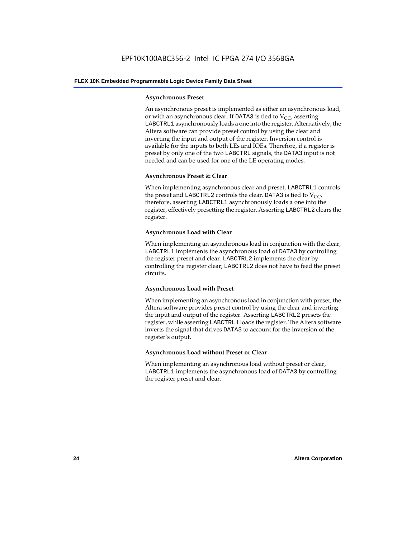#### **Asynchronous Preset**

An asynchronous preset is implemented as either an asynchronous load, or with an asynchronous clear. If DATA3 is tied to  $V_{CC}$ , asserting LABCTRL1 asynchronously loads a one into the register. Alternatively, the Altera software can provide preset control by using the clear and inverting the input and output of the register. Inversion control is available for the inputs to both LEs and IOEs. Therefore, if a register is preset by only one of the two LABCTRL signals, the DATA3 input is not needed and can be used for one of the LE operating modes.

## **Asynchronous Preset & Clear**

When implementing asynchronous clear and preset, LABCTRL1 controls the preset and LABCTRL2 controls the clear. DATA3 is tied to  $V_{CC}$ , therefore, asserting LABCTRL1 asynchronously loads a one into the register, effectively presetting the register. Asserting LABCTRL2 clears the register.

## **Asynchronous Load with Clear**

When implementing an asynchronous load in conjunction with the clear, LABCTRL1 implements the asynchronous load of DATA3 by controlling the register preset and clear. LABCTRL2 implements the clear by controlling the register clear; LABCTRL2 does not have to feed the preset circuits.

## **Asynchronous Load with Preset**

When implementing an asynchronous load in conjunction with preset, the Altera software provides preset control by using the clear and inverting the input and output of the register. Asserting LABCTRL2 presets the register, while asserting LABCTRL1 loads the register. The Altera software inverts the signal that drives DATA3 to account for the inversion of the register's output.

## **Asynchronous Load without Preset or Clear**

When implementing an asynchronous load without preset or clear, LABCTRL1 implements the asynchronous load of DATA3 by controlling the register preset and clear.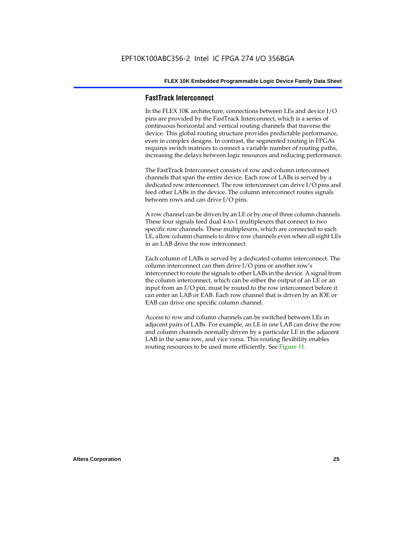## **FastTrack Interconnect**

In the FLEX 10K architecture, connections between LEs and device I/O pins are provided by the FastTrack Interconnect, which is a series of continuous horizontal and vertical routing channels that traverse the device. This global routing structure provides predictable performance, even in complex designs. In contrast, the segmented routing in FPGAs requires switch matrices to connect a variable number of routing paths, increasing the delays between logic resources and reducing performance.

The FastTrack Interconnect consists of row and column interconnect channels that span the entire device. Each row of LABs is served by a dedicated row interconnect. The row interconnect can drive I/O pins and feed other LABs in the device. The column interconnect routes signals between rows and can drive I/O pins.

A row channel can be driven by an LE or by one of three column channels. These four signals feed dual 4-to-1 multiplexers that connect to two specific row channels. These multiplexers, which are connected to each LE, allow column channels to drive row channels even when all eight LEs in an LAB drive the row interconnect.

Each column of LABs is served by a dedicated column interconnect. The column interconnect can then drive I/O pins or another row's interconnect to route the signals to other LABs in the device. A signal from the column interconnect, which can be either the output of an LE or an input from an I/O pin, must be routed to the row interconnect before it can enter an LAB or EAB. Each row channel that is driven by an IOE or EAB can drive one specific column channel.

Access to row and column channels can be switched between LEs in adjacent pairs of LABs. For example, an LE in one LAB can drive the row and column channels normally driven by a particular LE in the adjacent LAB in the same row, and vice versa. This routing flexibility enables routing resources to be used more efficiently. See Figure 11.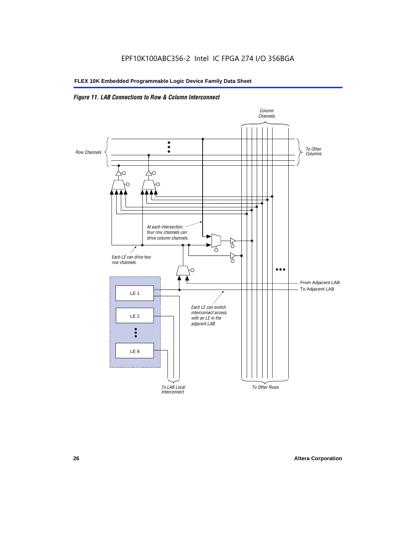## *Figure 11. LAB Connections to Row & Column Interconnect*

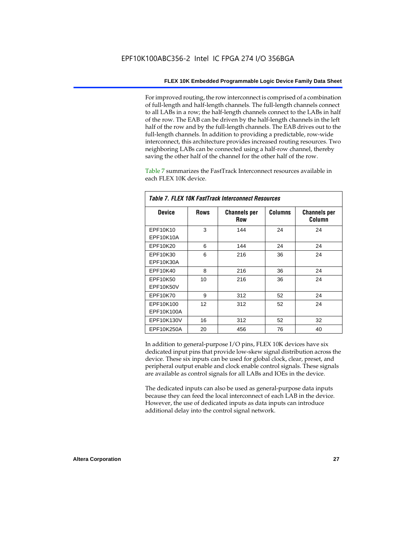For improved routing, the row interconnect is comprised of a combination of full-length and half-length channels. The full-length channels connect to all LABs in a row; the half-length channels connect to the LABs in half of the row. The EAB can be driven by the half-length channels in the left half of the row and by the full-length channels. The EAB drives out to the full-length channels. In addition to providing a predictable, row-wide interconnect, this architecture provides increased routing resources. Two neighboring LABs can be connected using a half-row channel, thereby saving the other half of the channel for the other half of the row.

Table 7 summarizes the FastTrack Interconnect resources available in each FLEX 10K device.

| Table 7. FLEX 10K FastTrack Interconnect Resources |             |                            |                |                               |  |
|----------------------------------------------------|-------------|----------------------------|----------------|-------------------------------|--|
| <b>Device</b>                                      | <b>Rows</b> | <b>Channels per</b><br>Row | <b>Columns</b> | <b>Channels per</b><br>Column |  |
| EPF10K10                                           | 3           | 144                        | 24             | 24                            |  |
| EPF10K10A                                          |             |                            |                |                               |  |
| EPF10K20                                           | 6           | 144                        | 24             | 24                            |  |
| EPF10K30                                           | 6           | 216                        | 36             | 24                            |  |
| EPF10K30A                                          |             |                            |                |                               |  |
| EPF10K40                                           | 8           | 216                        | 36             | 24                            |  |
| EPF10K50                                           | 10          | 216                        | 36             | 24                            |  |
| EPF10K50V                                          |             |                            |                |                               |  |
| EPF10K70                                           | 9           | 312                        | 52             | 24                            |  |
| EPF10K100                                          | 12          | 312                        | 52             | 24                            |  |
| EPF10K100A                                         |             |                            |                |                               |  |
| EPF10K130V                                         | 16          | 312                        | 52             | 32                            |  |
| EPF10K250A                                         | 20          | 456                        | 76             | 40                            |  |

In addition to general-purpose I/O pins, FLEX 10K devices have six dedicated input pins that provide low-skew signal distribution across the device. These six inputs can be used for global clock, clear, preset, and peripheral output enable and clock enable control signals. These signals are available as control signals for all LABs and IOEs in the device.

The dedicated inputs can also be used as general-purpose data inputs because they can feed the local interconnect of each LAB in the device. However, the use of dedicated inputs as data inputs can introduce additional delay into the control signal network.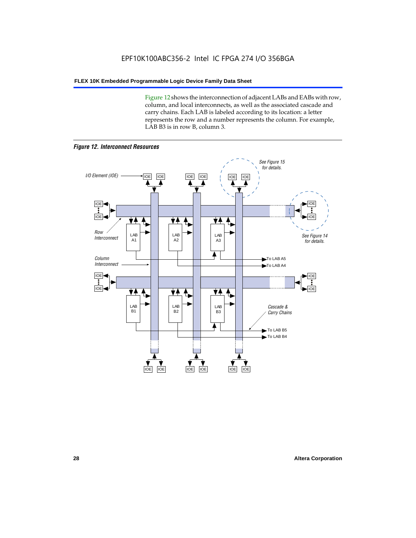Figure 12 shows the interconnection of adjacent LABs and EABs with row, column, and local interconnects, as well as the associated cascade and carry chains. Each LAB is labeled according to its location: a letter represents the row and a number represents the column. For example, LAB B3 is in row B, column 3.



*Figure 12. Interconnect Resources*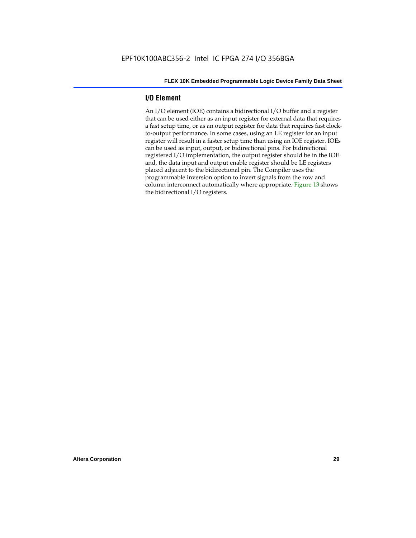## **I/O Element**

An I/O element (IOE) contains a bidirectional I/O buffer and a register that can be used either as an input register for external data that requires a fast setup time, or as an output register for data that requires fast clockto-output performance. In some cases, using an LE register for an input register will result in a faster setup time than using an IOE register. IOEs can be used as input, output, or bidirectional pins. For bidirectional registered I/O implementation, the output register should be in the IOE and, the data input and output enable register should be LE registers placed adjacent to the bidirectional pin. The Compiler uses the programmable inversion option to invert signals from the row and column interconnect automatically where appropriate. Figure 13 shows the bidirectional I/O registers.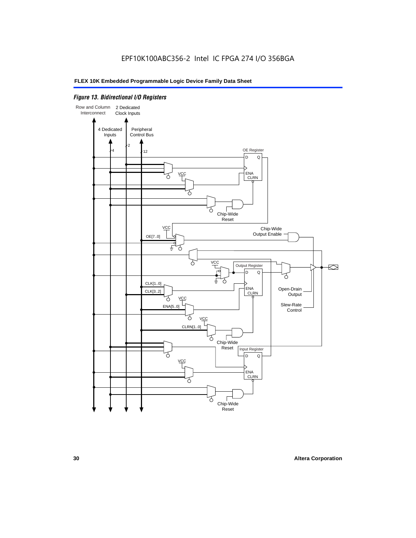## *Figure 13. Bidirectional I/O Registers*

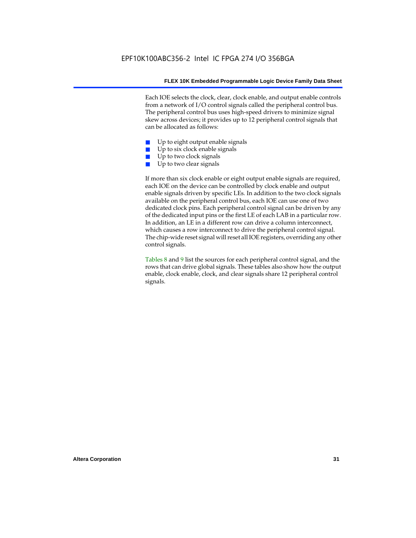Each IOE selects the clock, clear, clock enable, and output enable controls from a network of I/O control signals called the peripheral control bus. The peripheral control bus uses high-speed drivers to minimize signal skew across devices; it provides up to 12 peripheral control signals that can be allocated as follows:

- Up to eight output enable signals
- Up to six clock enable signals
- Up to two clock signals
- Up to two clear signals

If more than six clock enable or eight output enable signals are required, each IOE on the device can be controlled by clock enable and output enable signals driven by specific LEs. In addition to the two clock signals available on the peripheral control bus, each IOE can use one of two dedicated clock pins. Each peripheral control signal can be driven by any of the dedicated input pins or the first LE of each LAB in a particular row. In addition, an LE in a different row can drive a column interconnect, which causes a row interconnect to drive the peripheral control signal. The chip-wide reset signal will reset all IOE registers, overriding any other control signals.

Tables 8 and 9 list the sources for each peripheral control signal, and the rows that can drive global signals. These tables also show how the output enable, clock enable, clock, and clear signals share 12 peripheral control signals.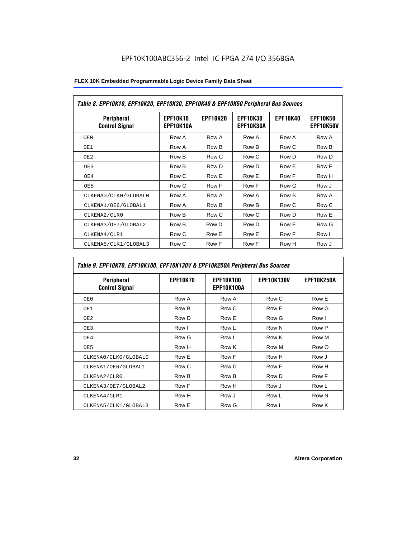| Table 8. EPF10K10, EPF10K20, EPF10K30, EPF10K40 & EPF10K50 Peripheral Bus Sources |                              |                 |                              |                 |                              |
|-----------------------------------------------------------------------------------|------------------------------|-----------------|------------------------------|-----------------|------------------------------|
| <b>Peripheral</b><br><b>Control Signal</b>                                        | <b>EPF10K10</b><br>EPF10K10A | <b>EPF10K20</b> | <b>EPF10K30</b><br>EPF10K30A | <b>EPF10K40</b> | <b>EPF10K50</b><br>EPF10K50V |
| OE0                                                                               | Row A                        | Row A           | Row A                        | Row A           | Row A                        |
| OE1                                                                               | Row A                        | Row B           | Row B                        | Row C           | Row B                        |
| OE <sub>2</sub>                                                                   | Row B                        | Row C           | Row C                        | Row D           | Row D                        |
| OE3                                                                               | Row B                        | Row D           | Row D                        | Row E           | Row F                        |
| OE4                                                                               | Row C                        | Row E           | Row E                        | Row F           | Row H                        |
| OE5                                                                               | Row C                        | Row F           | Row F                        | Row G           | Row J                        |
| CLKENA0/CLK0/GLOBAL0                                                              | Row A                        | Row A           | Row A                        | Row B           | Row A                        |
| CLKENA1/OE6/GLOBAL1                                                               | Row A                        | Row B           | Row B                        | Row C           | Row C                        |
| CLKENA2/CLR0                                                                      | Row B                        | Row C           | Row C                        | Row D           | Row E                        |
| CLKENA3/OE7/GLOBAL2                                                               | Row B                        | Row D           | Row D                        | Row E           | Row G                        |
| CLKENA4/CLR1                                                                      | Row C                        | Row E           | Row E                        | Row F           | Row I                        |
| CLKENA5/CLK1/GLOBAL3                                                              | Row C                        | Row F           | Row F                        | Row H           | Row J                        |

## *Table 9. EPF10K70, EPF10K100, EPF10K130V & EPF10K250A Peripheral Bus Sources*

| Peripheral<br><b>Control Signal</b> | <b>EPF10K70</b> | <b>EPF10K100</b><br><b>EPF10K100A</b> | <b>EPF10K130V</b> | <b>EPF10K250A</b> |
|-------------------------------------|-----------------|---------------------------------------|-------------------|-------------------|
| OE0                                 | Row A           | Row A                                 | Row C             | Row E             |
| OE1                                 | Row B           | Row C                                 | Row E             | Row G             |
| OE <sub>2</sub>                     | Row D           | Row E                                 | Row G             | Row I             |
| OE3                                 | Row I           | Row L                                 | Row N             | Row P             |
| OE4                                 | Row G           | Row I                                 | Row K             | Row M             |
| OE5                                 | Row H           | Row K                                 | Row M             | Row O             |
| CLKENA0/CLK0/GLOBAL0                | Row E           | Row F                                 | Row H             | Row J             |
| CLKENA1/OE6/GLOBAL1                 | Row C           | Row D                                 | Row F             | Row H             |
| CLKENA2/CLR0                        | Row B           | Row B                                 | Row D             | Row F             |
| CLKENA3/OE7/GLOBAL2                 | Row F           | Row H                                 | Row J             | Row L             |
| CLKENA4/CLR1                        | Row H           | Row J                                 | Row L             | Row N             |
| CLKENA5/CLK1/GLOBAL3                | Row E           | Row G                                 | Row I             | Row K             |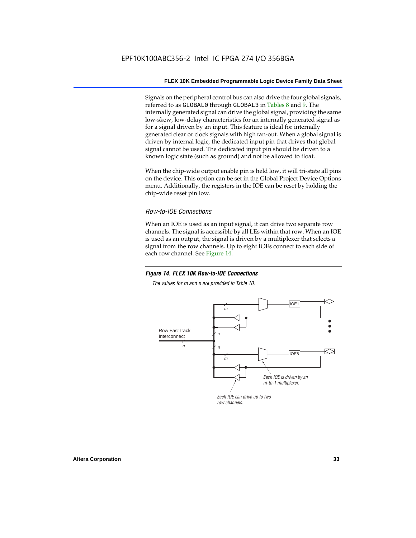Signals on the peripheral control bus can also drive the four global signals, referred to as GLOBAL0 through GLOBAL3 in Tables 8 and 9. The internally generated signal can drive the global signal, providing the same low-skew, low-delay characteristics for an internally generated signal as for a signal driven by an input. This feature is ideal for internally generated clear or clock signals with high fan-out. When a global signal is driven by internal logic, the dedicated input pin that drives that global signal cannot be used. The dedicated input pin should be driven to a known logic state (such as ground) and not be allowed to float.

When the chip-wide output enable pin is held low, it will tri-state all pins on the device. This option can be set in the Global Project Device Options menu. Additionally, the registers in the IOE can be reset by holding the chip-wide reset pin low.

## *Row-to-IOE Connections*

When an IOE is used as an input signal, it can drive two separate row channels. The signal is accessible by all LEs within that row. When an IOE is used as an output, the signal is driven by a multiplexer that selects a signal from the row channels. Up to eight IOEs connect to each side of each row channel. See Figure 14.

## *Figure 14. FLEX 10K Row-to-IOE Connections*

*The values for m and n are provided in Table 10.*

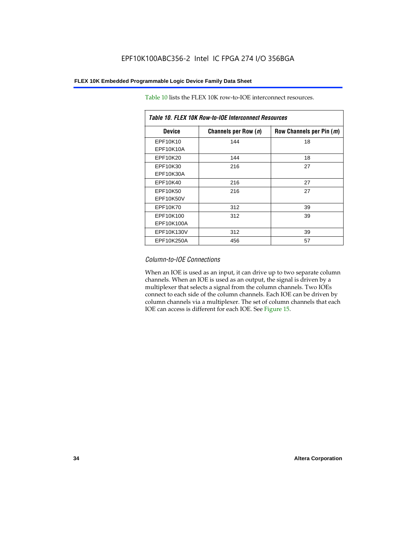| Table 10. FLEX 10K Row-to-IOE Interconnect Resources |                      |                          |  |  |  |
|------------------------------------------------------|----------------------|--------------------------|--|--|--|
| <b>Device</b>                                        | Channels per Row (n) | Row Channels per Pin (m) |  |  |  |
| EPF10K10<br>EPF10K10A                                | 144                  | 18                       |  |  |  |
| EPF10K20                                             | 144                  | 18                       |  |  |  |
| EPF10K30<br>EPF10K30A                                | 216                  | 27                       |  |  |  |
| EPF10K40                                             | 216                  | 27                       |  |  |  |
| EPF10K50<br>EPF10K50V                                | 216                  | 27                       |  |  |  |
| EPF10K70                                             | 312                  | 39                       |  |  |  |
| EPF10K100<br>EPF10K100A                              | 312                  | 39                       |  |  |  |
| EPF10K130V                                           | 312                  | 39                       |  |  |  |
| EPF10K250A                                           | 456                  | 57                       |  |  |  |

Table 10 lists the FLEX 10K row-to-IOE interconnect resources.

## *Column-to-IOE Connections*

When an IOE is used as an input, it can drive up to two separate column channels. When an IOE is used as an output, the signal is driven by a multiplexer that selects a signal from the column channels. Two IOEs connect to each side of the column channels. Each IOE can be driven by column channels via a multiplexer. The set of column channels that each IOE can access is different for each IOE. See Figure 15.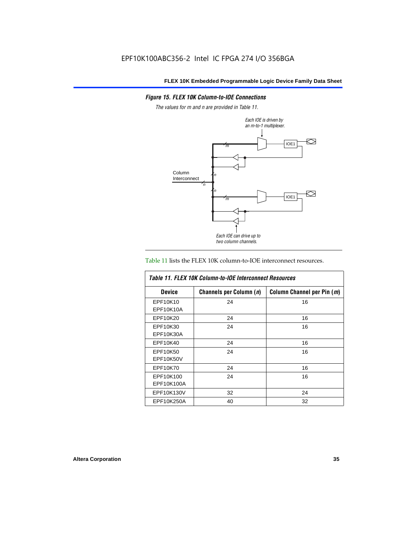## *Figure 15. FLEX 10K Column-to-IOE Connections*

*The values for m and n are provided in Table 11.*



## Table 11 lists the FLEX 10K column-to-IOE interconnect resources.

| Table 11, FLEX 10K Column-to-IOE Interconnect Resources |                         |                            |  |  |  |
|---------------------------------------------------------|-------------------------|----------------------------|--|--|--|
| <b>Device</b>                                           | Channels per Column (n) | Column Channel per Pin (m) |  |  |  |
| EPF10K10                                                | 24                      | 16                         |  |  |  |
| EPF10K10A                                               |                         |                            |  |  |  |
| EPF10K20                                                | 24                      | 16                         |  |  |  |
| EPF10K30                                                | 24                      | 16                         |  |  |  |
| EPF10K30A                                               |                         |                            |  |  |  |
| EPF10K40                                                | 24                      | 16                         |  |  |  |
| EPF10K50                                                | 24                      | 16                         |  |  |  |
| EPF10K50V                                               |                         |                            |  |  |  |
| EPF10K70                                                | 24                      | 16                         |  |  |  |
| EPF10K100                                               | 24                      | 16                         |  |  |  |
| EPF10K100A                                              |                         |                            |  |  |  |
| EPF10K130V                                              | 32                      | 24                         |  |  |  |
| EPF10K250A                                              | 40                      | 32                         |  |  |  |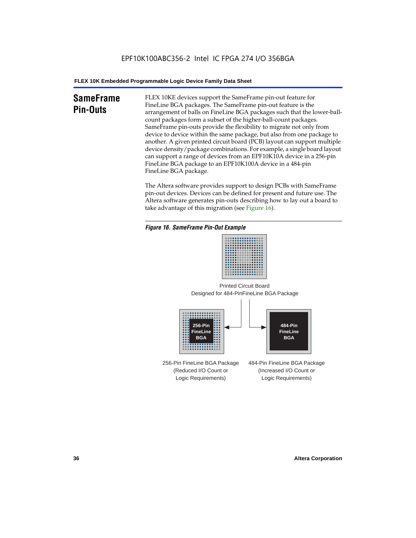# **SameFrame Pin-Outs**

FLEX 10KE devices support the SameFrame pin-out feature for FineLine BGA packages. The SameFrame pin-out feature is the arrangement of balls on FineLine BGA packages such that the lower-ballcount packages form a subset of the higher-ball-count packages. SameFrame pin-outs provide the flexibility to migrate not only from device to device within the same package, but also from one package to another. A given printed circuit board (PCB) layout can support multiple device density/package combinations. For example, a single board layout can support a range of devices from an EPF10K10A device in a 256-pin FineLine BGA package to an EPF10K100A device in a 484-pin FineLine BGA package.

The Altera software provides support to design PCBs with SameFrame pin-out devices. Devices can be defined for present and future use. The Altera software generates pin-outs describing how to lay out a board to take advantage of this migration (see Figure 16).







256-Pin FineLine BGA Package (Reduced I/O Count or Logic Requirements) 484-Pin FineLine BGA Package (Increased I/O Count or Logic Requirements)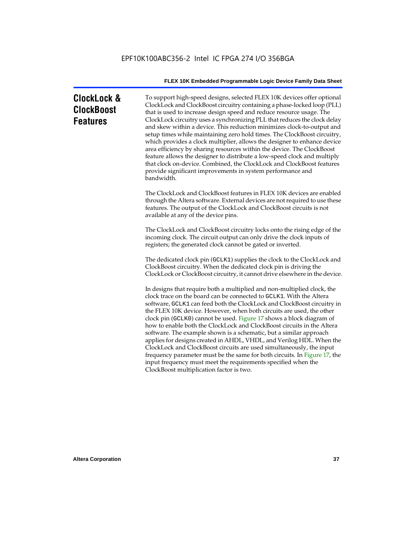| <b>ClockLock &amp;</b><br><b>ClockBoost</b><br><b>Features</b> | To support high-speed designs, selected FLEX 10K devices offer optional<br>ClockLock and ClockBoost circuitry containing a phase-locked loop (PLL)<br>that is used to increase design speed and reduce resource usage. The<br>ClockLock circuitry uses a synchronizing PLL that reduces the clock delay<br>and skew within a device. This reduction minimizes clock-to-output and<br>setup times while maintaining zero hold times. The ClockBoost circuitry,<br>which provides a clock multiplier, allows the designer to enhance device<br>area efficiency by sharing resources within the device. The ClockBoost<br>feature allows the designer to distribute a low-speed clock and multiply<br>that clock on-device. Combined, the ClockLock and ClockBoost features<br>provide significant improvements in system performance and<br>bandwidth.                |
|----------------------------------------------------------------|---------------------------------------------------------------------------------------------------------------------------------------------------------------------------------------------------------------------------------------------------------------------------------------------------------------------------------------------------------------------------------------------------------------------------------------------------------------------------------------------------------------------------------------------------------------------------------------------------------------------------------------------------------------------------------------------------------------------------------------------------------------------------------------------------------------------------------------------------------------------|
|                                                                | The ClockLock and ClockBoost features in FLEX 10K devices are enabled<br>through the Altera software. External devices are not required to use these<br>features. The output of the ClockLock and ClockBoost circuits is not<br>available at any of the device pins.                                                                                                                                                                                                                                                                                                                                                                                                                                                                                                                                                                                                |
|                                                                | The ClockLock and ClockBoost circuitry locks onto the rising edge of the<br>incoming clock. The circuit output can only drive the clock inputs of<br>registers; the generated clock cannot be gated or inverted.                                                                                                                                                                                                                                                                                                                                                                                                                                                                                                                                                                                                                                                    |
|                                                                | The dedicated clock pin (GCLK1) supplies the clock to the ClockLock and<br>ClockBoost circuitry. When the dedicated clock pin is driving the<br>ClockLock or ClockBoost circuitry, it cannot drive elsewhere in the device.                                                                                                                                                                                                                                                                                                                                                                                                                                                                                                                                                                                                                                         |
|                                                                | In designs that require both a multiplied and non-multiplied clock, the<br>clock trace on the board can be connected to GCLK1. With the Altera<br>software, GCLK1 can feed both the ClockLock and ClockBoost circuitry in<br>the FLEX 10K device. However, when both circuits are used, the other<br>clock pin (GCLK0) cannot be used. Figure 17 shows a block diagram of<br>how to enable both the ClockLock and ClockBoost circuits in the Altera<br>software. The example shown is a schematic, but a similar approach<br>applies for designs created in AHDL, VHDL, and Verilog HDL. When the<br>ClockLock and ClockBoost circuits are used simultaneously, the input<br>frequency parameter must be the same for both circuits. In Figure 17, the<br>input frequency must meet the requirements specified when the<br>ClockBoost multiplication factor is two. |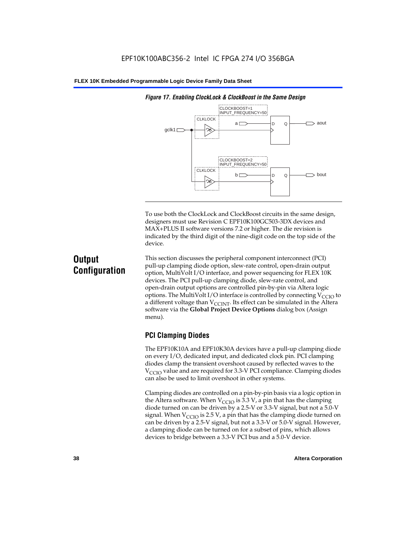

*Figure 17. Enabling ClockLock & ClockBoost in the Same Design*

To use both the ClockLock and ClockBoost circuits in the same design, designers must use Revision C EPF10K100GC503-3DX devices and MAX+PLUS II software versions 7.2 or higher. The die revision is indicated by the third digit of the nine-digit code on the top side of the device.

# **Output Configuration**

This section discusses the peripheral component interconnect (PCI) pull-up clamping diode option, slew-rate control, open-drain output option, MultiVolt I/O interface, and power sequencing for FLEX 10K devices. The PCI pull-up clamping diode, slew-rate control, and open-drain output options are controlled pin-by-pin via Altera logic options. The MultiVolt I/O interface is controlled by connecting  $V_{\text{CCIO}}$  to a different voltage than  $V_{\text{CCINT}}$ . Its effect can be simulated in the Altera software via the **Global Project Device Options** dialog box (Assign menu).

# **PCI Clamping Diodes**

The EPF10K10A and EPF10K30A devices have a pull-up clamping diode on every I/O, dedicated input, and dedicated clock pin. PCI clamping diodes clamp the transient overshoot caused by reflected waves to the  $V_{\text{CCIO}}$  value and are required for 3.3-V PCI compliance. Clamping diodes can also be used to limit overshoot in other systems.

Clamping diodes are controlled on a pin-by-pin basis via a logic option in the Altera software. When  $V_{\text{CCIO}}$  is 3.3 V, a pin that has the clamping diode turned on can be driven by a 2.5-V or 3.3-V signal, but not a 5.0-V signal. When  $V_{\text{CCIO}}$  is 2.5 V, a pin that has the clamping diode turned on can be driven by a 2.5-V signal, but not a 3.3-V or 5.0-V signal. However, a clamping diode can be turned on for a subset of pins, which allows devices to bridge between a 3.3-V PCI bus and a 5.0-V device.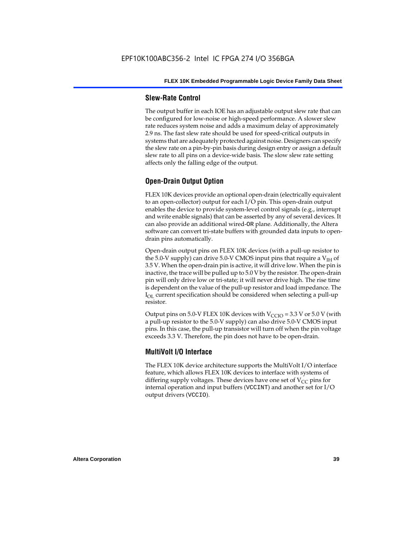#### **Slew-Rate Control**

The output buffer in each IOE has an adjustable output slew rate that can be configured for low-noise or high-speed performance. A slower slew rate reduces system noise and adds a maximum delay of approximately 2.9 ns. The fast slew rate should be used for speed-critical outputs in systems that are adequately protected against noise. Designers can specify the slew rate on a pin-by-pin basis during design entry or assign a default slew rate to all pins on a device-wide basis. The slow slew rate setting affects only the falling edge of the output.

# **Open-Drain Output Option**

FLEX 10K devices provide an optional open-drain (electrically equivalent to an open-collector) output for each I/O pin. This open-drain output enables the device to provide system-level control signals (e.g., interrupt and write enable signals) that can be asserted by any of several devices. It can also provide an additional wired-OR plane. Additionally, the Altera software can convert tri-state buffers with grounded data inputs to opendrain pins automatically.

Open-drain output pins on FLEX 10K devices (with a pull-up resistor to the 5.0-V supply) can drive 5.0-V CMOS input pins that require a  $V<sub>IH</sub>$  of 3.5 V. When the open-drain pin is active, it will drive low. When the pin is inactive, the trace will be pulled up to 5.0 V by the resistor. The open-drain pin will only drive low or tri-state; it will never drive high. The rise time is dependent on the value of the pull-up resistor and load impedance. The  $I_{\text{OL}}$  current specification should be considered when selecting a pull-up resistor.

Output pins on 5.0-V FLEX 10K devices with  $V_{\text{CCIO}} = 3.3$  V or 5.0 V (with a pull-up resistor to the 5.0-V supply) can also drive 5.0-V CMOS input pins. In this case, the pull-up transistor will turn off when the pin voltage exceeds 3.3 V. Therefore, the pin does not have to be open-drain.

## **MultiVolt I/O Interface**

The FLEX 10K device architecture supports the MultiVolt I/O interface feature, which allows FLEX 10K devices to interface with systems of differing supply voltages. These devices have one set of  $V_{CC}$  pins for internal operation and input buffers (VCCINT) and another set for I/O output drivers (VCCIO).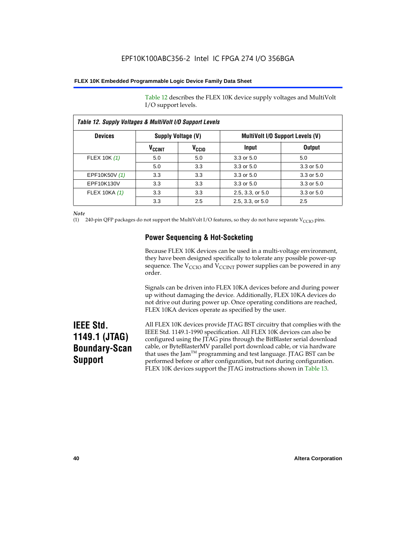Table 12 describes the FLEX 10K device supply voltages and MultiVolt I/O support levels.

| Table 12. Supply Voltages & MultiVolt I/O Support Levels |                          |                    |                                         |               |  |
|----------------------------------------------------------|--------------------------|--------------------|-----------------------------------------|---------------|--|
| <b>Devices</b>                                           |                          | Supply Voltage (V) | <b>MultiVolt I/O Support Levels (V)</b> |               |  |
|                                                          | <b>V<sub>CCINT</sub></b> | V <sub>CCIO</sub>  | Input                                   | <b>Output</b> |  |
| FLEX 10K (1)                                             | 5.0                      | 5.0                | 3.3 or 5.0                              | 5.0           |  |
|                                                          | 5.0                      | 3.3                | 3.3 or 5.0                              | 3.3 or 5.0    |  |
| EPF10K50V (1)                                            | 3.3                      | 3.3                | $3.3$ or $5.0$                          | 3.3 or 5.0    |  |
| EPF10K130V                                               | 3.3                      | 3.3                | $3.3$ or $5.0$                          | 3.3 or 5.0    |  |
| FLEX 10KA (1)                                            | 3.3                      | 3.3                | 2.5, 3.3, or 5.0                        | 3.3 or 5.0    |  |
|                                                          | 3.3                      | 2.5                | 2.5, 3.3, or 5.0                        | 2.5           |  |

*Note*

(1) 240-pin QFP packages do not support the MultiVolt I/O features, so they do not have separate V<sub>CCIO</sub> pins.

# **Power Sequencing & Hot-Socketing**

Because FLEX 10K devices can be used in a multi-voltage environment, they have been designed specifically to tolerate any possible power-up sequence. The  $V_{\text{CCIO}}$  and  $V_{\text{CCINT}}$  power supplies can be powered in any order.

Signals can be driven into FLEX 10KA devices before and during power up without damaging the device. Additionally, FLEX 10KA devices do not drive out during power up. Once operating conditions are reached, FLEX 10KA devices operate as specified by the user.

# **IEEE Std. 1149.1 (JTAG) Boundary-Scan Support**

All FLEX 10K devices provide JTAG BST circuitry that complies with the IEEE Std. 1149.1-1990 specification. All FLEX 10K devices can also be configured using the JTAG pins through the BitBlaster serial download cable, or ByteBlasterMV parallel port download cable, or via hardware that uses the Jam<sup>TM</sup> programming and test language. JTAG BST can be performed before or after configuration, but not during configuration. FLEX 10K devices support the JTAG instructions shown in Table 13.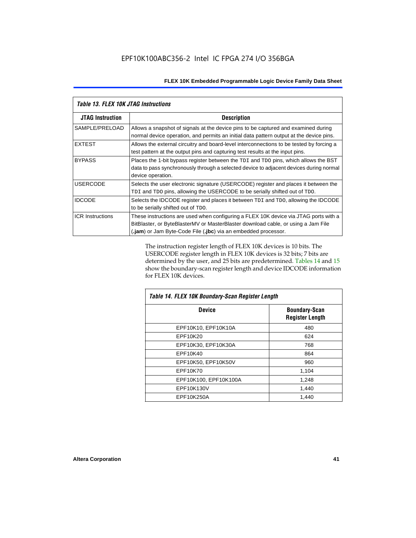| <b>Table 13. FLEX 10K JTAG Instructions</b> |                                                                                                                                                                                                                                             |
|---------------------------------------------|---------------------------------------------------------------------------------------------------------------------------------------------------------------------------------------------------------------------------------------------|
| <b>JTAG Instruction</b>                     | <b>Description</b>                                                                                                                                                                                                                          |
| SAMPLE/PRELOAD                              | Allows a snapshot of signals at the device pins to be captured and examined during<br>normal device operation, and permits an initial data pattern output at the device pins.                                                               |
| <b>EXTEST</b>                               | Allows the external circuitry and board-level interconnections to be tested by forcing a<br>test pattern at the output pins and capturing test results at the input pins.                                                                   |
| <b>BYPASS</b>                               | Places the 1-bit bypass register between the TDI and TDO pins, which allows the BST<br>data to pass synchronously through a selected device to adjacent devices during normal<br>device operation.                                          |
| <b>USERCODE</b>                             | Selects the user electronic signature (USERCODE) register and places it between the<br>TDI and TDO pins, allowing the USERCODE to be serially shifted out of TDO.                                                                           |
| <b>IDCODE</b>                               | Selects the IDCODE register and places it between TDI and TDO, allowing the IDCODE<br>to be serially shifted out of TDO.                                                                                                                    |
| <b>ICR Instructions</b>                     | These instructions are used when configuring a FLEX 10K device via JTAG ports with a<br>BitBlaster, or ByteBlasterMV or MasterBlaster download cable, or using a Jam File<br>(.jam) or Jam Byte-Code File (.jbc) via an embedded processor. |

The instruction register length of FLEX 10K devices is 10 bits. The USERCODE register length in FLEX 10K devices is 32 bits; 7 bits are determined by the user, and 25 bits are predetermined. Tables 14 and 15 show the boundary-scan register length and device IDCODE information for FLEX 10K devices.

| Table 14. FLEX 10K Boundary-Scan Register Length |                                                |  |  |  |
|--------------------------------------------------|------------------------------------------------|--|--|--|
| <b>Device</b>                                    | <b>Boundary-Scan</b><br><b>Register Length</b> |  |  |  |
| EPF10K10, EPF10K10A                              | 480                                            |  |  |  |
| EPF10K20                                         | 624                                            |  |  |  |
| EPF10K30, EPF10K30A                              | 768                                            |  |  |  |
| EPF10K40                                         | 864                                            |  |  |  |
| EPF10K50, EPF10K50V                              | 960                                            |  |  |  |
| EPF10K70                                         | 1,104                                          |  |  |  |
| EPF10K100, EPF10K100A                            | 1,248                                          |  |  |  |
| EPF10K130V                                       | 1,440                                          |  |  |  |
| EPF10K250A                                       | 1,440                                          |  |  |  |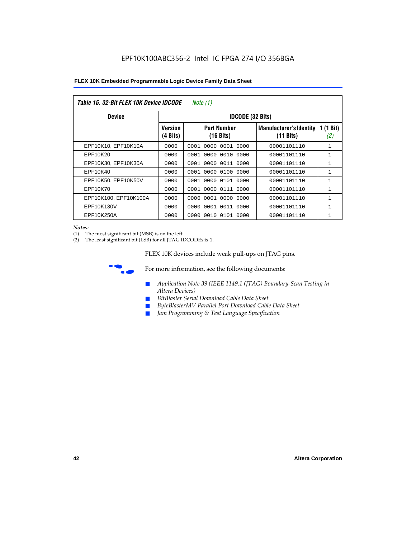| Table 15. 32-Bit FLEX 10K Device IDCODE<br>Note (1) |                            |                                           |                                                       |                  |  |  |  |
|-----------------------------------------------------|----------------------------|-------------------------------------------|-------------------------------------------------------|------------------|--|--|--|
| <b>Device</b>                                       |                            | <b>IDCODE (32 Bits)</b>                   |                                                       |                  |  |  |  |
|                                                     | <b>Version</b><br>(4 Bits) | <b>Part Number</b><br>$(16 \text{ bits})$ | <b>Manufacturer's Identity</b><br>$(11 \text{ Bits})$ | 1 (1 Bit)<br>(2) |  |  |  |
| EPF10K10, EPF10K10A                                 | 0000                       | 0000<br>0001 0000<br>0001                 | 00001101110                                           | $\mathbf{1}$     |  |  |  |
| EPF10K20                                            | 0000                       | 0000 0010 0000<br>0001                    | 00001101110                                           | $\mathbf{1}$     |  |  |  |
| EPF10K30, EPF10K30A                                 | 0000                       | 0001 0000 0011 0000                       | 00001101110                                           | $\mathbf{1}$     |  |  |  |
| EPF10K40                                            | 0000                       | 0000 0100<br>0001<br>0000                 | 00001101110                                           | $\mathbf{1}$     |  |  |  |
| EPF10K50, EPF10K50V                                 | 0000                       | 0001 0000 0101 0000                       | 00001101110                                           | $\mathbf{1}$     |  |  |  |
| EPF10K70                                            | 0000                       | 0000<br>0111 0000<br>0001                 | 00001101110                                           | $\mathbf{1}$     |  |  |  |
| EPF10K100, EPF10K100A                               | 0000                       | 0001 0000 0000<br>0000                    | 00001101110                                           | 1                |  |  |  |
| EPF10K130V                                          | 0000                       | 0001 0011 0000<br>0000                    | 00001101110                                           | $\mathbf{1}$     |  |  |  |
| EPF10K250A                                          | 0000                       | 0000 0010 0101 0000                       | 00001101110                                           | 1                |  |  |  |

#### *Notes:*

(1) The most significant bit (MSB) is on the left.

(2) The least significant bit (LSB) for all JTAG IDCODEs is 1.

FLEX 10K devices include weak pull-ups on JTAG pins.



**for more information, see the following documents:** 

- *Application Note 39 (IEEE 1149.1 (JTAG) Boundary-Scan Testing in Altera Devices)*
- *BitBlaster Serial Download Cable Data Sheet*
- *ByteBlasterMV Parallel Port Download Cable Data Sheet*
- *Jam Programming & Test Language Specification*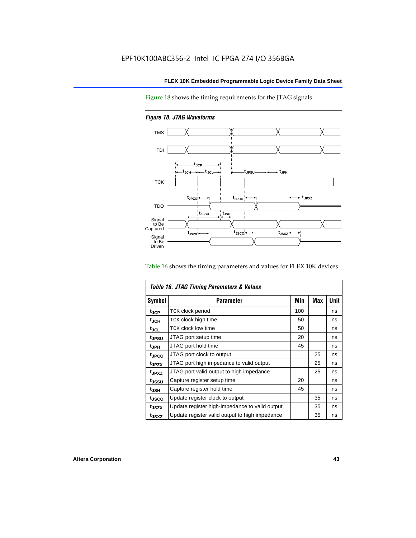Figure 18 shows the timing requirements for the JTAG signals.

*Figure 18. JTAG Waveforms*



Table 16 shows the timing parameters and values for FLEX 10K devices.

|                   | Table 16. JTAG Timing Parameters & Values      |     |            |      |  |
|-------------------|------------------------------------------------|-----|------------|------|--|
| <b>Symbol</b>     | <b>Parameter</b>                               | Min | <b>Max</b> | Unit |  |
| t <sub>JCP</sub>  | <b>TCK clock period</b>                        | 100 |            | ns   |  |
| t <sub>JCH</sub>  | TCK clock high time                            | 50  |            | ns   |  |
| $t_{JCL}$         | TCK clock low time                             | 50  |            | ns   |  |
| tjpsu             | JTAG port setup time                           | 20  |            | ns   |  |
| t <sub>JPH</sub>  | JTAG port hold time                            | 45  |            | ns   |  |
| <sup>t</sup> JPCO | JTAG port clock to output                      |     | 25         | ns   |  |
| t <sub>JPZX</sub> | JTAG port high impedance to valid output       |     | 25         | ns   |  |
| t <sub>JPXZ</sub> | JTAG port valid output to high impedance       |     | 25         | ns   |  |
| tussu             | Capture register setup time                    | 20  |            | ns   |  |
| $t_{JSH}$         | Capture register hold time                     | 45  |            | ns   |  |
| tjsco             | Update register clock to output                |     | 35         | ns   |  |
| t <sub>JSZX</sub> | Update register high-impedance to valid output |     | 35         | ns   |  |
| t <sub>JSXZ</sub> | Update register valid output to high impedance |     | 35         | ns   |  |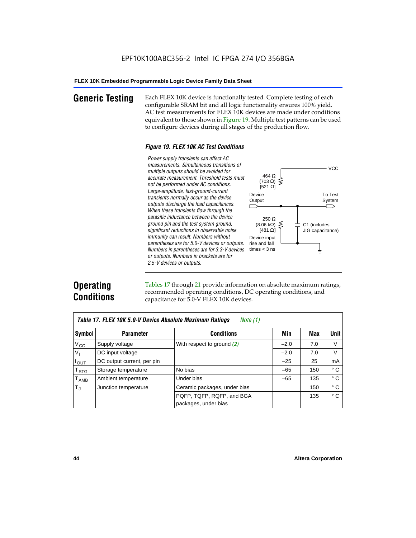**Generic Testing** Each FLEX 10K device is functionally tested. Complete testing of each configurable SRAM bit and all logic functionality ensures 100% yield. AC test measurements for FLEX 10K devices are made under conditions equivalent to those shown in Figure 19. Multiple test patterns can be used to configure devices during all stages of the production flow.

#### *Figure 19. FLEX 10K AC Test Conditions*

*Power supply transients can affect AC measurements. Simultaneous transitions of*  $V<sub>CC</sub>$ *multiple outputs should be avoided for* 464 Ω *accurate measurement. Threshold tests must* (703 Ω) ξ *not be performed under AC conditions.*  $[521 \Omega]$ *Large-amplitude, fast-ground-current* To Test Device *transients normally occur as the device* Output System *outputs discharge the load capacitances. When these transients flow through the parasitic inductance between the device* 250 Ω *ground pin and the test system ground,*  $(8.06 \text{ k}\Omega)$ C1 (includes *significant reductions in observable noise* [481 $\Omega$ ] JIG capacitance) *immunity can result. Numbers without*  Device input *parentheses are for 5.0-V devices or outputs.*  rise and fall *Numbers in parentheses are for 3.3-V devices*  times  $<$  3 ns ŧ *or outputs. Numbers in brackets are for 2.5-V devices or outputs.*

# **Operating Conditions**

Tables 17 through 21 provide information on absolute maximum ratings, recommended operating conditions, DC operating conditions, and capacitance for 5.0-V FLEX 10K devices.

|                             | Table 17. FLEX 10K 5.0-V Device Absolute Maximum Ratings<br>Note (1) |                              |        |     |              |  |
|-----------------------------|----------------------------------------------------------------------|------------------------------|--------|-----|--------------|--|
| Symbol                      | <b>Parameter</b>                                                     | <b>Conditions</b>            | Min    | Max | <b>Unit</b>  |  |
| $V_{\rm CC}$                | Supply voltage                                                       | With respect to ground $(2)$ | $-2.0$ | 7.0 | V            |  |
| $V_{I}$                     | DC input voltage                                                     |                              | $-2.0$ | 7.0 | V            |  |
| $I_{\text{OUT}}$            | DC output current, per pin                                           |                              | $-25$  | 25  | mA           |  |
| $\mathsf{T}_{\texttt{STG}}$ | Storage temperature                                                  | No bias                      | $-65$  | 150 | °C           |  |
| $\mathsf{T}_{\mathsf{AMB}}$ | Ambient temperature                                                  | Under bias                   | $-65$  | 135 | $^{\circ}$ C |  |
| $T_{\rm J}$                 | Junction temperature                                                 | Ceramic packages, under bias |        | 150 | °C           |  |
|                             |                                                                      | PQFP, TQFP, RQFP, and BGA    |        | 135 | $^{\circ}$ C |  |
|                             |                                                                      | packages, under bias         |        |     |              |  |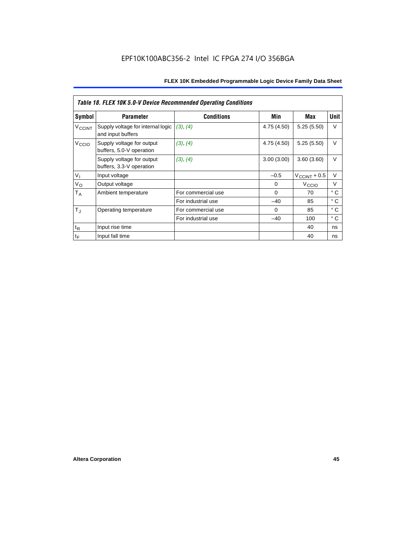|                    | Table 18. FLEX 10K 5.0-V Device Recommended Operating Conditions |                    |             |                       |              |  |
|--------------------|------------------------------------------------------------------|--------------------|-------------|-----------------------|--------------|--|
| <b>Symbol</b>      | <b>Parameter</b>                                                 | <b>Conditions</b>  | Min         | Max                   | <b>Unit</b>  |  |
| V <sub>CCINT</sub> | Supply voltage for internal logic<br>and input buffers           | (3), (4)           | 4.75 (4.50) | 5.25(5.50)            | $\vee$       |  |
| V <sub>CCIO</sub>  | Supply voltage for output<br>buffers, 5.0-V operation            | (3), (4)           | 4.75 (4.50) | 5.25(5.50)            | $\vee$       |  |
|                    | Supply voltage for output<br>buffers, 3.3-V operation            | (3), (4)           | 3.00(3.00)  | 3.60(3.60)            | $\vee$       |  |
| V <sub>1</sub>     | Input voltage                                                    |                    | $-0.5$      | $V_{\rm CCINT}$ + 0.5 | $\vee$       |  |
| $V_{\rm O}$        | Output voltage                                                   |                    | 0           | V <sub>CCIO</sub>     | V            |  |
| $T_A$              | Ambient temperature                                              | For commercial use | $\Omega$    | 70                    | $^{\circ}$ C |  |
|                    |                                                                  | For industrial use | $-40$       | 85                    | $^{\circ}$ C |  |
| $T_{\rm J}$        | Operating temperature                                            | For commercial use | $\Omega$    | 85                    | °C           |  |
|                    |                                                                  | For industrial use | $-40$       | 100                   | $^{\circ}$ C |  |
| $t_{R}$            | Input rise time                                                  |                    |             | 40                    | ns           |  |
| $t_F$              | Input fall time                                                  |                    |             | 40                    | ns           |  |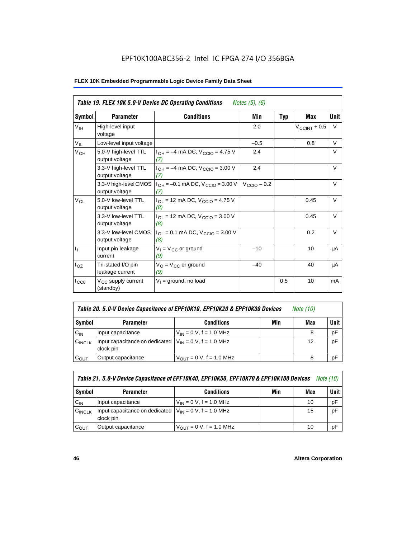# EPF10K100ABC356-2 Intel IC FPGA 274 I/O 356BGA

|                           | Table 19. FLEX 10K 5.0-V Device DC Operating Conditions<br><i>Notes</i> $(5)$ , $(6)$ |                                                   |                         |            |                   |        |
|---------------------------|---------------------------------------------------------------------------------------|---------------------------------------------------|-------------------------|------------|-------------------|--------|
| Symbol                    | <b>Parameter</b>                                                                      | <b>Conditions</b>                                 | Min                     | <b>Typ</b> | Max               | Unit   |
| V <sub>IH</sub>           | High-level input<br>voltage                                                           |                                                   | 2.0                     |            | $V_{CCINT} + 0.5$ | V      |
| $V_{IL}$                  | Low-level input voltage                                                               |                                                   | $-0.5$                  |            | 0.8               | V      |
| V <sub>OH</sub>           | 5.0-V high-level TTL<br>output voltage                                                | $I_{OH} = -4$ mA DC, $V_{CClO} = 4.75$ V<br>(7)   | 2.4                     |            |                   | V      |
|                           | 3.3-V high-level TTL<br>output voltage                                                | $I_{OH} = -4$ mA DC, $V_{CCIO} = 3.00$ V<br>(7)   | 2.4                     |            |                   | $\vee$ |
|                           | 3.3-V high-level CMOS<br>output voltage                                               | $I_{OH} = -0.1$ mA DC, $V_{CCIO} = 3.00$ V<br>(7) | $V_{\text{CCIO}} - 0.2$ |            |                   | $\vee$ |
| $V_{OL}$                  | 5.0-V low-level TTL<br>output voltage                                                 | $I_{OL}$ = 12 mA DC, $V_{CCIO}$ = 4.75 V<br>(8)   |                         |            | 0.45              | $\vee$ |
|                           | 3.3-V low-level TTL<br>output voltage                                                 | $I_{OL}$ = 12 mA DC, $V_{CCIO}$ = 3.00 V<br>(8)   |                         |            | 0.45              | $\vee$ |
|                           | 3.3-V low-level CMOS<br>output voltage                                                | $I_{OL}$ = 0.1 mA DC, $V_{CClO}$ = 3.00 V<br>(8)  |                         |            | 0.2               | $\vee$ |
| $\mathbf{I}_{\mathbf{I}}$ | Input pin leakage<br>current                                                          | $V_1 = V_{CC}$ or ground<br>(9)                   | $-10$                   |            | 10                | μA     |
| $I_{OZ}$                  | Tri-stated I/O pin<br>leakage current                                                 | $V_O = V_{CC}$ or ground<br>(9)                   | $-40$                   |            | 40                | μA     |
| $I_{CC0}$                 | V <sub>CC</sub> supply current<br>(standby)                                           | $V_1$ = ground, no load                           |                         | 0.5        | 10                | mA     |

| Table 20. 5.0-V Device Capacitance of EPF10K10, EPF10K20 & EPF10K30 Devices | Note (10) |  |
|-----------------------------------------------------------------------------|-----------|--|
|-----------------------------------------------------------------------------|-----------|--|

| Symbol             | <b>Parameter</b>                                                        | <b>Conditions</b>             | Min | Max | Unit |
|--------------------|-------------------------------------------------------------------------|-------------------------------|-----|-----|------|
| $C_{IN}$           | Input capacitance                                                       | $V_{IN} = 0 V$ , f = 1.0 MHz  |     |     | pF   |
| $C_{\text{INCLK}}$ | Input capacitance on dedicated $V_{1N} = 0$ V, f = 1.0 MHz<br>clock pin |                               |     | 12  | pF   |
| $C_{OUT}$          | Output capacitance                                                      | $V_{OIII}$ = 0 V, f = 1.0 MHz |     | 8   | рF   |

| Table 21. 5.0-V Device Capacitance of EPF10K40, EPF10K50, EPF10K70 & EPF10K100 Devices<br><i>Note (10)</i> |                                                                           |                               |     |     |      |  |
|------------------------------------------------------------------------------------------------------------|---------------------------------------------------------------------------|-------------------------------|-----|-----|------|--|
| Symbol                                                                                                     | <b>Parameter</b>                                                          | <b>Conditions</b>             | Min | Max | Unit |  |
| $C_{IN}$                                                                                                   | Input capacitance                                                         | $V_{IN} = 0 V$ , f = 1.0 MHz  |     | 10  | рF   |  |
| CINCLK                                                                                                     | Input capacitance on dedicated $ V_{IN} = 0 V$ , f = 1.0 MHz<br>clock pin |                               |     | 15  | pF   |  |
| $C_{OUT}$                                                                                                  | Output capacitance                                                        | $V_{OIII}$ = 0 V, f = 1.0 MHz |     | 10  | рF   |  |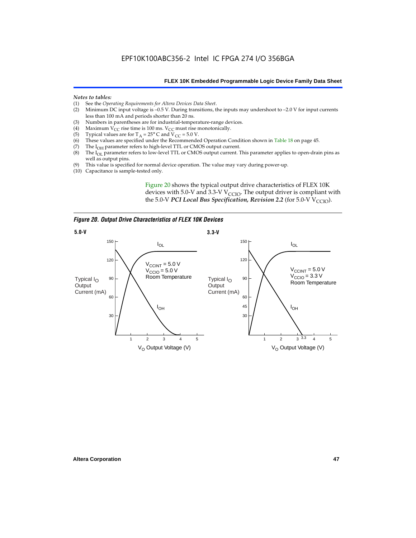#### *Notes to tables:*

- (1) See the *Operating Requirements for Altera Devices Data Sheet*.
- Minimum DC input voltage is  $-0.5$  V. During transitions, the inputs may undershoot to  $-2.0$  V for input currents less than 100 mA and periods shorter than 20 ns.
- (3) Numbers in parentheses are for industrial-temperature-range devices.<br>(4) Maximum  $V_{CC}$  rise time is 100 ms.  $V_{CC}$  must rise monotonically.
- (4) Maximum V<sub>CC</sub> rise time is 100 ms. V<sub>CC</sub> must rise monotonically.<br>(5) Typical values are for T<sub>A</sub> = 25° C and V<sub>CC</sub> = 5.0 V.
- (5) Typical values are for  $T_A = 25^\circ$  C and  $V_{CC} = 5.0$  V.<br>(6) These values are specified under the Recommende
- (6) These values are specified under the Recommended Operation Condition shown in Table 18 on page 45.<br>(7) The  $I_{OH}$  parameter refers to high-level TTL or CMOS output current.
- (7) The  $I_{OH}$  parameter refers to high-level TTL or CMOS output current.<br>(8) The  $I_{OL}$  parameter refers to low-level TTL or CMOS output current. T
- The I<sub>OL</sub> parameter refers to low-level TTL or CMOS output current. This parameter applies to open-drain pins as well as output pins.
- (9) This value is specified for normal device operation. The value may vary during power-up.
- (10) Capacitance is sample-tested only.

Figure 20 shows the typical output drive characteristics of FLEX 10K devices with 5.0-V and 3.3-V  $V_{CCIO}$ . The output driver is compliant with the 5.0-V *PCI Local Bus Specification, Revision 2.2* (for 5.0-V  $V_{\text{CCIO}}$ ).

*Figure 20. Output Drive Characteristics of FLEX 10K Devices*

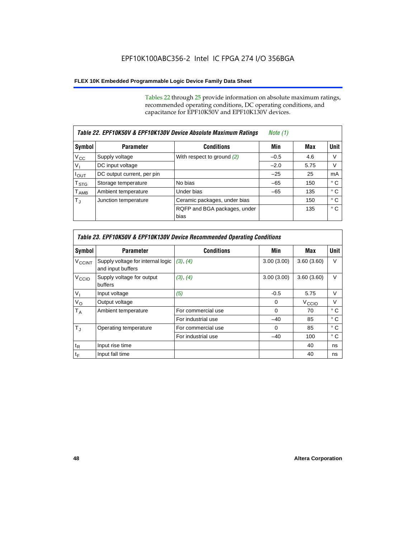Tables 22 through 25 provide information on absolute maximum ratings, recommended operating conditions, DC operating conditions, and capacitance for EPF10K50V and EPF10K130V devices.

| Table 22. EPF10K50V & EPF10K130V Device Absolute Maximum Ratings |                            |                                      |        |      |             |
|------------------------------------------------------------------|----------------------------|--------------------------------------|--------|------|-------------|
| Symbol                                                           | <b>Parameter</b>           | <b>Conditions</b>                    | Min    | Max  | <b>Unit</b> |
| $V_{\rm CC}$                                                     | Supply voltage             | With respect to ground $(2)$         | $-0.5$ | 4.6  | V           |
| $V_{I}$                                                          | DC input voltage           |                                      | $-2.0$ | 5.75 | V           |
| $I_{\text{OUT}}$                                                 | DC output current, per pin |                                      | $-25$  | 25   | mA          |
| $\mathsf{T}_{\text{STG}}$                                        | Storage temperature        | No bias                              | $-65$  | 150  | ° C         |
| $T_{\sf AMB}$                                                    | Ambient temperature        | Under bias                           | $-65$  | 135  | ° C         |
| $T_{\rm J}$                                                      | Junction temperature       | Ceramic packages, under bias         |        | 150  | ° C         |
|                                                                  |                            | RQFP and BGA packages, under<br>bias |        | 135  | ° C         |

|                          | Table 23. EPF10K50V & EPF10K130V Device Recommended Operating Conditions |                    |            |                   |              |  |  |  |
|--------------------------|--------------------------------------------------------------------------|--------------------|------------|-------------------|--------------|--|--|--|
| Symbol                   | <b>Parameter</b>                                                         | <b>Conditions</b>  | Min        | Max               | <b>Unit</b>  |  |  |  |
| <b>V<sub>CCINT</sub></b> | Supply voltage for internal logic<br>and input buffers                   | (3), (4)           | 3.00(3.00) | 3.60(3.60)        | $\vee$       |  |  |  |
| V <sub>CCIO</sub>        | Supply voltage for output<br>buffers                                     | (3), (4)           | 3.00(3.00) | 3.60(3.60)        | V            |  |  |  |
| $V_{1}$                  | Input voltage                                                            | (5)                | $-0.5$     | 5.75              | $\vee$       |  |  |  |
| $V_{\rm O}$              | Output voltage                                                           |                    | $\Omega$   | V <sub>CCIO</sub> | V            |  |  |  |
| $T_A$                    | Ambient temperature                                                      | For commercial use | $\Omega$   | 70                | $^{\circ}$ C |  |  |  |
|                          |                                                                          | For industrial use | $-40$      | 85                | ° C          |  |  |  |
| $T_{\rm J}$              | Operating temperature                                                    | For commercial use | $\Omega$   | 85                | $^{\circ}$ C |  |  |  |
|                          |                                                                          | For industrial use | $-40$      | 100               | ° C          |  |  |  |
| $t_{R}$                  | Input rise time                                                          |                    |            | 40                | ns           |  |  |  |
| $t_F$                    | Input fall time                                                          |                    |            | 40                | ns           |  |  |  |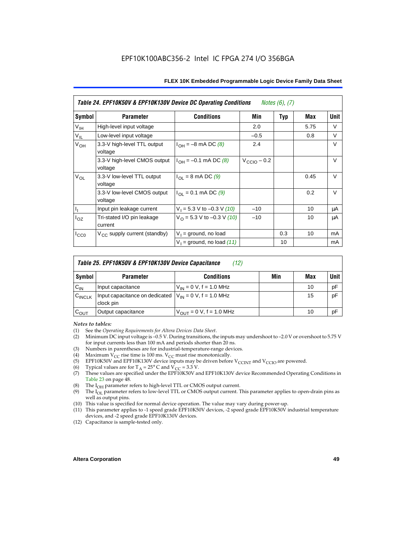| Table 24. EPF10K50V & EPF10K130V Device DC Operating Conditions<br><i>Notes</i> $(6)$ , $(7)$ |                                          |                                          |                         |            |      |      |
|-----------------------------------------------------------------------------------------------|------------------------------------------|------------------------------------------|-------------------------|------------|------|------|
| <b>Symbol</b>                                                                                 | <b>Parameter</b>                         | <b>Conditions</b>                        | Min                     | <b>Typ</b> | Max  | Unit |
| $\mathsf{V}_{\mathsf{IH}}$                                                                    | High-level input voltage                 |                                          | 2.0                     |            | 5.75 | V    |
| $V_{IL}$                                                                                      | Low-level input voltage                  |                                          | $-0.5$                  |            | 0.8  | V    |
| V <sub>OH</sub>                                                                               | 3.3-V high-level TTL output<br>voltage   | $I_{OH} = -8$ mA DC (8)                  | 2.4                     |            |      | V    |
|                                                                                               | 3.3-V high-level CMOS output<br>voltage  | $I_{OH} = -0.1$ mA DC (8)                | $V_{\text{CCIO}} - 0.2$ |            |      | V    |
| $V_{OL}$                                                                                      | 3.3-V low-level TTL output<br>voltage    | $I_{OL} = 8$ mA DC (9)                   |                         |            | 0.45 | V    |
|                                                                                               | 3.3-V low-level CMOS output<br>voltage   | $I_{\text{OI}} = 0.1 \text{ mA DC } (9)$ |                         |            | 0.2  | V    |
| H,                                                                                            | Input pin leakage current                | $V_1 = 5.3$ V to -0.3 V (10)             | $-10$                   |            | 10   | μA   |
| $I_{OZ}$                                                                                      | Tri-stated I/O pin leakage<br>current    | $V_O = 5.3$ V to -0.3 V (10)             | $-10$                   |            | 10   | μA   |
| $I_{CC0}$                                                                                     | $V_{\text{CC}}$ supply current (standby) | $V_1$ = ground, no load                  |                         | 0.3        | 10   | mA   |
|                                                                                               |                                          | $V_1$ = ground, no load (11)             |                         | 10         |      | mA   |

| Table 25. EPF10K50V & EPF10K130V Device Capacitance<br>(12) |                                                                           |                               |     |     |             |  |
|-------------------------------------------------------------|---------------------------------------------------------------------------|-------------------------------|-----|-----|-------------|--|
| Symbol                                                      | <b>Parameter</b>                                                          | <b>Conditions</b>             | Min | Max | <b>Unit</b> |  |
| $C_{IN}$                                                    | Input capacitance                                                         | $V_{IN} = 0$ V, f = 1.0 MHz   |     | 10  | pF          |  |
| CINCLK                                                      | Input capacitance on dedicated $ V_{IN} = 0 V$ , f = 1.0 MHz<br>clock pin |                               |     | 15  | pF          |  |
| $C_{OUT}$                                                   | Output capacitance                                                        | $V_{OUT} = 0 V$ , f = 1.0 MHz |     | 10  | pF          |  |

#### *Notes to tables:*

- (1) See the *Operating Requirements for Altera Devices Data Sheet*.
- Minimum DC input voltage is –0.5 V. During transitions, the inputs may undershoot to –2.0 V or overshoot to 5.75 V for input currents less than 100 mA and periods shorter than 20 ns.
- (3) Numbers in parentheses are for industrial-temperature-range devices.<br>(4) Maximum  $V_{CC}$  rise time is 100 ms.  $V_{CC}$  must rise monotonically.
- (4) Maximum  $V_{CC}$  rise time is 100 ms.  $V_{CC}$  must rise monotonically.<br>(5) EPF10K50V and EPF10K130V device inputs may be driven before
- (5) EPF10K50V and EPF10K130V device inputs may be driven before V<sub>CCINT</sub> and V<sub>CCIO</sub> are powered.<br>(6) Typical values are for T<sub>A</sub> = 25° C and V<sub>CC</sub> = 3.3 V.
- Typical values are for  $T_A = 25^\circ$  C and  $V_{CC} = 3.3$  V.
- (7) These values are specified under the EPF10K50V and EPF10K130V device Recommended Operating Conditions in Table 23 on page 48.
- (8) The  $I<sub>OH</sub>$  parameter refers to high-level TTL or CMOS output current.
- (9) The  $I_{OL}$  parameter refers to low-level TTL or CMOS output current. This parameter applies to open-drain pins as well as output pins.
- (10) This value is specified for normal device operation. The value may vary during power-up.
- (11) This parameter applies to -1 speed grade EPF10K50V devices, -2 speed grade EPF10K50V industrial temperature devices, and -2 speed grade EPF10K130V devices.
- (12) Capacitance is sample-tested only.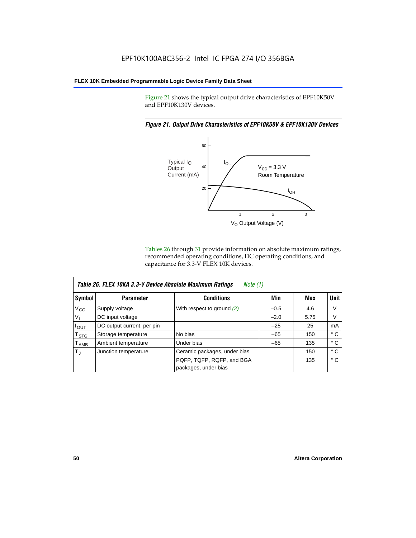Figure 21 shows the typical output drive characteristics of EPF10K50V and EPF10K130V devices.

### *Figure 21. Output Drive Characteristics of EPF10K50V & EPF10K130V Devices*



Tables 26 through 31 provide information on absolute maximum ratings, recommended operating conditions, DC operating conditions, and capacitance for 3.3-V FLEX 10K devices.

| Table 26. FLEX 10KA 3.3-V Device Absolute Maximum Ratings<br>Note (1) |                            |                              |        |      |              |  |  |
|-----------------------------------------------------------------------|----------------------------|------------------------------|--------|------|--------------|--|--|
| Symbol                                                                | <b>Parameter</b>           | <b>Conditions</b>            | Min    | Max  | <b>Unit</b>  |  |  |
| $V_{\rm CC}$                                                          | Supply voltage             | With respect to ground $(2)$ | $-0.5$ | 4.6  | V            |  |  |
| $V_{1}$                                                               | DC input voltage           |                              | $-2.0$ | 5.75 | V            |  |  |
| $I_{OUT}$                                                             | DC output current, per pin |                              | $-25$  | 25   | mA           |  |  |
| $T_{\text{STG}}$                                                      | Storage temperature        | No bias                      | $-65$  | 150  | $^{\circ}$ C |  |  |
| $T_{\sf AMB}$                                                         | Ambient temperature        | Under bias                   | $-65$  | 135  | ° C          |  |  |
| $T_{\rm J}$                                                           | Junction temperature       | Ceramic packages, under bias |        | 150  | ° C          |  |  |
|                                                                       |                            | PQFP, TQFP, RQFP, and BGA    |        | 135  | $^{\circ}$ C |  |  |
|                                                                       |                            | packages, under bias         |        |      |              |  |  |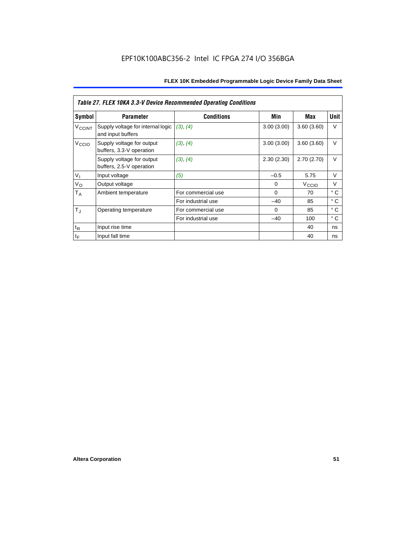| <b>Table 27. FLEX 10KA 3.3-V Device Recommended Operating Conditions</b> |                                                        |                    |            |                   |              |  |  |
|--------------------------------------------------------------------------|--------------------------------------------------------|--------------------|------------|-------------------|--------------|--|--|
| Symbol                                                                   | <b>Parameter</b>                                       | <b>Conditions</b>  | Min        | Max               | Unit         |  |  |
| V <sub>CCINT</sub>                                                       | Supply voltage for internal logic<br>and input buffers | (3), (4)           | 3.00(3.00) | 3.60(3.60)        | V            |  |  |
| V <sub>CCIO</sub>                                                        | Supply voltage for output<br>buffers, 3.3-V operation  | (3), (4)           | 3.00(3.00) | 3.60(3.60)        | $\vee$       |  |  |
|                                                                          | Supply voltage for output<br>buffers, 2.5-V operation  | (3), (4)           | 2.30(2.30) | 2.70(2.70)        | $\vee$       |  |  |
| $V_{I}$                                                                  | Input voltage                                          | (5)                | $-0.5$     | 5.75              | $\vee$       |  |  |
| $V_{\rm O}$                                                              | Output voltage                                         |                    | 0          | V <sub>CCIO</sub> | $\vee$       |  |  |
| $T_A$                                                                    | Ambient temperature                                    | For commercial use | $\Omega$   | 70                | $^{\circ}$ C |  |  |
|                                                                          |                                                        | For industrial use | $-40$      | 85                | $^{\circ}$ C |  |  |
| $T_{\rm J}$                                                              | Operating temperature                                  | For commercial use | $\Omega$   | 85                | ° C          |  |  |
|                                                                          |                                                        | For industrial use | $-40$      | 100               | ° C          |  |  |
| $t_{R}$                                                                  | Input rise time                                        |                    |            | 40                | ns           |  |  |
| $t_F$                                                                    | Input fall time                                        |                    |            | 40                | ns           |  |  |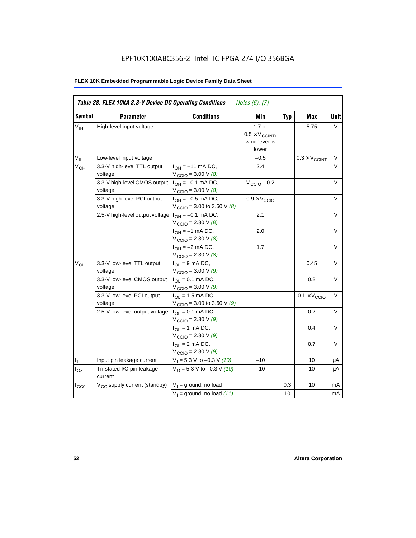# EPF10K100ABC356-2 Intel IC FPGA 274 I/O 356BGA

| Table 28. FLEX 10KA 3.3-V Device DC Operating Conditions<br><i>Notes</i> $(6)$ , $(7)$ |                                          |                                                                   |                                                             |            |                              |        |
|----------------------------------------------------------------------------------------|------------------------------------------|-------------------------------------------------------------------|-------------------------------------------------------------|------------|------------------------------|--------|
| Symbol                                                                                 | <b>Parameter</b>                         | <b>Conditions</b>                                                 | Min                                                         | <b>Typ</b> | Max                          | Unit   |
| $V_{\text{IH}}$                                                                        | High-level input voltage                 |                                                                   | $1.7$ or<br>$0.5 \times V_{CCINT}$<br>whichever is<br>lower |            | 5.75                         | V      |
| $V_{IL}$                                                                               | Low-level input voltage                  |                                                                   | $-0.5$                                                      |            | $0.3 \times V_{CCINT}$       | V      |
| V <sub>OH</sub>                                                                        | 3.3-V high-level TTL output<br>voltage   | $I_{OH} = -11$ mA DC,<br>$V_{\text{CCIO}} = 3.00 V (8)$           | 2.4                                                         |            |                              | V      |
|                                                                                        | 3.3-V high-level CMOS output<br>voltage  | $I_{OH} = -0.1$ mA DC,<br>$V_{\text{CCIO}} = 3.00 \text{ V } (8)$ | $V_{\text{CCIO}} - 0.2$                                     |            |                              | V      |
|                                                                                        | 3.3-V high-level PCI output<br>voltage   | $I_{OH} = -0.5$ mA DC,<br>$V_{\text{CCIO}} = 3.00$ to 3.60 V (8)  | $0.9 \times V_{\text{CCIO}}$                                |            |                              | V      |
|                                                                                        | 2.5-V high-level output voltage          | $I_{OH} = -0.1$ mA DC,<br>$V_{\text{CCIO}} = 2.30 \text{ V } (8)$ | 2.1                                                         |            |                              | V      |
|                                                                                        |                                          | $I_{OH} = -1$ mA DC,<br>$V_{\text{CCIO}} = 2.30 \text{ V } (8)$   | 2.0                                                         |            |                              | $\vee$ |
|                                                                                        |                                          | $I_{OH} = -2$ mA DC,<br>$V_{\text{CCIO}} = 2.30 \text{ V} (8)$    | 1.7                                                         |            |                              | V      |
| V <sub>OL</sub>                                                                        | 3.3-V low-level TTL output<br>voltage    | $I_{OL}$ = 9 mA DC,<br>$V_{\text{CCIO}} = 3.00 V (9)$             |                                                             |            | 0.45                         | V      |
|                                                                                        | 3.3-V low-level CMOS output<br>voltage   | $I_{OL} = 0.1$ mA DC,<br>$V_{\text{CCIO}} = 3.00 \text{ V} (9)$   |                                                             |            | 0.2                          | $\vee$ |
|                                                                                        | 3.3-V low-level PCI output<br>voltage    | $I_{OL}$ = 1.5 mA DC,<br>$V_{\text{CCIO}} = 3.00$ to 3.60 V (9)   |                                                             |            | $0.1 \times V_{\text{CCIO}}$ | $\vee$ |
|                                                                                        | 2.5-V low-level output voltage           | $I_{OL} = 0.1$ mA DC,<br>$V_{\text{CCIO}} = 2.30 V (9)$           |                                                             |            | 0.2                          | V      |
|                                                                                        |                                          | $I_{OL}$ = 1 mA DC,<br>$V_{\text{CCIO}} = 2.30 V (9)$             |                                                             |            | 0.4                          | V      |
|                                                                                        |                                          | $I_{OL}$ = 2 mA DC,<br>$V_{\text{CCIO}} = 2.30 V(9)$              |                                                             |            | 0.7                          | V      |
| $\mathbf{I}_{\mathbf{I}}$                                                              | Input pin leakage current                | $V_1 = 5.3$ V to $-0.3$ V (10)                                    | $-10$                                                       |            | 10                           | μA     |
| $I_{OZ}$                                                                               | Tri-stated I/O pin leakage<br>current    | $V_O = 5.3 V to -0.3 V (10)$                                      | $-10$                                                       |            | 10                           | μA     |
| $I_{CC0}$                                                                              | V <sub>CC</sub> supply current (standby) | $V_1$ = ground, no load                                           |                                                             | 0.3        | 10                           | mA     |
|                                                                                        |                                          | $V_1$ = ground, no load (11)                                      |                                                             | 10         |                              | mA     |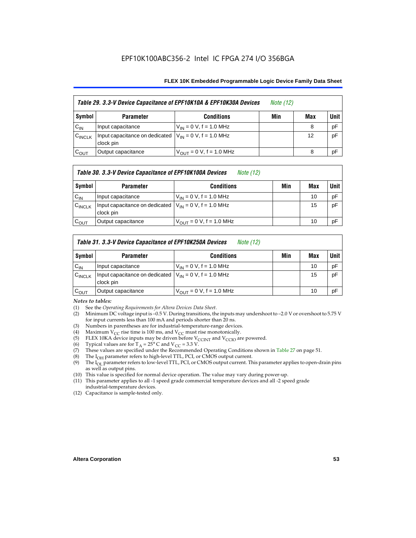| Table 29. 3.3-V Device Capacitance of EPF10K10A & EPF10K30A Devices |                                                                           |                               | <i>Note</i> (12) |     |        |
|---------------------------------------------------------------------|---------------------------------------------------------------------------|-------------------------------|------------------|-----|--------|
| Symbol                                                              | <b>Parameter</b>                                                          | <b>Conditions</b>             | Min              | Max | Unit I |
| $C_{IN}$                                                            | Input capacitance                                                         | $V_{IN} = 0 V$ , f = 1.0 MHz  |                  | 8   | pF     |
| $C_{\text{INCLK}}$                                                  | Input capacitance on dedicated $ V_{IN} = 0 V$ , f = 1.0 MHz<br>clock pin |                               |                  | 12  | pF     |
| $C_{OUT}$                                                           | Output capacitance                                                        | $V_{OUT} = 0 V$ , f = 1.0 MHz |                  | 8   | pF     |

#### *Table 30. 3.3-V Device Capacitance of EPF10K100A Devices Note (12)*

| Symbol             | <b>Parameter</b>                                                        | <b>Conditions</b>                   | Min | Max | <b>Unit</b> |
|--------------------|-------------------------------------------------------------------------|-------------------------------------|-----|-----|-------------|
| $C_{IN}$           | Input capacitance                                                       | $V_{IN} = 0 V$ , f = 1.0 MHz        |     | 10  | pF          |
| $C_{\text{INCLK}}$ | Input capacitance on dedicated $V_{1N} = 0$ V, f = 1.0 MHz<br>clock pin |                                     |     | 15  | pF          |
| $\mathrm{c_{out}}$ | Output capacitance                                                      | $V_{\text{OUT}} = 0$ V, f = 1.0 MHz |     | 10  | pF          |

## *Table 31. 3.3-V Device Capacitance of EPF10K250A Devices Note (12)*

| Symbol             | <b>Parameter</b>                                                          | <b>Conditions</b>                                           | Min | Max | <b>Unit</b> |
|--------------------|---------------------------------------------------------------------------|-------------------------------------------------------------|-----|-----|-------------|
| $C_{IN}$           | Input capacitance                                                         | $V_{IN} = 0 V$ , f = 1.0 MHz                                |     | 10  | pF          |
| $C_{\text{INCLK}}$ | Input capacitance on dedicated $ V_{IN} = 0 V$ , f = 1.0 MHz<br>clock pin |                                                             |     | 15  | pF          |
| $C_{\text{OUT}}$   | Output capacitance                                                        | $V_{\text{OUT}} = 0 \text{ V}, \text{ f} = 1.0 \text{ MHz}$ |     | 10  | pF          |

#### *Notes to tables:*

- (1) See the *Operating Requirements for Altera Devices Data Sheet*.
- (2) Minimum DC voltage input is –0.5 V. During transitions, the inputs may undershoot to –2.0 V or overshoot to 5.75 V for input currents less than 100 mA and periods shorter than 20 ns.
- (3) Numbers in parentheses are for industrial-temperature-range devices.
- 
- (4) Maximum V<sub>CC</sub> rise time is 100 ms, and V<sub>CC</sub> must rise monotonically.<br>(5) ELEX 10KA device inputs may be driven before V<sub>CCINT</sub> and V<sub>CCIO</sub> ar (5) FLEX 10KA device inputs may be driven before  $V_{CCTN}$  and  $V_{CCTO}$  are powered.<br>(6) Typical values are for T<sub>A</sub> = 25° C and  $V_{CC}$  = 3.3 V.
- (6) Typical values are for  $T_A = 25^\circ$  C and  $V_{CC} = 3.3$  V.<br>(7) These values are specified under the Recommende
- These values are specified under the Recommended Operating Conditions shown in Table 27 on page 51.
- (8) The  $I_{OH}$  parameter refers to high-level TTL, PCI, or CMOS output current. The  $I_{OH}$  parameter refers to low-level TTL, PCI, or CMOS output current. The
- The I<sub>OL</sub> parameter refers to low-level TTL, PCI, or CMOS output current. This parameter applies to open-drain pins as well as output pins.
- (10) This value is specified for normal device operation. The value may vary during power-up.
- (11) This parameter applies to all -1 speed grade commercial temperature devices and all -2 speed grade industrial-temperature devices.
- (12) Capacitance is sample-tested only.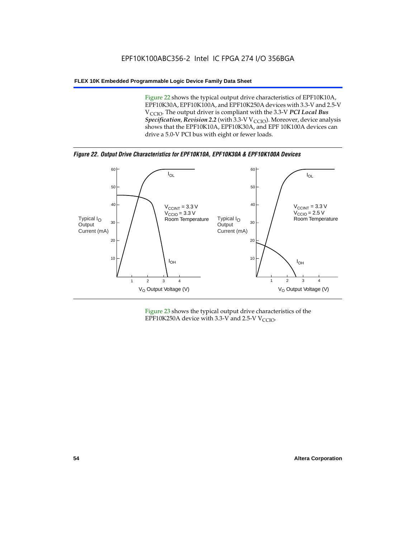Figure 22 shows the typical output drive characteristics of EPF10K10A, EPF10K30A, EPF10K100A, and EPF10K250A devices with 3.3-V and 2.5-V V<sub>CCIO</sub>. The output driver is compliant with the 3.3-V PCI Local Bus *Specification, Revision 2.2* (with 3.3-V V<sub>CCIO</sub>). Moreover, device analysis shows that the EPF10K10A, EPF10K30A, and EPF 10K100A devices can drive a 5.0-V PCI bus with eight or fewer loads.

*Figure 22. Output Drive Characteristics for EPF10K10A, EPF10K30A & EPF10K100A Devices*



Figure 23 shows the typical output drive characteristics of the EPF10K250A device with 3.3-V and 2.5-V  $V_{\text{CCIO}}$ .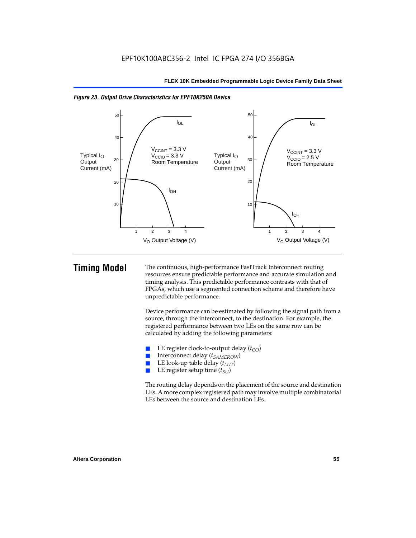



**Timing Model** The continuous, high-performance FastTrack Interconnect routing resources ensure predictable performance and accurate simulation and timing analysis. This predictable performance contrasts with that of FPGAs, which use a segmented connection scheme and therefore have unpredictable performance.

> Device performance can be estimated by following the signal path from a source, through the interconnect, to the destination. For example, the registered performance between two LEs on the same row can be calculated by adding the following parameters:

- **E** LE register clock-to-output delay  $(t_{CO})$ <br> **E** Interconnect delay  $(t_{CMBOW})$
- Interconnect delay (*t<sub>SAMEROW</sub>*)
- LE look-up table delay  $(t_{LUT})$
- LE register setup time ( $t_{SI}$ )

The routing delay depends on the placement of the source and destination LEs. A more complex registered path may involve multiple combinatorial LEs between the source and destination LEs.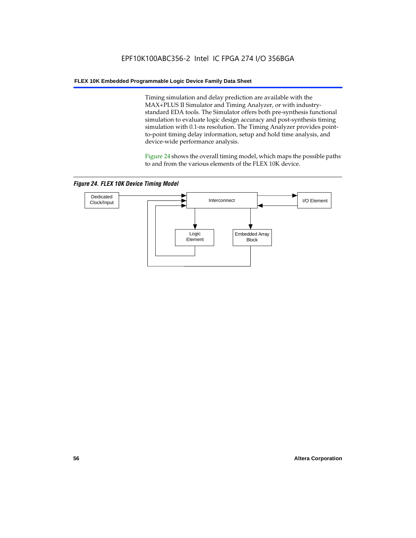Timing simulation and delay prediction are available with the MAX+PLUS II Simulator and Timing Analyzer, or with industrystandard EDA tools. The Simulator offers both pre-synthesis functional simulation to evaluate logic design accuracy and post-synthesis timing simulation with 0.1-ns resolution. The Timing Analyzer provides pointto-point timing delay information, setup and hold time analysis, and device-wide performance analysis.

Figure 24 shows the overall timing model, which maps the possible paths to and from the various elements of the FLEX 10K device.

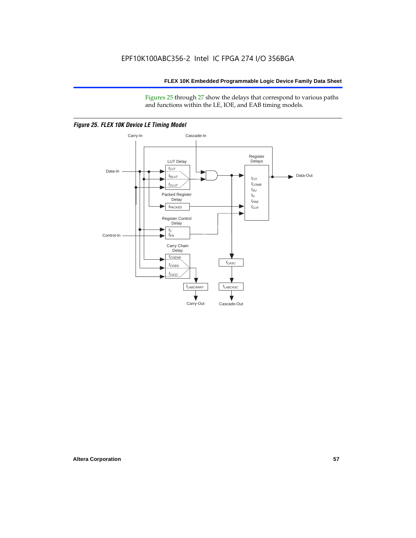Figures 25 through 27 show the delays that correspond to various paths and functions within the LE, IOE, and EAB timing models.



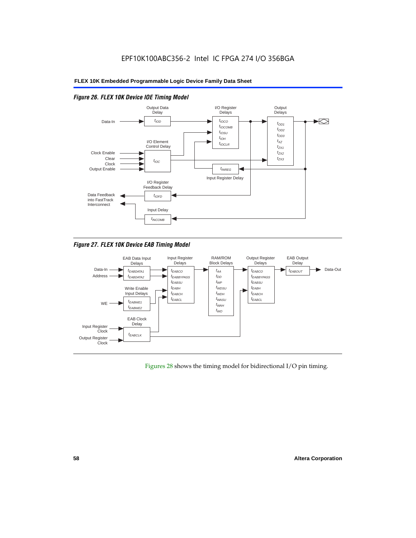

# *Figure 26. FLEX 10K Device IOE Timing Model*

*Figure 27. FLEX 10K Device EAB Timing Model*



Figures 28 shows the timing model for bidirectional I/O pin timing.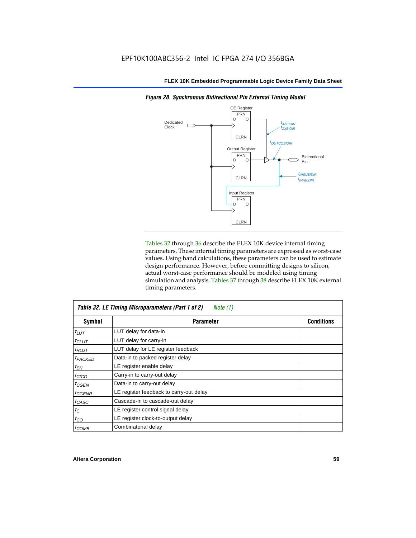

*Figure 28. Synchronous Bidirectional Pin External Timing Model*

Tables 32 through 36 describe the FLEX 10K device internal timing parameters. These internal timing parameters are expressed as worst-case values. Using hand calculations, these parameters can be used to estimate design performance. However, before committing designs to silicon, actual worst-case performance should be modeled using timing simulation and analysis. Tables 37 through 38 describe FLEX 10K external timing parameters.

| Table 32. LE Timing Microparameters (Part 1 of 2)<br>Note $(1)$ |                                         |                   |  |  |
|-----------------------------------------------------------------|-----------------------------------------|-------------------|--|--|
| Symbol                                                          | <b>Parameter</b>                        | <b>Conditions</b> |  |  |
| $t_{LUT}$                                                       | LUT delay for data-in                   |                   |  |  |
| $t_{CLUT}$                                                      | LUT delay for carry-in                  |                   |  |  |
| $t_{RLUT}$                                                      | LUT delay for LE register feedback      |                   |  |  |
| <b><i>EPACKED</i></b>                                           | Data-in to packed register delay        |                   |  |  |
| $t_{EN}$                                                        | LE register enable delay                |                   |  |  |
| $t_{CICO}$                                                      | Carry-in to carry-out delay             |                   |  |  |
| <sup>t</sup> CGEN                                               | Data-in to carry-out delay              |                   |  |  |
| <sup>t</sup> CGENR                                              | LE register feedback to carry-out delay |                   |  |  |
| t <sub>CASC</sub>                                               | Cascade-in to cascade-out delay         |                   |  |  |
| $t_C$                                                           | LE register control signal delay        |                   |  |  |
| $t_{CO}$                                                        | LE register clock-to-output delay       |                   |  |  |
| $t_{COMB}$                                                      | Combinatorial delay                     |                   |  |  |

Г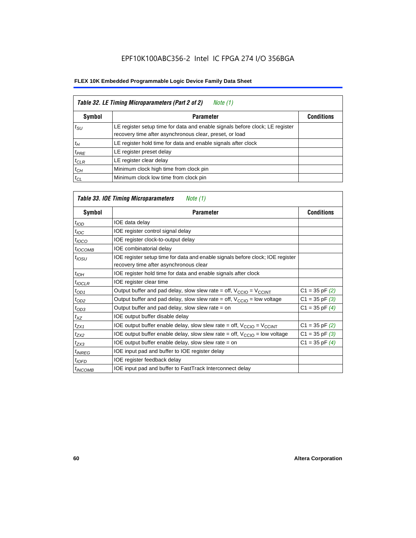| Table 32. LE Timing Microparameters (Part 2 of 2)<br>Note (1) |                                                                                                                                         |                   |  |  |  |
|---------------------------------------------------------------|-----------------------------------------------------------------------------------------------------------------------------------------|-------------------|--|--|--|
| <b>Symbol</b>                                                 | <b>Parameter</b>                                                                                                                        | <b>Conditions</b> |  |  |  |
| $t_{\rm SU}$                                                  | LE register setup time for data and enable signals before clock; LE register<br>recovery time after asynchronous clear, preset, or load |                   |  |  |  |
| $t_H$                                                         | LE register hold time for data and enable signals after clock                                                                           |                   |  |  |  |
| $t_{PRE}$                                                     | LE register preset delay                                                                                                                |                   |  |  |  |
| $t_{CLR}$                                                     | LE register clear delay                                                                                                                 |                   |  |  |  |
| $t_{CH}$                                                      | Minimum clock high time from clock pin                                                                                                  |                   |  |  |  |
| $t_{CL}$                                                      | Minimum clock low time from clock pin                                                                                                   |                   |  |  |  |

# *Table 33. IOE Timing Microparameters Note (1)*

| Symbol              | <b>Parameter</b>                                                                                                         | <b>Conditions</b>  |
|---------------------|--------------------------------------------------------------------------------------------------------------------------|--------------------|
| t <sub>IOD</sub>    | IOE data delay                                                                                                           |                    |
| $t_{\text{IOC}}$    | IOE register control signal delay                                                                                        |                    |
| $t_{IOCO}$          | IOE register clock-to-output delay                                                                                       |                    |
| $t_{IOCOMB}$        | IOE combinatorial delay                                                                                                  |                    |
| $t_{IOSU}$          | IOE register setup time for data and enable signals before clock; IOE register<br>recovery time after asynchronous clear |                    |
| $t_{IOH}$           | IOE register hold time for data and enable signals after clock                                                           |                    |
| $t_{IOCLR}$         | IOE register clear time                                                                                                  |                    |
| $t_{OD1}$           | Output buffer and pad delay, slow slew rate = off, $V_{\text{CCIO}} = V_{\text{CCINT}}$                                  | $C1 = 35$ pF $(2)$ |
| $t_{OD2}$           | Output buffer and pad delay, slow slew rate = off, $V_{\text{CCIO}}$ = low voltage                                       | $C1 = 35$ pF $(3)$ |
| $t_{OD3}$           | Output buffer and pad delay, slow slew rate $=$ on                                                                       | $C1 = 35$ pF $(4)$ |
| $t_{XZ}$            | IOE output buffer disable delay                                                                                          |                    |
| $t_{ZX1}$           | IOE output buffer enable delay, slow slew rate = off, $V_{\text{CCIO}} = V_{\text{CCINT}}$                               | $C1 = 35$ pF $(2)$ |
| $t_{ZX2}$           | IOE output buffer enable delay, slow slew rate = off, $V_{\text{CCIO}}$ = low voltage                                    | $C1 = 35$ pF $(3)$ |
| $t_{ZX3}$           | IOE output buffer enable delay, slow slew rate $=$ on                                                                    | $C1 = 35$ pF $(4)$ |
| <sup>t</sup> INREG  | IOE input pad and buffer to IOE register delay                                                                           |                    |
| $t_{IOFD}$          | IOE register feedback delay                                                                                              |                    |
| <sup>t</sup> INCOMB | IOE input pad and buffer to FastTrack Interconnect delay                                                                 |                    |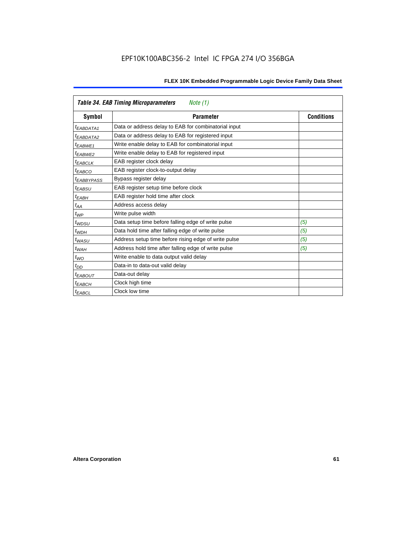|                        | <b>Table 34. EAB Timing Microparameters</b><br>Note (1) |                   |  |  |  |
|------------------------|---------------------------------------------------------|-------------------|--|--|--|
| Symbol                 | <b>Parameter</b>                                        | <b>Conditions</b> |  |  |  |
| $t_{EABDATA1}$         | Data or address delay to EAB for combinatorial input    |                   |  |  |  |
| <sup>t</sup> EABDATA2  | Data or address delay to EAB for registered input       |                   |  |  |  |
| $t_{EABWE1}$           | Write enable delay to EAB for combinatorial input       |                   |  |  |  |
| t <sub>EABWE2</sub>    | Write enable delay to EAB for registered input          |                   |  |  |  |
| <b><i>EABCLK</i></b>   | EAB register clock delay                                |                   |  |  |  |
| $t_{EABCO}$            | EAB register clock-to-output delay                      |                   |  |  |  |
| <sup>t</sup> EABBYPASS | Bypass register delay                                   |                   |  |  |  |
| t <sub>EABSU</sub>     | EAB register setup time before clock                    |                   |  |  |  |
| <sup>t</sup> EABH      | EAB register hold time after clock                      |                   |  |  |  |
| $t_{AA}$               | Address access delay                                    |                   |  |  |  |
| $t_{WP}$               | Write pulse width                                       |                   |  |  |  |
| $t_{WDSU}$             | Data setup time before falling edge of write pulse      | (5)               |  |  |  |
| $t_{WDH}$              | Data hold time after falling edge of write pulse        | (5)               |  |  |  |
| $t_{WASU}$             | Address setup time before rising edge of write pulse    | (5)               |  |  |  |
| $t_{WAH}$              | Address hold time after falling edge of write pulse     | (5)               |  |  |  |
| $t_{WO}$               | Write enable to data output valid delay                 |                   |  |  |  |
| $t_{DD}$               | Data-in to data-out valid delay                         |                   |  |  |  |
| $t_{EABOUT}$           | Data-out delay                                          |                   |  |  |  |
| t <sub>EABCH</sub>     | Clock high time                                         |                   |  |  |  |
| <sup>t</sup> EABCL     | Clock low time                                          |                   |  |  |  |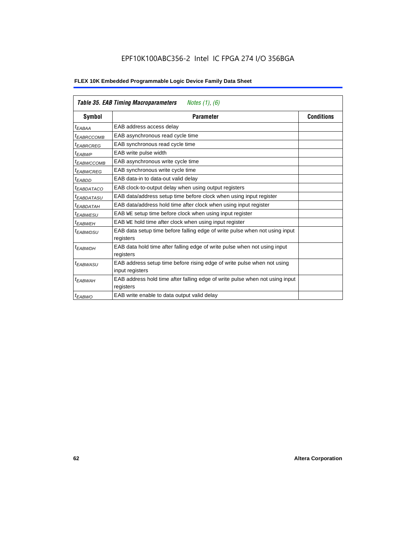|                        | <b>Table 35. EAB Timing Macroparameters</b><br><i>Notes (1), (6)</i>                       |                   |
|------------------------|--------------------------------------------------------------------------------------------|-------------------|
| Symbol                 | <b>Parameter</b>                                                                           | <b>Conditions</b> |
| t <sub>EABAA</sub>     | EAB address access delay                                                                   |                   |
| <sup>t</sup> EABRCCOMB | EAB asynchronous read cycle time                                                           |                   |
| <sup>t</sup> EABRCREG  | EAB synchronous read cycle time                                                            |                   |
| <sup>t</sup> EABWP     | EAB write pulse width                                                                      |                   |
| <sup>t</sup> EABWCCOMB | EAB asynchronous write cycle time                                                          |                   |
| <sup>t</sup> EABWCREG  | EAB synchronous write cycle time                                                           |                   |
| <sup>t</sup> EABDD     | EAB data-in to data-out valid delay                                                        |                   |
| <sup>t</sup> EABDATACO | EAB clock-to-output delay when using output registers                                      |                   |
| <sup>t</sup> EABDATASU | EAB data/address setup time before clock when using input register                         |                   |
| <sup>t</sup> EABDATAH  | EAB data/address hold time after clock when using input register                           |                   |
| <sup>t</sup> EABWESU   | EAB WE setup time before clock when using input register                                   |                   |
| <sup>t</sup> EABWEH    | EAB WE hold time after clock when using input register                                     |                   |
| <sup>t</sup> EABWDSU   | EAB data setup time before falling edge of write pulse when not using input<br>registers   |                   |
| $t_{EABWDH}$           | EAB data hold time after falling edge of write pulse when not using input<br>registers     |                   |
| <sup>t</sup> EABWASU   | EAB address setup time before rising edge of write pulse when not using<br>input registers |                   |
| <sup>t</sup> EABWAH    | EAB address hold time after falling edge of write pulse when not using input<br>registers  |                   |
| <sup>t</sup> EABWO     | EAB write enable to data output valid delay                                                |                   |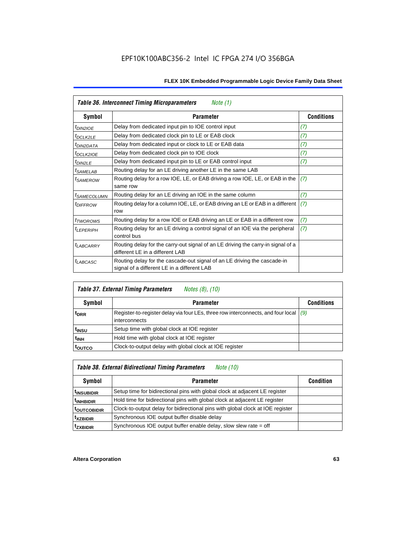| Table 36. Interconnect Timing Microparameters<br>Note $(1)$ |                                                                                                                         |                   |  |  |  |  |
|-------------------------------------------------------------|-------------------------------------------------------------------------------------------------------------------------|-------------------|--|--|--|--|
| Symbol                                                      | <b>Parameter</b>                                                                                                        | <b>Conditions</b> |  |  |  |  |
| <sup>t</sup> DIN2IOE                                        | Delay from dedicated input pin to IOE control input                                                                     | (7)               |  |  |  |  |
| <sup>t</sup> DCLK2LE                                        | Delay from dedicated clock pin to LE or EAB clock                                                                       | (7)               |  |  |  |  |
| <sup>t</sup> DIN2DATA                                       | Delay from dedicated input or clock to LE or EAB data                                                                   | (7)               |  |  |  |  |
| <sup>t</sup> DCLK2IOE                                       | Delay from dedicated clock pin to IOE clock                                                                             | (7)               |  |  |  |  |
| $t_{DIN2LE}$                                                | Delay from dedicated input pin to LE or EAB control input                                                               | (7)               |  |  |  |  |
| <sup>t</sup> SAMELAB                                        | Routing delay for an LE driving another LE in the same LAB                                                              |                   |  |  |  |  |
| <sup>t</sup> SAMEROW                                        | Routing delay for a row IOE, LE, or EAB driving a row IOE, LE, or EAB in the<br>same row                                | (7)               |  |  |  |  |
| <sup>t</sup> SAMECOLUMN                                     | Routing delay for an LE driving an IOE in the same column                                                               | (7)               |  |  |  |  |
| <i>t<sub>DIFFROW</sub></i>                                  | Routing delay for a column IOE, LE, or EAB driving an LE or EAB in a different<br>row                                   | (7)               |  |  |  |  |
| <i>t</i> TWOROWS                                            | Routing delay for a row IOE or EAB driving an LE or EAB in a different row                                              | (7)               |  |  |  |  |
| <sup>t</sup> LEPERIPH                                       | Routing delay for an LE driving a control signal of an IOE via the peripheral<br>control bus                            | (7)               |  |  |  |  |
| <b>LABCARRY</b>                                             | Routing delay for the carry-out signal of an LE driving the carry-in signal of a<br>different LE in a different LAB     |                   |  |  |  |  |
| $t_{LABCASC}$                                               | Routing delay for the cascade-out signal of an LE driving the cascade-in<br>signal of a different LE in a different LAB |                   |  |  |  |  |

|                    | <b>Table 37. External Timing Parameters</b><br>Notes (8), (10)                                            |                   |  |  |  |  |
|--------------------|-----------------------------------------------------------------------------------------------------------|-------------------|--|--|--|--|
| Symbol             | <b>Parameter</b>                                                                                          | <b>Conditions</b> |  |  |  |  |
| <sup>t</sup> DRR   | Register-to-register delay via four LEs, three row interconnects, and four local $ $ (9)<br>interconnects |                   |  |  |  |  |
| t <sub>insu</sub>  | Setup time with global clock at IOE register                                                              |                   |  |  |  |  |
| t <sub>INH</sub>   | Hold time with global clock at IOE register                                                               |                   |  |  |  |  |
| <sup>t</sup> outco | Clock-to-output delay with global clock at IOE register                                                   |                   |  |  |  |  |

# *Table 38. External Bidirectional Timing Parameters Note (10)*

| Symbol                  | <b>Parameter</b>                                                               |  |
|-------------------------|--------------------------------------------------------------------------------|--|
| <sup>t</sup> INSUBIDIR  | Setup time for bidirectional pins with global clock at adjacent LE register    |  |
| <sup>t</sup> INHBIDIR   | Hold time for bidirectional pins with global clock at adjacent LE register     |  |
| <sup>t</sup> outcobidir | Clock-to-output delay for bidirectional pins with global clock at IOE register |  |
| <sup>t</sup> xzbidir    | Synchronous IOE output buffer disable delay                                    |  |
| <sup>t</sup> zxbidir    | Synchronous IOE output buffer enable delay, slow slew rate = off               |  |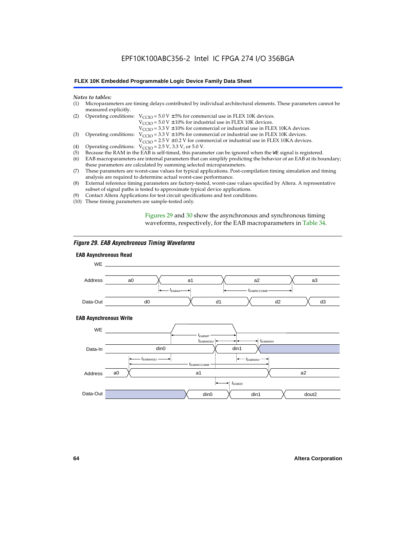# EPF10K100ABC356-2 Intel IC FPGA 274 I/O 356BGA

#### **FLEX 10K Embedded Programmable Logic Device Family Data Sheet**

#### *Notes to tables:*

| (1) Microparameters are timing delays contributed by individual architectural elements. These parameters cannot be |
|--------------------------------------------------------------------------------------------------------------------|
| measured explicitly.                                                                                               |

| (2) Operating conditions: $V_{CCIO} = 5.0 V \pm 5%$ for commercial use in FLEX 10K devices. |  |  |  |
|---------------------------------------------------------------------------------------------|--|--|--|
|                                                                                             |  |  |  |

 $V<sub>CCIO</sub>$  = 5.0 V  $\pm$  10% for industrial use in FLEX 10K devices.

 $V_{\text{CCIO}} = 3.3 \text{ V} \pm 10\%$  for commercial or industrial use in FLEX 10KA devices.

(3) Operating conditions:  $V_{\text{CCIO}} = 3.3 V \pm 10\%$  for commercial or industrial use in FLEX 10K devices.

 $V_{\text{CCIO}} = 2.5 \text{ V} \pm 0.2 \text{ V}$  for commercial or industrial use in FLEX 10KA devices.

- (4) Operating conditions:  $V_{\text{CCIO}} = 2.5 V$ , 3.3 V, or 5.0 V.<br>(5) Because the RAM in the EAB is self-timed, this param
- (5) Because the RAM in the EAB is self-timed, this parameter can be ignored when the WE signal is registered.<br>(6) EAB macroparameters are internal parameters that can simplify predicting the behavior of an EAB at its bou
- EAB macroparameters are internal parameters that can simplify predicting the behavior of an EAB at its boundary; these parameters are calculated by summing selected microparameters.
- (7) These parameters are worst-case values for typical applications. Post-compilation timing simulation and timing analysis are required to determine actual worst-case performance.
- (8) External reference timing parameters are factory-tested, worst-case values specified by Altera. A representative subset of signal paths is tested to approximate typical device applications.
- (9) Contact Altera Applications for test circuit specifications and test conditions.
- (10) These timing parameters are sample-tested only.

Figures 29 and 30 show the asynchronous and synchronous timing waveforms, respectively, for the EAB macroparameters in Table 34.

#### *Figure 29. EAB Asynchronous Timing Waveforms*

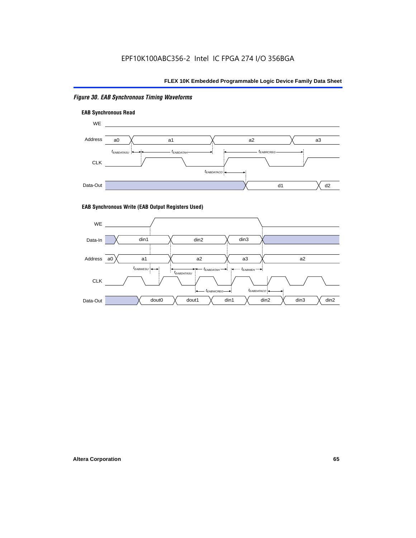# *Figure 30. EAB Synchronous Timing Waveforms*





#### **EAB Synchronous Write (EAB Output Registers Used)**

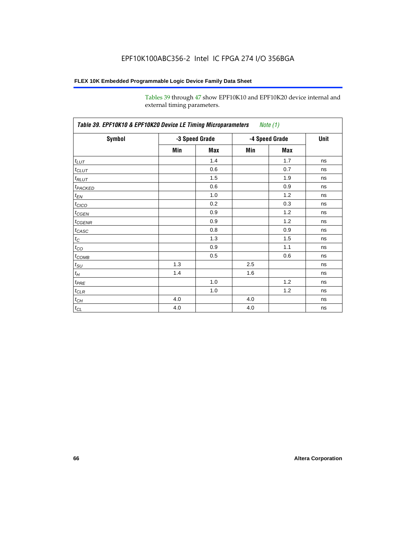Tables 39 through 47 show EPF10K10 and EPF10K20 device internal and external timing parameters.

| Symbol            | -3 Speed Grade |     | -4 Speed Grade |     | <b>Unit</b> |
|-------------------|----------------|-----|----------------|-----|-------------|
|                   | Min            | Max | Min            | Max |             |
| $t_{LUT}$         |                | 1.4 |                | 1.7 | ns          |
| $t_{CLUT}$        |                | 0.6 |                | 0.7 | ns          |
| $t_{RLUT}$        |                | 1.5 |                | 1.9 | ns          |
| <b>t</b> PACKED   |                | 0.6 |                | 0.9 | ns          |
| $t_{EN}$          |                | 1.0 |                | 1.2 | ns          |
| $t_{CICO}$        |                | 0.2 |                | 0.3 | ns          |
| $t_{\text{GEN}}$  |                | 0.9 |                | 1.2 | ns          |
| $t_{GENR}$        |                | 0.9 |                | 1.2 | ns          |
| $t_{CASC}$        |                | 0.8 |                | 0.9 | ns          |
| $t_C$             |                | 1.3 |                | 1.5 | ns          |
| $t_{CO}$          |                | 0.9 |                | 1.1 | ns          |
| $t_{\text{COMB}}$ |                | 0.5 |                | 0.6 | ns          |
| $t_{\text{SU}}$   | 1.3            |     | 2.5            |     | ns          |
| $t_H$             | 1.4            |     | 1.6            |     | ns          |
| $t_{PRE}$         |                | 1.0 |                | 1.2 | ns          |
| $t_{\text{CLR}}$  |                | 1.0 |                | 1.2 | ns          |
| $t_{CH}$          | 4.0            |     | 4.0            |     | ns          |
| $t_{CL}$          | 4.0            |     | 4.0            |     | ns          |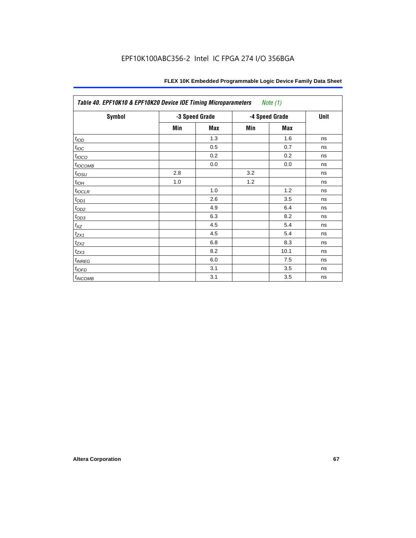| Table 40. EPF10K10 & EPF10K20 Device IOE Timing Microparameters<br>Note (1) |                |            |                |      |             |  |
|-----------------------------------------------------------------------------|----------------|------------|----------------|------|-------------|--|
| <b>Symbol</b>                                                               | -3 Speed Grade |            | -4 Speed Grade |      | <b>Unit</b> |  |
|                                                                             | Min            | <b>Max</b> | Min            | Max  |             |  |
| t <sub>IOD</sub>                                                            |                | 1.3        |                | 1.6  | ns          |  |
| $t_{\text{IOC}}$                                                            |                | 0.5        |                | 0.7  | ns          |  |
| $t_{IOCO}$                                                                  |                | 0.2        |                | 0.2  | ns          |  |
| t <sub>IOCOMB</sub>                                                         |                | 0.0        |                | 0.0  | ns          |  |
| $t_{IOSU}$                                                                  | 2.8            |            | 3.2            |      | ns          |  |
| $t_{IOH}$                                                                   | 1.0            |            | 1.2            |      | ns          |  |
| $t_{IOCLR}$                                                                 |                | 1.0        |                | 1.2  | ns          |  |
| $t_{OD1}$                                                                   |                | 2.6        |                | 3.5  | ns          |  |
| $t_{OD2}$                                                                   |                | 4.9        |                | 6.4  | ns          |  |
| $t_{OD3}$                                                                   |                | 6.3        |                | 8.2  | ns          |  |
| $t_{XZ}$                                                                    |                | 4.5        |                | 5.4  | ns          |  |
| $t_{ZX1}$                                                                   |                | 4.5        |                | 5.4  | ns          |  |
| $t_{ZX2}$                                                                   |                | 6.8        |                | 8.3  | ns          |  |
| $t_{ZX3}$                                                                   |                | 8.2        |                | 10.1 | ns          |  |
| $t_{INREG}$                                                                 |                | 6.0        |                | 7.5  | ns          |  |
| $t_{IOED}$                                                                  |                | 3.1        |                | 3.5  | ns          |  |
| t <sub>INCOMB</sub>                                                         |                | 3.1        |                | 3.5  | ns          |  |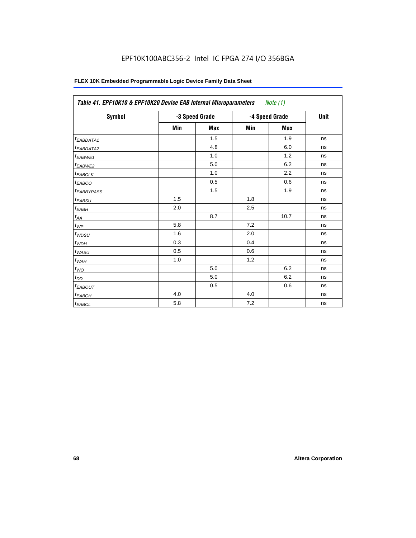# EPF10K100ABC356-2 Intel IC FPGA 274 I/O 356BGA

| Symbol                 | -3 Speed Grade |     | -4 Speed Grade |      | <b>Unit</b> |
|------------------------|----------------|-----|----------------|------|-------------|
|                        | Min            | Max | Min            | Max  |             |
| <sup>t</sup> EABDATA1  |                | 1.5 |                | 1.9  | ns          |
| t <sub>EABDATA2</sub>  |                | 4.8 |                | 6.0  | ns          |
| t <sub>EABWE1</sub>    |                | 1.0 |                | 1.2  | ns          |
| $t_{EABWE2}$           |                | 5.0 |                | 6.2  | ns          |
| $t_{EABCLK}$           |                | 1.0 |                | 2.2  | ns          |
| $t_{EABCO}$            |                | 0.5 |                | 0.6  | ns          |
| <sup>t</sup> EABBYPASS |                | 1.5 |                | 1.9  | ns          |
| $t_{EABSU}$            | 1.5            |     | 1.8            |      | ns          |
| $t_{EABH}$             | 2.0            |     | 2.5            |      | ns          |
| $t_{AA}$               |                | 8.7 |                | 10.7 | ns          |
| $t_{WP}$               | 5.8            |     | 7.2            |      | ns          |
| $t_{WDSU}$             | 1.6            |     | 2.0            |      | ns          |
| $t_{WDH}$              | 0.3            |     | 0.4            |      | ns          |
| $t_{WASU}$             | 0.5            |     | 0.6            |      | ns          |
| $t_{WAH}$              | 1.0            |     | 1.2            |      | ns          |
| $t_{WQ}$               |                | 5.0 |                | 6.2  | ns          |
| $t_{DD}$               |                | 5.0 |                | 6.2  | ns          |
| <sup>t</sup> EABOUT    |                | 0.5 |                | 0.6  | ns          |
| <sup>t</sup> EABCH     | 4.0            |     | 4.0            |      | ns          |
| $t_{EABCL}$            | 5.8            |     | 7.2            |      | ns          |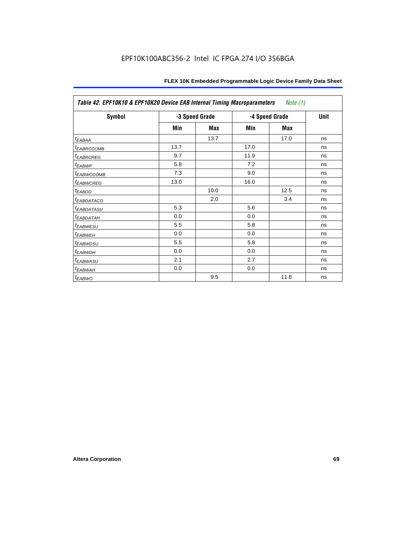| Table 42. EPF10K10 & EPF10K20 Device EAB Internal Timing Macroparameters<br>Note (1) |                |      |                |      |             |
|--------------------------------------------------------------------------------------|----------------|------|----------------|------|-------------|
| <b>Symbol</b>                                                                        | -3 Speed Grade |      | -4 Speed Grade |      | <b>Unit</b> |
|                                                                                      | Min            | Max  | Min            | Max  |             |
| t <sub>EABAA</sub>                                                                   |                | 13.7 |                | 17.0 | ns          |
| <sup>t</sup> EABRCCOMB                                                               | 13.7           |      | 17.0           |      | ns          |
| <b><i>EABRCREG</i></b>                                                               | 9.7            |      | 11.9           |      | ns          |
| <sup>t</sup> EABWP                                                                   | 5.8            |      | 7.2            |      | ns          |
| <sup>t</sup> EABWCCOMB                                                               | 7.3            |      | 9.0            |      | ns          |
| <sup>t</sup> EABWCREG                                                                | 13.0           |      | 16.0           |      | ns          |
| t <sub>EABDD</sub>                                                                   |                | 10.0 |                | 12.5 | ns          |
| <sup>t</sup> EABDATACO                                                               |                | 2.0  |                | 3.4  | ns          |
| <sup>t</sup> EABDATASU                                                               | 5.3            |      | 5.6            |      | ns          |
| <sup>t</sup> EABDATAH                                                                | 0.0            |      | 0.0            |      | ns          |
| <sup>t</sup> EABWESU                                                                 | 5.5            |      | 5.8            |      | ns          |
| <sup>t</sup> EABWEH                                                                  | 0.0            |      | 0.0            |      | ns          |
| <sup>t</sup> EABWDSU                                                                 | 5.5            |      | 5.8            |      | ns          |
| <sup>t</sup> EABWDH                                                                  | 0.0            |      | 0.0            |      | ns          |
| t <sub>EABWASU</sub>                                                                 | 2.1            |      | 2.7            |      | ns          |
| <sup>t</sup> EABWAH                                                                  | 0.0            |      | 0.0            |      | ns          |
| <sup>t</sup> EABWO                                                                   |                | 9.5  |                | 11.8 | ns          |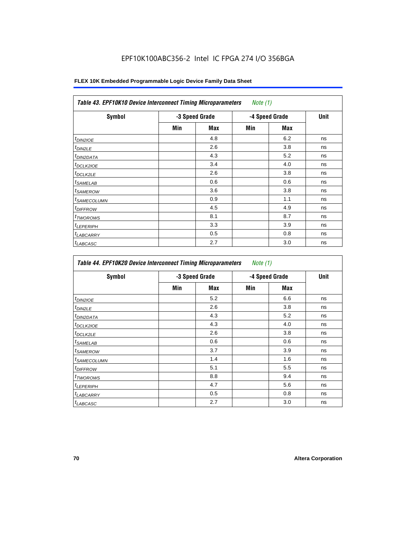| <b>Symbol</b>              | -3 Speed Grade |            | -4 Speed Grade |            | <b>Unit</b> |
|----------------------------|----------------|------------|----------------|------------|-------------|
|                            | Min            | <b>Max</b> | Min            | <b>Max</b> |             |
| <sup>t</sup> DIN2IOE       |                | 4.8        |                | 6.2        | ns          |
| $t_{DIN2LE}$               |                | 2.6        |                | 3.8        | ns          |
| <sup>t</sup> DIN2DATA      |                | 4.3        |                | 5.2        | ns          |
| <sup>t</sup> DCLK2IOE      |                | 3.4        |                | 4.0        | ns          |
| <sup>t</sup> DCLK2LE       |                | 2.6        |                | 3.8        | ns          |
| <sup>t</sup> SAMELAB       |                | 0.6        |                | 0.6        | ns          |
| <sup>t</sup> SAMEROW       |                | 3.6        |                | 3.8        | ns          |
| <sup>t</sup> SAMECOLUMN    |                | 0.9        |                | 1.1        | ns          |
| <i>t<sub>DIFFROW</sub></i> |                | 4.5        |                | 4.9        | ns          |
| <sup>t</sup> TWOROWS       |                | 8.1        |                | 8.7        | ns          |
| <sup>t</sup> LEPERIPH      |                | 3.3        |                | 3.9        | ns          |
| <sup>I</sup> LABCARRY      |                | 0.5        |                | 0.8        | ns          |
| <sup>t</sup> LABCASC       |                | 2.7        |                | 3.0        | ns          |

| Symbol                  | -3 Speed Grade |     | -4 Speed Grade |     | <b>Unit</b> |
|-------------------------|----------------|-----|----------------|-----|-------------|
|                         | Min            | Max | Min            | Max |             |
| $t_{DIN2IOE}$           |                | 5.2 |                | 6.6 | ns          |
| <sup>t</sup> DIN2LE     |                | 2.6 |                | 3.8 | ns          |
| <sup>I</sup> DIN2DATA   |                | 4.3 |                | 5.2 | ns          |
| <sup>I</sup> DCLK2IOE   |                | 4.3 |                | 4.0 | ns          |
| t <sub>DCLK2LE</sub>    |                | 2.6 |                | 3.8 | ns          |
| <sup>I</sup> SAMELAB    |                | 0.6 |                | 0.6 | ns          |
| <sup>t</sup> SAMEROW    |                | 3.7 |                | 3.9 | ns          |
| <sup>t</sup> SAMECOLUMN |                | 1.4 |                | 1.6 | ns          |
| <sup>t</sup> DIFFROW    |                | 5.1 |                | 5.5 | ns          |
| <sup>t</sup> TWOROWS    |                | 8.8 |                | 9.4 | ns          |
| <sup>t</sup> LEPERIPH   |                | 4.7 |                | 5.6 | ns          |
| <b>LABCARRY</b>         |                | 0.5 |                | 0.8 | ns          |
| <sup>t</sup> LABCASC    |                | 2.7 |                | 3.0 | ns          |

<u> 1989 - Johann Barn, mars ann an t-Amhain an t-Amhain ann an t-Amhain an t-Amhain an t-Amhain an t-Amhain an t-</u>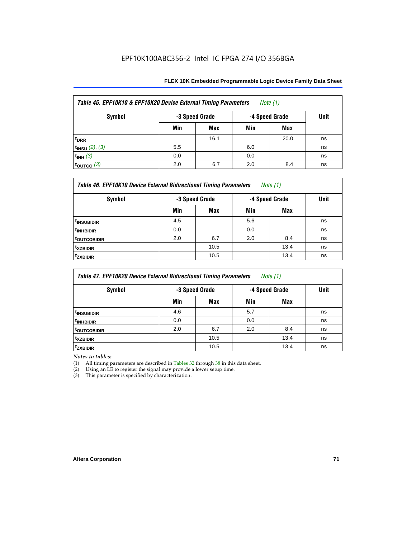| Table 45. EPF10K10 & EPF10K20 Device External Timing Parameters<br>Note (1) |                |      |     |                |    |  |
|-----------------------------------------------------------------------------|----------------|------|-----|----------------|----|--|
| <b>Symbol</b>                                                               | -3 Speed Grade |      |     | -4 Speed Grade |    |  |
|                                                                             | Min            | Max  | Min | Max            |    |  |
| t <sub>DRR</sub>                                                            |                | 16.1 |     | 20.0           | ns |  |
| $t_{INSU}$ (2), (3)                                                         | 5.5            |      | 6.0 |                | ns |  |
| $t_{INH}$ (3)                                                               | 0.0            |      | 0.0 |                | ns |  |
| $\vert$ toutco (3)                                                          | 2.0            | 6.7  | 2.0 | 8.4            | ns |  |

| Table 46. EPF10K10 Device External Bidirectional Timing Parameters<br>Note $(1)$ |                |            |                |      |             |  |
|----------------------------------------------------------------------------------|----------------|------------|----------------|------|-------------|--|
| Symbol                                                                           | -3 Speed Grade |            | -4 Speed Grade |      | <b>Unit</b> |  |
|                                                                                  | Min            | <b>Max</b> | Min            | Max  |             |  |
| <sup>t</sup> INSUBIDIR                                                           | 4.5            |            | 5.6            |      | ns          |  |
| <sup>t</sup> INHBIDIR                                                            | 0.0            |            | 0.0            |      | ns          |  |
| <sup>t</sup> OUTCOBIDIR                                                          | 2.0            | 6.7        | 2.0            | 8.4  | ns          |  |
| <b>txzbidir</b>                                                                  |                | 10.5       |                | 13.4 | ns          |  |
| tzxbidir                                                                         |                | 10.5       |                | 13.4 | ns          |  |

| Table 47. EPF10K20 Device External Bidirectional Timing Parameters<br><i>Note</i> $(1)$ |                |      |                |      |             |  |
|-----------------------------------------------------------------------------------------|----------------|------|----------------|------|-------------|--|
| Symbol                                                                                  | -3 Speed Grade |      | -4 Speed Grade |      | <b>Unit</b> |  |
|                                                                                         | Min            | Max  | Min            | Max  |             |  |
| <sup>t</sup> INSUBIDIR                                                                  | 4.6            |      | 5.7            |      | ns          |  |
| <sup>t</sup> INHBIDIR                                                                   | 0.0            |      | 0.0            |      | ns          |  |
| <b>TOUTCOBIDIR</b>                                                                      | 2.0            | 6.7  | 2.0            | 8.4  | ns          |  |
| <sup>t</sup> xzbidir                                                                    |                | 10.5 |                | 13.4 | ns          |  |
| <sup>t</sup> zxbidir                                                                    |                | 10.5 |                | 13.4 | ns          |  |

*Notes to tables:*

(1) All timing parameters are described in Tables 32 through 38 in this data sheet.

(2) Using an LE to register the signal may provide a lower setup time.

(3) This parameter is specified by characterization.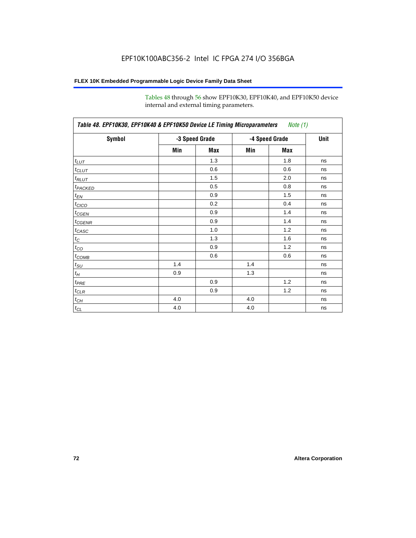Tables 48 through 56 show EPF10K30, EPF10K40, and EPF10K50 device internal and external timing parameters.

| Symbol                     |     | -3 Speed Grade | -4 Speed Grade | <b>Unit</b> |    |
|----------------------------|-----|----------------|----------------|-------------|----|
|                            |     |                |                |             |    |
|                            | Min | Max            | Min            | Max         |    |
| $t_{LUT}$                  |     | 1.3            |                | 1.8         | ns |
| $t_{CLUT}$                 |     | 0.6            |                | 0.6         | ns |
| $t_{RLUT}$                 |     | 1.5            |                | 2.0         | ns |
| <b>t</b> <sub>PACKED</sub> |     | 0.5            |                | 0.8         | ns |
| $t_{EM}$                   |     | 0.9            |                | 1.5         | ns |
| $t_{CICO}$                 |     | 0.2            |                | 0.4         | ns |
| $t_{\text{CGEN}}$          |     | 0.9            |                | 1.4         | ns |
| $t_{\text{GENR}}$          |     | 0.9            |                | 1.4         | ns |
| $t_{CASC}$                 |     | 1.0            |                | 1.2         | ns |
| $t_C$                      |     | 1.3            |                | 1.6         | ns |
| $t_{CO}$                   |     | 0.9            |                | 1.2         | ns |
| $t_{\text{COMB}}$          |     | 0.6            |                | 0.6         | ns |
| $t_{\text{SU}}$            | 1.4 |                | 1.4            |             | ns |
| $t_H$                      | 0.9 |                | 1.3            |             | ns |
| $t_{PRE}$                  |     | 0.9            |                | 1.2         | ns |
| $t_{\text{CLR}}$           |     | 0.9            |                | 1.2         | ns |
| $t_{CH}$                   | 4.0 |                | 4.0            |             | ns |
| $t_{CL}$                   | 4.0 |                | 4.0            |             | ns |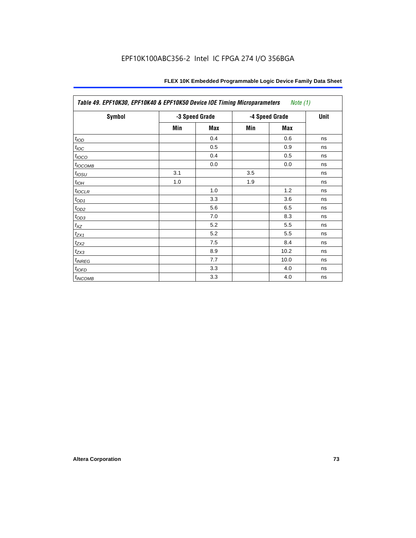| Table 49. EPF10K30, EPF10K40 & EPF10K50 Device IOE Timing Microparameters<br>Note (1) |     |                |                |      |    |  |  |  |
|---------------------------------------------------------------------------------------|-----|----------------|----------------|------|----|--|--|--|
| <b>Symbol</b>                                                                         |     | -3 Speed Grade | -4 Speed Grade | Unit |    |  |  |  |
|                                                                                       | Min | <b>Max</b>     | Min            | Max  |    |  |  |  |
| t <sub>IOD</sub>                                                                      |     | 0.4            |                | 0.6  | ns |  |  |  |
| $t_{\text{IOC}}$                                                                      |     | 0.5            |                | 0.9  | ns |  |  |  |
| $t_{IOCO}$                                                                            |     | 0.4            |                | 0.5  | ns |  |  |  |
| t <sub>IOCOMB</sub>                                                                   |     | 0.0            |                | 0.0  | ns |  |  |  |
| $t_{IOSU}$                                                                            | 3.1 |                | 3.5            |      | ns |  |  |  |
| $t_{IOH}$                                                                             | 1.0 |                | 1.9            |      | ns |  |  |  |
| $t_{IOCLR}$                                                                           |     | 1.0            |                | 1.2  | ns |  |  |  |
| $t_{OD1}$                                                                             |     | 3.3            |                | 3.6  | ns |  |  |  |
| $t_{OD2}$                                                                             |     | 5.6            |                | 6.5  | ns |  |  |  |
| $t_{OD3}$                                                                             |     | 7.0            |                | 8.3  | ns |  |  |  |
| $t_{\mathsf{XZ}}$                                                                     |     | 5.2            |                | 5.5  | ns |  |  |  |
| $t_{ZX1}$                                                                             |     | 5.2            |                | 5.5  | ns |  |  |  |
| $t_{ZX2}$                                                                             |     | 7.5            |                | 8.4  | ns |  |  |  |
| $t_{ZX3}$                                                                             |     | 8.9            |                | 10.2 | ns |  |  |  |
| $t_{INREG}$                                                                           |     | 7.7            |                | 10.0 | ns |  |  |  |
| $t_{IOFD}$                                                                            |     | 3.3            |                | 4.0  | ns |  |  |  |
| $t_{INCOMB}$                                                                          |     | 3.3            |                | 4.0  | ns |  |  |  |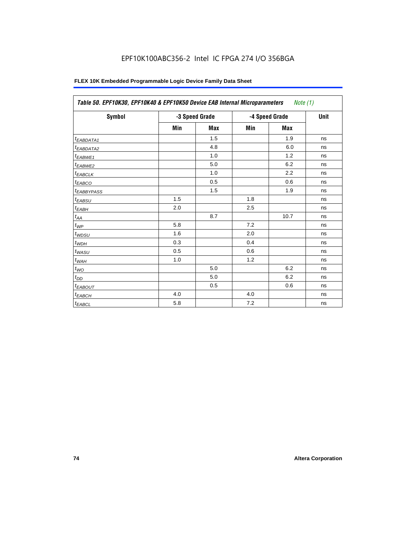| Symbol                         |     | -3 Speed Grade |     | -4 Speed Grade | <b>Unit</b> |
|--------------------------------|-----|----------------|-----|----------------|-------------|
|                                | Min | <b>Max</b>     | Min | Max            |             |
| <sup>t</sup> EABDATA1          |     | 1.5            |     | 1.9            | ns          |
| t <sub>EABDATA2</sub>          |     | 4.8            |     | 6.0            | ns          |
| t <sub>EABWE1</sub>            |     | 1.0            |     | 1.2            | ns          |
| t <sub>EABWE2</sub>            |     | 5.0            |     | 6.2            | ns          |
| $t_{EABCLK}$                   |     | 1.0            |     | 2.2            | ns          |
| $t_{EABCO}$                    |     | 0.5            |     | 0.6            | ns          |
| <i><b><i>EABBYPASS</i></b></i> |     | 1.5            |     | 1.9            | ns          |
| $t_{EABSU}$                    | 1.5 |                | 1.8 |                | ns          |
| $t_{EABH}$                     | 2.0 |                | 2.5 |                | ns          |
| $t_{AA}$                       |     | 8.7            |     | 10.7           | ns          |
| $t_{WP}$                       | 5.8 |                | 7.2 |                | ns          |
| $t_{WDSU}$                     | 1.6 |                | 2.0 |                | ns          |
| $t_{WDH}$                      | 0.3 |                | 0.4 |                | ns          |
| $t_{WASU}$                     | 0.5 |                | 0.6 |                | ns          |
| $t_{WAH}$                      | 1.0 |                | 1.2 |                | ns          |
| $t_{WO}$                       |     | 5.0            |     | 6.2            | ns          |
| $t_{DD}$                       |     | 5.0            |     | 6.2            | ns          |
| <sup>t</sup> EABOUT            |     | 0.5            |     | 0.6            | ns          |
| <sup>t</sup> ЕАВСН             | 4.0 |                | 4.0 |                | ns          |
| $t_{EABCL}$                    | 5.8 |                | 7.2 |                | ns          |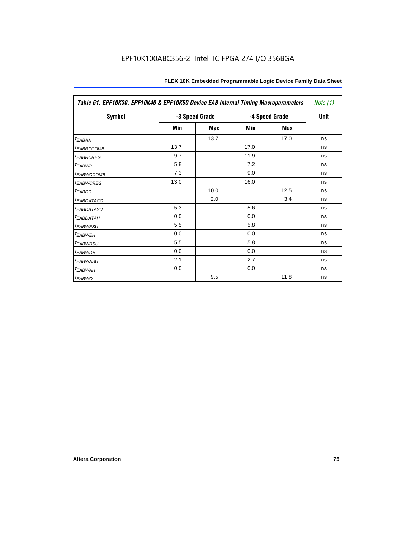| Table 51. EPF10K30, EPF10K40 & EPF10K50 Device EAB Internal Timing Macroparameters |      |                |      |                |             |  |
|------------------------------------------------------------------------------------|------|----------------|------|----------------|-------------|--|
| Symbol                                                                             |      | -3 Speed Grade |      | -4 Speed Grade | <b>Unit</b> |  |
|                                                                                    | Min  | Max            | Min  | Max            |             |  |
| $t_{EABA}$                                                                         |      | 13.7           |      | 17.0           | ns          |  |
| <b><i>EABRCCOMB</i></b>                                                            | 13.7 |                | 17.0 |                | ns          |  |
| <b><i>EABRCREG</i></b>                                                             | 9.7  |                | 11.9 |                | ns          |  |
| t <sub>EABWP</sub>                                                                 | 5.8  |                | 7.2  |                | ns          |  |
| <b><i>EABWCCOMB</i></b>                                                            | 7.3  |                | 9.0  |                | ns          |  |
| <b><i>EABWCREG</i></b>                                                             | 13.0 |                | 16.0 |                | ns          |  |
| <sup>t</sup> EABDD                                                                 |      | 10.0           |      | 12.5           | ns          |  |
| <b><i>EABDATACO</i></b>                                                            |      | 2.0            |      | 3.4            | ns          |  |
| <sup>t</sup> EABDATASU                                                             | 5.3  |                | 5.6  |                | ns          |  |
| <sup>T</sup> EABDATAH                                                              | 0.0  |                | 0.0  |                | ns          |  |
| <b><i>EABWESU</i></b>                                                              | 5.5  |                | 5.8  |                | ns          |  |
| <sup>t</sup> EABWEH                                                                | 0.0  |                | 0.0  |                | ns          |  |
| <sup>t</sup> EABWDSU                                                               | 5.5  |                | 5.8  |                | ns          |  |
| <sup>t</sup> EABWDH                                                                | 0.0  |                | 0.0  |                | ns          |  |
| <sup>t</sup> EABWASU                                                               | 2.1  |                | 2.7  |                | ns          |  |
| <sup>t</sup> EABWAH                                                                | 0.0  |                | 0.0  |                | ns          |  |
| $t_{EABWO}$                                                                        |      | 9.5            |      | 11.8           | ns          |  |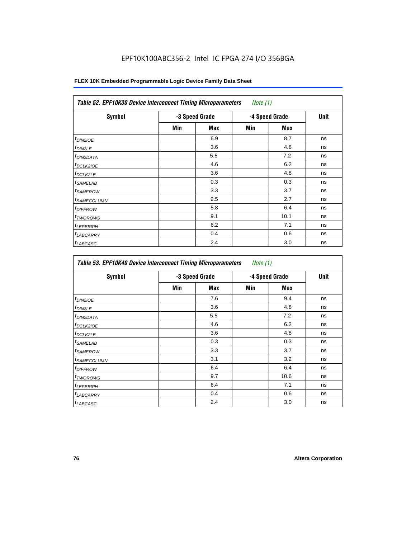| <b>Symbol</b>              |     | -3 Speed Grade |     | -4 Speed Grade | <b>Unit</b> |
|----------------------------|-----|----------------|-----|----------------|-------------|
|                            | Min | Max            | Min | <b>Max</b>     |             |
| $t_{DINZIOE}$              |     | 6.9            |     | 8.7            | ns          |
| <sup>t</sup> DIN2LE        |     | 3.6            |     | 4.8            | ns          |
| <sup>t</sup> DIN2DATA      |     | 5.5            |     | 7.2            | ns          |
| <sup>t</sup> DCLK2IOE      |     | 4.6            |     | 6.2            | ns          |
| ${}^t$ DCLK2LE             |     | 3.6            |     | 4.8            | ns          |
| <sup>t</sup> SAMELAB       |     | 0.3            |     | 0.3            | ns          |
| <sup>t</sup> SAMEROW       |     | 3.3            |     | 3.7            | ns          |
| <sup>t</sup> SAMECOLUMN    |     | 2.5            |     | 2.7            | ns          |
| <i>t<sub>DIFFROW</sub></i> |     | 5.8            |     | 6.4            | ns          |
| <sup>t</sup> TWOROWS       |     | 9.1            |     | 10.1           | ns          |
| <sup>t</sup> LEPERIPH      |     | 6.2            |     | 7.1            | ns          |
| <sup>t</sup> LABCARRY      |     | 0.4            |     | 0.6            | ns          |
| <sup>t</sup> LABCASC       |     | 2.4            |     | 3.0            | ns          |

| Symbol                  |     | -3 Speed Grade |     | -4 Speed Grade | Unit |
|-------------------------|-----|----------------|-----|----------------|------|
|                         | Min | Max            | Min | Max            |      |
| $t_{DINZIOE}$           |     | 7.6            |     | 9.4            | ns   |
| <sup>t</sup> DIN2LE     |     | 3.6            |     | 4.8            | ns   |
| <sup>I</sup> DIN2DATA   |     | 5.5            |     | 7.2            | ns   |
| <sup>I</sup> DCLK2IOE   |     | 4.6            |     | 6.2            | ns   |
| t <sub>DCLK2LE</sub>    |     | 3.6            |     | 4.8            | ns   |
| <sup>I</sup> SAMELAB    |     | 0.3            |     | 0.3            | ns   |
| <sup>I</sup> SAMEROW    |     | 3.3            |     | 3.7            | ns   |
| <sup>t</sup> SAMECOLUMN |     | 3.1            |     | 3.2            | ns   |
| <sup>I</sup> DIFFROW    |     | 6.4            |     | 6.4            | ns   |
| <sup>t</sup> TWOROWS    |     | 9.7            |     | 10.6           | ns   |
| <sup>t</sup> LEPERIPH   |     | 6.4            |     | 7.1            | ns   |
| <b>LABCARRY</b>         |     | 0.4            |     | 0.6            | ns   |
| <sup>t</sup> LABCASC    |     | 2.4            |     | 3.0            | ns   |

<u> 1980 - Johann Barn, amerikan besteman besteman besteman besteman besteman besteman besteman besteman bestema</u>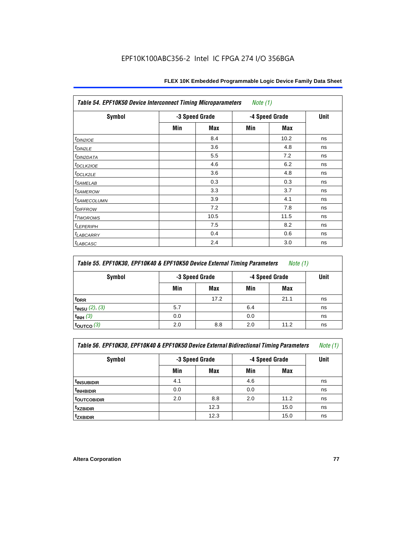| <b>Table 54. EPF10K50 Device Interconnect Timing Microparameters</b><br>Note $(1)$ |     |                |     |                |    |  |  |  |
|------------------------------------------------------------------------------------|-----|----------------|-----|----------------|----|--|--|--|
| <b>Symbol</b>                                                                      |     | -3 Speed Grade |     | -4 Speed Grade |    |  |  |  |
|                                                                                    | Min | Max            | Min | Max            |    |  |  |  |
| $tD$ IN2IOE                                                                        |     | 8.4            |     | 10.2           | ns |  |  |  |
| $t_{DIN2LE}$                                                                       |     | 3.6            |     | 4.8            | ns |  |  |  |
| <sup>t</sup> DIN2DATA                                                              |     | 5.5            |     | 7.2            | ns |  |  |  |
| t <sub>DCLK2IOE</sub>                                                              |     | 4.6            |     | 6.2            | ns |  |  |  |
| $t_{DCLK2LE}$                                                                      |     | 3.6            |     | 4.8            | ns |  |  |  |
| <sup>t</sup> SAMELAB                                                               |     | 0.3            |     | 0.3            | ns |  |  |  |
| <i>t</i> SAMEROW                                                                   |     | 3.3            |     | 3.7            | ns |  |  |  |
| <i>t<sub>SAMECOLUMN</sub></i>                                                      |     | 3.9            |     | 4.1            | ns |  |  |  |
| <i>t<sub>DIFFROW</sub></i>                                                         |     | 7.2            |     | 7.8            | ns |  |  |  |
| <i>t</i> <sub>TWOROWS</sub>                                                        |     | 10.5           |     | 11.5           | ns |  |  |  |
| <sup>t</sup> LEPERIPH                                                              |     | 7.5            |     | 8.2            | ns |  |  |  |
| <sup>t</sup> LABCARRY                                                              |     | 0.4            |     | 0.6            | ns |  |  |  |
| <sup>t</sup> LABCASC                                                               |     | 2.4            |     | 3.0            | ns |  |  |  |

| Table 55. EPF10K30, EPF10K40 & EPF10K50 Device External Timing Parameters<br>Note (1) |                |      |                |             |    |  |  |  |
|---------------------------------------------------------------------------------------|----------------|------|----------------|-------------|----|--|--|--|
| Symbol                                                                                | -3 Speed Grade |      | -4 Speed Grade | <b>Unit</b> |    |  |  |  |
|                                                                                       | Min            | Max  | Min            | Max         |    |  |  |  |
| <sup>t</sup> DRR                                                                      |                | 17.2 |                | 21.1        | ns |  |  |  |
| $t_{INSU}$ (2), (3)                                                                   | 5.7            |      | 6.4            |             | ns |  |  |  |
| $t_{INH}$ (3)                                                                         | 0.0            |      | 0.0            |             | ns |  |  |  |
| $t_{\text{OUTCO}}(3)$                                                                 | 2.0            | 8.8  | 2.0            | 11.2        | ns |  |  |  |

| Table 56. EPF10K30, EPF10K40 & EPF10K50 Device External Bidirectional Timing Parameters<br>Note (1) |                                  |      |     |             |    |  |  |  |  |
|-----------------------------------------------------------------------------------------------------|----------------------------------|------|-----|-------------|----|--|--|--|--|
| Symbol                                                                                              | -3 Speed Grade<br>-4 Speed Grade |      |     | <b>Unit</b> |    |  |  |  |  |
|                                                                                                     | Min                              | Max  | Min | Max         |    |  |  |  |  |
| <b>t</b> INSUBIDIR                                                                                  | 4.1                              |      | 4.6 |             | ns |  |  |  |  |
| <sup>t</sup> INHBIDIR                                                                               | 0.0                              |      | 0.0 |             | ns |  |  |  |  |
| t <sub>outcobidir</sub>                                                                             | 2.0                              | 8.8  | 2.0 | 11.2        | ns |  |  |  |  |
| <sup>t</sup> xzbidir                                                                                |                                  | 12.3 |     | 15.0        | ns |  |  |  |  |
| <sup>t</sup> zxbidir                                                                                |                                  | 12.3 |     | 15.0        | ns |  |  |  |  |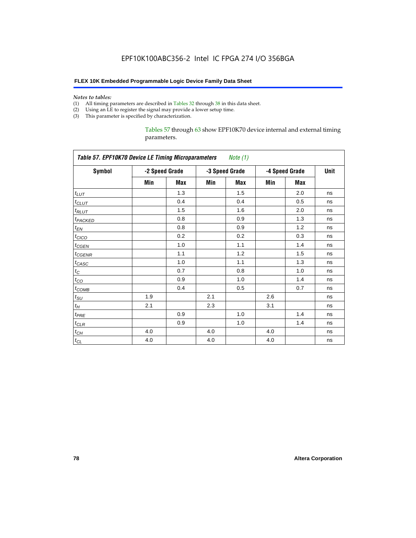#### *Notes to tables:*

- (1) All timing parameters are described in Tables 32 through 38 in this data sheet.
- (2) Using an LE to register the signal may provide a lower setup time.
- (3) This parameter is specified by characterization.

Tables 57 through 63 show EPF10K70 device internal and external timing parameters.

| <b>Table 57. EPF10K70 Device LE Timing Microparameters</b><br>Note (1) |     |                |     |                |     |                |    |
|------------------------------------------------------------------------|-----|----------------|-----|----------------|-----|----------------|----|
| <b>Symbol</b>                                                          |     | -2 Speed Grade |     | -3 Speed Grade |     | -4 Speed Grade |    |
|                                                                        | Min | Max            | Min | <b>Max</b>     | Min | <b>Max</b>     |    |
| $t_{LUT}$                                                              |     | 1.3            |     | 1.5            |     | 2.0            | ns |
| $t$ CLUT                                                               |     | 0.4            |     | 0.4            |     | 0.5            | ns |
| $t_{RLUT}$                                                             |     | 1.5            |     | 1.6            |     | 2.0            | ns |
| t <sub>PACKED</sub>                                                    |     | 0.8            |     | 0.9            |     | 1.3            | ns |
| $t_{EN}$                                                               |     | 0.8            |     | 0.9            |     | 1.2            | ns |
| $t_{CICO}$                                                             |     | 0.2            |     | 0.2            |     | 0.3            | ns |
| $t_{GEN}$                                                              |     | 1.0            |     | 1.1            |     | 1.4            | ns |
| $t_{\text{GENR}}$                                                      |     | 1.1            |     | 1.2            |     | 1.5            | ns |
| $t_{CASC}$                                                             |     | 1.0            |     | 1.1            |     | 1.3            | ns |
| $t_C$                                                                  |     | 0.7            |     | 0.8            |     | 1.0            | ns |
| $t_{CO}$                                                               |     | 0.9            |     | 1.0            |     | 1.4            | ns |
| $t_{COMB}$                                                             |     | 0.4            |     | 0.5            |     | 0.7            | ns |
| $t_{\text{SU}}$                                                        | 1.9 |                | 2.1 |                | 2.6 |                | ns |
| $t_H$                                                                  | 2.1 |                | 2.3 |                | 3.1 |                | ns |
| $t_{PRE}$                                                              |     | 0.9            |     | 1.0            |     | 1.4            | ns |
| $t_{CLR}$                                                              |     | 0.9            |     | 1.0            |     | 1.4            | ns |
| $t_{CH}$                                                               | 4.0 |                | 4.0 |                | 4.0 |                | ns |
| $t_{CL}$                                                               | 4.0 |                | 4.0 |                | 4.0 |                | ns |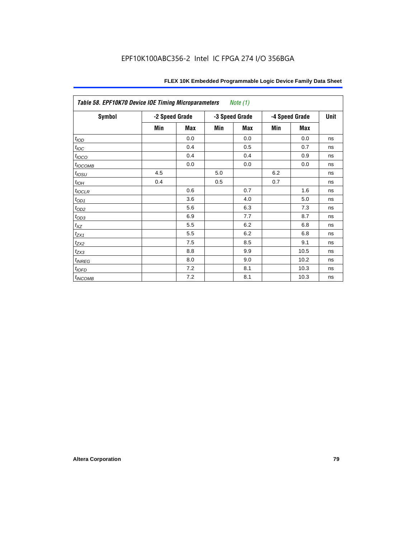| <b>Table 58. EPF10K70 Device IOE Timing Microparameters</b><br>Note (1) |                |            |     |                |     |                |    |  |  |
|-------------------------------------------------------------------------|----------------|------------|-----|----------------|-----|----------------|----|--|--|
| Symbol                                                                  | -2 Speed Grade |            |     | -3 Speed Grade |     | -4 Speed Grade |    |  |  |
|                                                                         | Min            | <b>Max</b> | Min | <b>Max</b>     | Min | <b>Max</b>     |    |  |  |
| t <sub>IOD</sub>                                                        |                | 0.0        |     | 0.0            |     | 0.0            | ns |  |  |
| $t_{\text{loc}}$                                                        |                | 0.4        |     | 0.5            |     | 0.7            | ns |  |  |
| $t_{IOCO}$                                                              |                | 0.4        |     | 0.4            |     | 0.9            | ns |  |  |
| $t_{\text{IOCOMB}}$                                                     |                | 0.0        |     | 0.0            |     | 0.0            | ns |  |  |
| $t_{IOSU}$                                                              | 4.5            |            | 5.0 |                | 6.2 |                | ns |  |  |
| $t_{IOH}$                                                               | 0.4            |            | 0.5 |                | 0.7 |                | ns |  |  |
| $t_{IOCLR}$                                                             |                | 0.6        |     | 0.7            |     | 1.6            | ns |  |  |
| $t_{OD1}$                                                               |                | 3.6        |     | 4.0            |     | 5.0            | ns |  |  |
| $t_{OD2}$                                                               |                | 5.6        |     | 6.3            |     | 7.3            | ns |  |  |
| $t_{OD3}$                                                               |                | 6.9        |     | 7.7            |     | 8.7            | ns |  |  |
| $t_{\mathsf{XZ}}$                                                       |                | 5.5        |     | 6.2            |     | 6.8            | ns |  |  |
| $t_{ZX1}$                                                               |                | 5.5        |     | 6.2            |     | 6.8            | ns |  |  |
| $t_{ZX2}$                                                               |                | 7.5        |     | 8.5            |     | 9.1            | ns |  |  |
| $t_{ZX3}$                                                               |                | 8.8        |     | 9.9            |     | 10.5           | ns |  |  |
| $t_{INREG}$                                                             |                | 8.0        |     | 9.0            |     | 10.2           | ns |  |  |
| $t_{IOED}$                                                              |                | 7.2        |     | 8.1            |     | 10.3           | ns |  |  |
| t <sub>INCOMB</sub>                                                     |                | 7.2        |     | 8.1            |     | 10.3           | ns |  |  |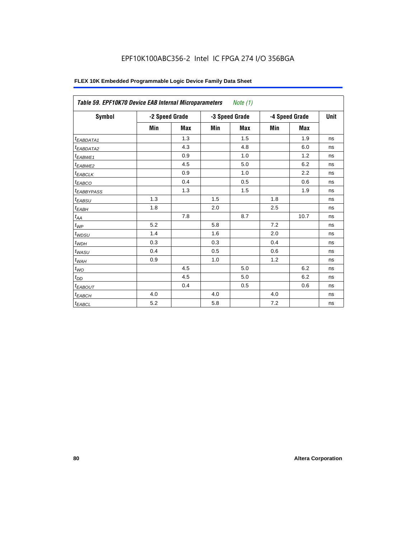| FLEX 10K Embedded Programmable Logic Device Family Data Sheet |  |
|---------------------------------------------------------------|--|
|---------------------------------------------------------------|--|

|                         | Table 59. EPF10K70 Device EAB Internal Microparameters<br>Note $(1)$ |            |     |                |                |            |             |  |  |  |
|-------------------------|----------------------------------------------------------------------|------------|-----|----------------|----------------|------------|-------------|--|--|--|
| Symbol                  | -2 Speed Grade                                                       |            |     | -3 Speed Grade | -4 Speed Grade |            | <b>Unit</b> |  |  |  |
|                         | Min                                                                  | <b>Max</b> | Min | <b>Max</b>     | Min            | <b>Max</b> |             |  |  |  |
| $t_{EABDATA1}$          |                                                                      | 1.3        |     | 1.5            |                | 1.9        | ns          |  |  |  |
| $t_{EABDATA2}$          |                                                                      | 4.3        |     | 4.8            |                | 6.0        | ns          |  |  |  |
| t <sub>EABWE1</sub>     |                                                                      | 0.9        |     | 1.0            |                | 1.2        | ns          |  |  |  |
| t <sub>EABWE2</sub>     |                                                                      | 4.5        |     | 5.0            |                | 6.2        | ns          |  |  |  |
| $t_{EABCLK}$            |                                                                      | 0.9        |     | 1.0            |                | 2.2        | ns          |  |  |  |
| $t_{EABCO}$             |                                                                      | 0.4        |     | 0.5            |                | 0.6        | ns          |  |  |  |
| <b><i>EABBYPASS</i></b> |                                                                      | 1.3        |     | 1.5            |                | 1.9        | ns          |  |  |  |
| $t_{EABSU}$             | 1.3                                                                  |            | 1.5 |                | 1.8            |            | ns          |  |  |  |
| $t_{EABH}$              | 1.8                                                                  |            | 2.0 |                | 2.5            |            | ns          |  |  |  |
| $t_{AA}$                |                                                                      | 7.8        |     | 8.7            |                | 10.7       | ns          |  |  |  |
| $t_{\mathit{WP}}$       | 5.2                                                                  |            | 5.8 |                | 7.2            |            | ns          |  |  |  |
| $t_{W\!D\!S\!U}$        | 1.4                                                                  |            | 1.6 |                | 2.0            |            | ns          |  |  |  |
| $t_{WDH}$               | 0.3                                                                  |            | 0.3 |                | 0.4            |            | ns          |  |  |  |
| $t_{WASU}$              | 0.4                                                                  |            | 0.5 |                | 0.6            |            | ns          |  |  |  |
| $t_{W\!A H}$            | 0.9                                                                  |            | 1.0 |                | 1.2            |            | ns          |  |  |  |
| $t_{WO}$                |                                                                      | 4.5        |     | 5.0            |                | 6.2        | ns          |  |  |  |
| $t_{DD}$                |                                                                      | 4.5        |     | 5.0            |                | 6.2        | ns          |  |  |  |
| <sup>t</sup> EABOUT     |                                                                      | 0.4        |     | 0.5            |                | 0.6        | ns          |  |  |  |
| $t_{EABCH}$             | 4.0                                                                  |            | 4.0 |                | 4.0            |            | ns          |  |  |  |
| $t_{EABCL}$             | 5.2                                                                  |            | 5.8 |                | 7.2            |            | ns          |  |  |  |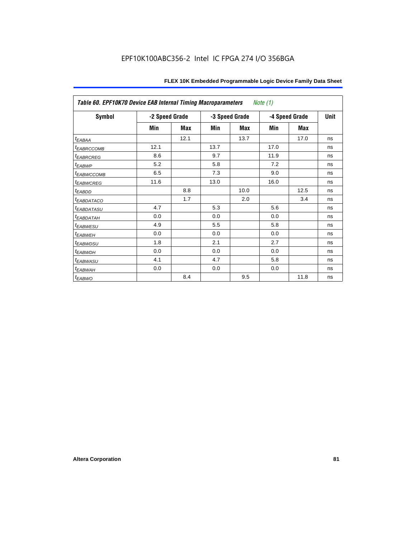| Table 60. EPF10K70 Device EAB Internal Timing Macroparameters<br>Note $(1)$ |                |      |      |                |                |             |    |  |  |
|-----------------------------------------------------------------------------|----------------|------|------|----------------|----------------|-------------|----|--|--|
| Symbol                                                                      | -2 Speed Grade |      |      | -3 Speed Grade | -4 Speed Grade | <b>Unit</b> |    |  |  |
|                                                                             | Min            | Max  | Min  | Max            | Min            | Max         |    |  |  |
| t <sub>EABAA</sub>                                                          |                | 12.1 |      | 13.7           |                | 17.0        | ns |  |  |
| <sup>t</sup> EABRCCOMB                                                      | 12.1           |      | 13.7 |                | 17.0           |             | ns |  |  |
| <sup>t</sup> EABRCREG                                                       | 8.6            |      | 9.7  |                | 11.9           |             | ns |  |  |
| <sup>t</sup> EABWP                                                          | 5.2            |      | 5.8  |                | 7.2            |             | ns |  |  |
| <sup>I</sup> EABWCCOMB                                                      | 6.5            |      | 7.3  |                | 9.0            |             | ns |  |  |
| <sup>t</sup> EABWCREG                                                       | 11.6           |      | 13.0 |                | 16.0           |             | ns |  |  |
| <sup>t</sup> EABDD                                                          |                | 8.8  |      | 10.0           |                | 12.5        | ns |  |  |
| <i>EABDATACO</i>                                                            |                | 1.7  |      | 2.0            |                | 3.4         | ns |  |  |
| <sup>t</sup> EABDATASU                                                      | 4.7            |      | 5.3  |                | 5.6            |             | ns |  |  |
| <sup>I</sup> EABDATAH                                                       | 0.0            |      | 0.0  |                | 0.0            |             | ns |  |  |
| <sup>t</sup> EABWESU                                                        | 4.9            |      | 5.5  |                | 5.8            |             | ns |  |  |
| <sup>t</sup> EABWEH                                                         | 0.0            |      | 0.0  |                | 0.0            |             | ns |  |  |
| <sup>t</sup> EABWDSU                                                        | 1.8            |      | 2.1  |                | 2.7            |             | ns |  |  |
| <sup>t</sup> EABWDH                                                         | 0.0            |      | 0.0  |                | 0.0            |             | ns |  |  |
| <sup>t</sup> EABWASU                                                        | 4.1            |      | 4.7  |                | 5.8            |             | ns |  |  |
| <sup>t</sup> EABWAH                                                         | 0.0            |      | 0.0  |                | 0.0            |             | ns |  |  |
| <sup>t</sup> EABWO                                                          |                | 8.4  |      | 9.5            |                | 11.8        | ns |  |  |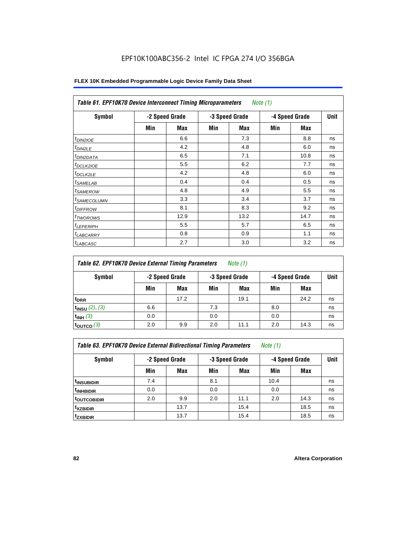| <b>Table 61. EPF10K70 Device Interconnect Timing Microparameters</b> Note (1) |     |                |     |                |     |                |      |  |  |
|-------------------------------------------------------------------------------|-----|----------------|-----|----------------|-----|----------------|------|--|--|
| Symbol                                                                        |     | -2 Speed Grade |     | -3 Speed Grade |     | -4 Speed Grade | Unit |  |  |
|                                                                               | Min | <b>Max</b>     | Min | Max            | Min | <b>Max</b>     |      |  |  |
| $t_{DINZIOE}$                                                                 |     | 6.6            |     | 7.3            |     | 8.8            | ns   |  |  |
| t <sub>DIN2LE</sub>                                                           |     | 4.2            |     | 4.8            |     | 6.0            | ns   |  |  |
| <sup>t</sup> DIN2DATA                                                         |     | 6.5            |     | 7.1            |     | 10.8           | ns   |  |  |
| t <sub>DCLK2IOE</sub>                                                         |     | 5.5            |     | 6.2            |     | 7.7            | ns   |  |  |
| <sup>t</sup> DCLK2LE                                                          |     | 4.2            |     | 4.8            |     | 6.0            | ns   |  |  |
| <sup>t</sup> SAMELAB                                                          |     | 0.4            |     | 0.4            |     | 0.5            | ns   |  |  |
| <sup>t</sup> SAMEROW                                                          |     | 4.8            |     | 4.9            |     | 5.5            | ns   |  |  |
| <sup>t</sup> SAMECOLUMN                                                       |     | 3.3            |     | 3.4            |     | 3.7            | ns   |  |  |
| <i><b>IDIFFROW</b></i>                                                        |     | 8.1            |     | 8.3            |     | 9.2            | ns   |  |  |
| <sup>T</sup> TWOROWS                                                          |     | 12.9           |     | 13.2           |     | 14.7           | ns   |  |  |
| <sup>t</sup> LEPERIPH                                                         |     | 5.5            |     | 5.7            |     | 6.5            | ns   |  |  |
| <b>LABCARRY</b>                                                               |     | 0.8            |     | 0.9            |     | 1.1            | ns   |  |  |
| <sup>t</sup> LABCASC                                                          |     | 2.7            |     | 3.0            |     | 3.2            | ns   |  |  |

| Table 62. EPF10K70 Device External Timing Parameters<br>Note $(1)$ |     |                |     |                |                |             |    |  |  |
|--------------------------------------------------------------------|-----|----------------|-----|----------------|----------------|-------------|----|--|--|
| Symbol                                                             |     | -2 Speed Grade |     | -3 Speed Grade | -4 Speed Grade | <b>Unit</b> |    |  |  |
|                                                                    | Min | Max            | Min | Max            | Min            | Max         |    |  |  |
| <sup>t</sup> DRR                                                   |     | 17.2           |     | 19.1           |                | 24.2        | ns |  |  |
| $t_{INSU}$ (2), (3)                                                | 6.6 |                | 7.3 |                | 8.0            |             | ns |  |  |
| $t_{INH}$ (3)                                                      | 0.0 |                | 0.0 |                | 0.0            |             | ns |  |  |
| $t_{\rm OUTCO}$ (3)                                                | 2.0 | 9.9            | 2.0 | 11.1           | 2.0            | 14.3        | ns |  |  |

*Table 63. EPF10K70 Device External Bidirectional Timing Parameters Note (1)*

| <b>Symbol</b>           | -2 Speed Grade |            |     | -3 Speed Grade | -4 Speed Grade | <b>Unit</b> |    |
|-------------------------|----------------|------------|-----|----------------|----------------|-------------|----|
|                         | Min            | <b>Max</b> | Min | <b>Max</b>     | Min            | <b>Max</b>  |    |
| <sup>t</sup> INSUBIDIR  | 7.4            |            | 8.1 |                | 10.4           |             | ns |
| <sup>t</sup> INHBIDIR   | 0.0            |            | 0.0 |                | 0.0            |             | ns |
| <sup>t</sup> OUTCOBIDIR | 2.0            | 9.9        | 2.0 | 11.1           | 2.0            | 14.3        | ns |
| <sup>t</sup> xzbidir    |                | 13.7       |     | 15.4           |                | 18.5        | ns |
| <sup>t</sup> zxbidir    |                | 13.7       |     | 15.4           |                | 18.5        | ns |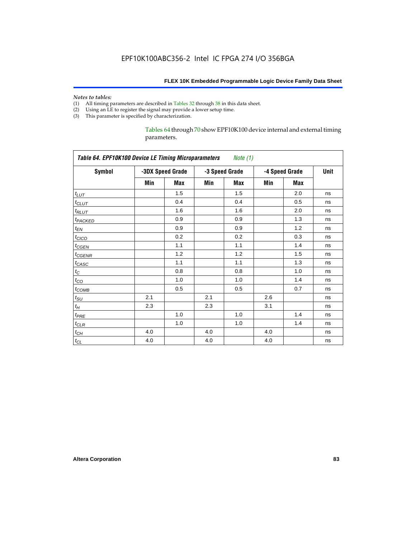# *Notes to tables:*<br>(1) All timing p

- All timing parameters are described in Tables 32 through 38 in this data sheet.
- (2) Using an LE to register the signal may provide a lower setup time.
- (3) This parameter is specified by characterization.

Tables 64 through 70 show EPF10K100 device internal and external timing parameters.

| <b>Symbol</b>       |     | -3DX Speed Grade |     | -3 Speed Grade |     | -4 Speed Grade | Unit |
|---------------------|-----|------------------|-----|----------------|-----|----------------|------|
|                     | Min | Max              | Min | Max            | Min | <b>Max</b>     |      |
| $t_{LUT}$           |     | 1.5              |     | 1.5            |     | 2.0            | ns   |
| $t_{CLUT}$          |     | 0.4              |     | 0.4            |     | 0.5            | ns   |
| $t_{RLUT}$          |     | 1.6              |     | 1.6            |     | 2.0            | ns   |
| t <sub>PACKED</sub> |     | 0.9              |     | 0.9            |     | 1.3            | ns   |
| $t_{EN}$            |     | 0.9              |     | 0.9            |     | 1.2            | ns   |
| $t_{CICO}$          |     | 0.2              |     | 0.2            |     | 0.3            | ns   |
| $t_{GEN}$           |     | 1.1              |     | 1.1            |     | 1.4            | ns   |
| $t_{GENR}$          |     | 1.2              |     | 1.2            |     | 1.5            | ns   |
| $t_{CASC}$          |     | 1.1              |     | 1.1            |     | 1.3            | ns   |
| $t_C$               |     | 0.8              |     | 0.8            |     | 1.0            | ns   |
| $t_{CO}$            |     | 1.0              |     | 1.0            |     | 1.4            | ns   |
| $t_{COMB}$          |     | 0.5              |     | 0.5            |     | 0.7            | ns   |
| $t_{\rm SU}$        | 2.1 |                  | 2.1 |                | 2.6 |                | ns   |
| $t_H$               | 2.3 |                  | 2.3 |                | 3.1 |                | ns   |
| $t_{PRE}$           |     | 1.0              |     | 1.0            |     | 1.4            | ns   |
| $t_{CLR}$           |     | 1.0              |     | 1.0            |     | 1.4            | ns   |
| $t_{CH}$            | 4.0 |                  | 4.0 |                | 4.0 |                | ns   |
| $t_{CL}$            | 4.0 |                  | 4.0 |                | 4.0 |                | ns   |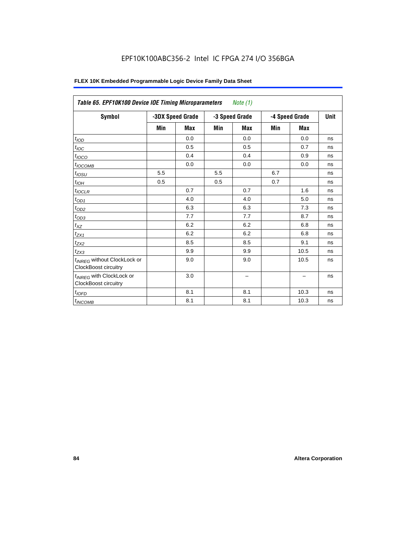| Table 65. EPF10K100 Device IOE Timing Microparameters<br><i>Note</i> $(1)$ |                  |     |     |                |                |                          |    |  |
|----------------------------------------------------------------------------|------------------|-----|-----|----------------|----------------|--------------------------|----|--|
| <b>Symbol</b>                                                              | -3DX Speed Grade |     |     | -3 Speed Grade | -4 Speed Grade | Unit                     |    |  |
|                                                                            | Min              | Max | Min | Max            | Min            | Max                      |    |  |
| t <sub>IOD</sub>                                                           |                  | 0.0 |     | 0.0            |                | 0.0                      | ns |  |
| $t_{\text{IOC}}$                                                           |                  | 0.5 |     | 0.5            |                | 0.7                      | ns |  |
| $t_{IOCO}$                                                                 |                  | 0.4 |     | 0.4            |                | 0.9                      | ns |  |
| $t_{IOCOMB}$                                                               |                  | 0.0 |     | 0.0            |                | 0.0                      | ns |  |
| $t_{IOSU}$                                                                 | 5.5              |     | 5.5 |                | 6.7            |                          | ns |  |
| $t_{IOH}$                                                                  | 0.5              |     | 0.5 |                | 0.7            |                          | ns |  |
| $t_{IOCLR}$                                                                |                  | 0.7 |     | 0.7            |                | 1.6                      | ns |  |
| $t_{OD1}$                                                                  |                  | 4.0 |     | 4.0            |                | 5.0                      | ns |  |
| $t_{OD2}$                                                                  |                  | 6.3 |     | 6.3            |                | 7.3                      | ns |  |
| $t_{0D3}$                                                                  |                  | 7.7 |     | 7.7            |                | 8.7                      | ns |  |
| $t_{XZ}$                                                                   |                  | 6.2 |     | 6.2            |                | 6.8                      | ns |  |
| $t_{ZX1}$                                                                  |                  | 6.2 |     | 6.2            |                | 6.8                      | ns |  |
| $t_{ZX2}$                                                                  |                  | 8.5 |     | 8.5            |                | 9.1                      | ns |  |
| $t_{ZX3}$                                                                  |                  | 9.9 |     | 9.9            |                | 10.5                     | ns |  |
| t <sub>INREG</sub> without ClockLock or<br>ClockBoost circuitry            |                  | 9.0 |     | 9.0            |                | 10.5                     | ns |  |
| $t_{INREG}$ with ClockLock or<br>ClockBoost circuitry                      |                  | 3.0 |     | -              |                | $\overline{\phantom{0}}$ | ns |  |
| $t_{IOFD}$                                                                 |                  | 8.1 |     | 8.1            |                | 10.3                     | ns |  |

 $t_{INCOMB}$  10.3 ns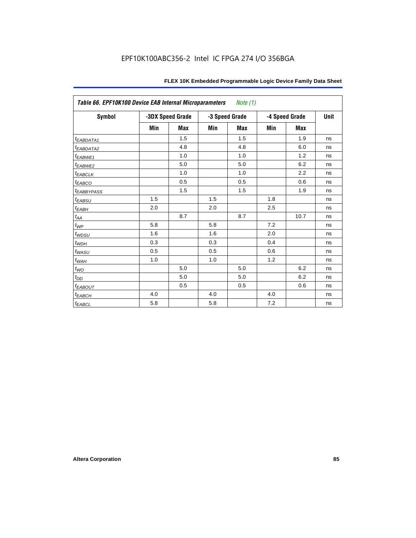| Table 66. EPF10K100 Device EAB Internal Microparameters<br><i>Note</i> $(1)$ |     |                  |     |                |                |            |    |  |  |
|------------------------------------------------------------------------------|-----|------------------|-----|----------------|----------------|------------|----|--|--|
| Symbol                                                                       |     | -3DX Speed Grade |     | -3 Speed Grade | -4 Speed Grade | Unit       |    |  |  |
|                                                                              | Min | <b>Max</b>       | Min | <b>Max</b>     | Min            | <b>Max</b> |    |  |  |
| <sup>t</sup> EABDATA1                                                        |     | 1.5              |     | 1.5            |                | 1.9        | ns |  |  |
| <sup>t</sup> EABDATA2                                                        |     | 4.8              |     | 4.8            |                | 6.0        | ns |  |  |
| <sup>t</sup> EABWE1                                                          |     | 1.0              |     | 1.0            |                | 1.2        | ns |  |  |
| t <sub>EABWE2</sub>                                                          |     | 5.0              |     | 5.0            |                | 6.2        | ns |  |  |
| $t_{EABCLK}$                                                                 |     | 1.0              |     | 1.0            |                | 2.2        | ns |  |  |
| t <sub>EABCO</sub>                                                           |     | 0.5              |     | 0.5            |                | 0.6        | ns |  |  |
| <sup>t</sup> EABBYPASS                                                       |     | 1.5              |     | 1.5            |                | 1.9        | ns |  |  |
| t <sub>EABSU</sub>                                                           | 1.5 |                  | 1.5 |                | 1.8            |            | ns |  |  |
| t <sub>ЕАВН</sub>                                                            | 2.0 |                  | 2.0 |                | 2.5            |            | ns |  |  |
| $t_{AA}$                                                                     |     | 8.7              |     | 8.7            |                | 10.7       | ns |  |  |
| $t_{WP}$                                                                     | 5.8 |                  | 5.8 |                | 7.2            |            | ns |  |  |
| $t_{WDSU}$                                                                   | 1.6 |                  | 1.6 |                | 2.0            |            | ns |  |  |
| $t_{WDH}$                                                                    | 0.3 |                  | 0.3 |                | 0.4            |            | ns |  |  |
| $t_{WASU}$                                                                   | 0.5 |                  | 0.5 |                | 0.6            |            | ns |  |  |
| $t_{WAH}$                                                                    | 1.0 |                  | 1.0 |                | 1.2            |            | ns |  |  |
| $t_{WO}$                                                                     |     | 5.0              |     | 5.0            |                | 6.2        | ns |  |  |
| $t_{DD}$                                                                     |     | 5.0              |     | 5.0            |                | 6.2        | ns |  |  |
| t <sub>EABOUT</sub>                                                          |     | 0.5              |     | 0.5            |                | 0.6        | ns |  |  |
| t <sub>ЕАВСН</sub>                                                           | 4.0 |                  | 4.0 |                | 4.0            |            | ns |  |  |
| $t_{EABCL}$                                                                  | 5.8 |                  | 5.8 |                | 7.2            |            | ns |  |  |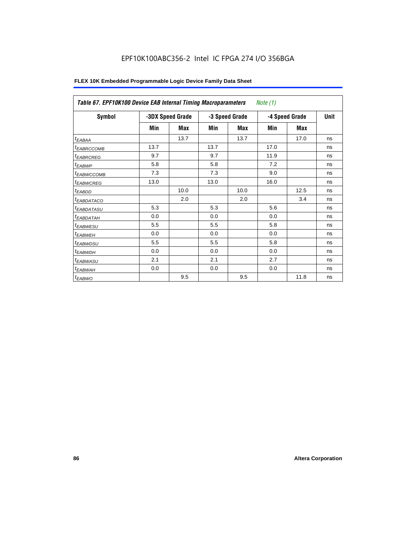| Table 67. EPF10K100 Device EAB Internal Timing Macroparameters<br><i>Note</i> $(1)$ |      |                  |      |                |                |             |    |  |  |
|-------------------------------------------------------------------------------------|------|------------------|------|----------------|----------------|-------------|----|--|--|
| Symbol                                                                              |      | -3DX Speed Grade |      | -3 Speed Grade | -4 Speed Grade | <b>Unit</b> |    |  |  |
|                                                                                     | Min  | Max              | Min  | Max            | Min            | Max         |    |  |  |
| <sup>t</sup> EABAA                                                                  |      | 13.7             |      | 13.7           |                | 17.0        | ns |  |  |
| <sup>t</sup> EABRCCOMB                                                              | 13.7 |                  | 13.7 |                | 17.0           |             | ns |  |  |
| <sup>t</sup> EABRCREG                                                               | 9.7  |                  | 9.7  |                | 11.9           |             | ns |  |  |
| <sup>t</sup> EABWP                                                                  | 5.8  |                  | 5.8  |                | 7.2            |             | ns |  |  |
| <sup>t</sup> EABWCCOMB                                                              | 7.3  |                  | 7.3  |                | 9.0            |             | ns |  |  |
| <sup>t</sup> EABWCREG                                                               | 13.0 |                  | 13.0 |                | 16.0           |             | ns |  |  |
| <sup>t</sup> EABDD                                                                  |      | 10.0             |      | 10.0           |                | 12.5        | ns |  |  |
| <sup>t</sup> EABDATACO                                                              |      | 2.0              |      | 2.0            |                | 3.4         | ns |  |  |
| <sup>t</sup> EABDATASU                                                              | 5.3  |                  | 5.3  |                | 5.6            |             | ns |  |  |
| <sup>t</sup> EABDATAH                                                               | 0.0  |                  | 0.0  |                | 0.0            |             | ns |  |  |
| <sup>t</sup> EABWESU                                                                | 5.5  |                  | 5.5  |                | 5.8            |             | ns |  |  |
| <sup>t</sup> EABWEH                                                                 | 0.0  |                  | 0.0  |                | 0.0            |             | ns |  |  |
| <sup>t</sup> EABWDSU                                                                | 5.5  |                  | 5.5  |                | 5.8            |             | ns |  |  |
| <sup>t</sup> EABWDH                                                                 | 0.0  |                  | 0.0  |                | 0.0            |             | ns |  |  |
| <sup>t</sup> EABWASU                                                                | 2.1  |                  | 2.1  |                | 2.7            |             | ns |  |  |
| <sup>t</sup> EABWAH                                                                 | 0.0  |                  | 0.0  |                | 0.0            |             | ns |  |  |
| t <sub>EABWO</sub>                                                                  |      | 9.5              |      | 9.5            |                | 11.8        | ns |  |  |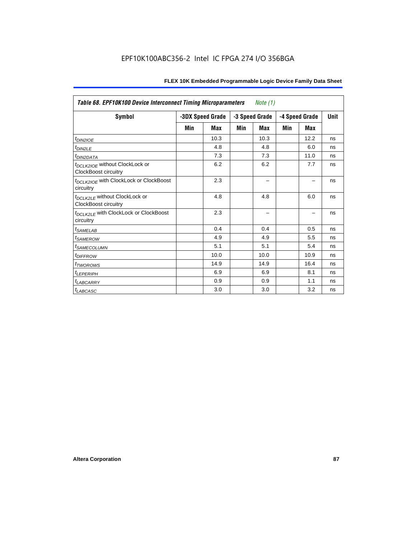| <b>Table 68. EPF10K100 Device Interconnect Timing Microparameters</b><br>Note (1) |     |                  |     |                |     |                |             |  |
|-----------------------------------------------------------------------------------|-----|------------------|-----|----------------|-----|----------------|-------------|--|
| <b>Symbol</b>                                                                     |     | -3DX Speed Grade |     | -3 Speed Grade |     | -4 Speed Grade | <b>Unit</b> |  |
|                                                                                   | Min | Max              | Min | <b>Max</b>     | Min | Max            |             |  |
| <sup>t</sup> DIN2IOE                                                              |     | 10.3             |     | 10.3           |     | 12.2           | ns          |  |
| t <sub>DIN2LE</sub>                                                               |     | 4.8              |     | 4.8            |     | 6.0            | ns          |  |
| <sup>t</sup> DIN2DATA                                                             |     | 7.3              |     | 7.3            |     | 11.0           | ns          |  |
| t <sub>DCLK2IOE</sub> without ClockLock or<br><b>ClockBoost circuitry</b>         |     | 6.2              |     | 6.2            |     | 7.7            | ns          |  |
| t <sub>DCLK2IOE</sub> with ClockLock or ClockBoost<br>circuitry                   |     | 2.3              |     |                |     |                | ns          |  |
| t <sub>DCLK2LE</sub> without ClockLock or<br>ClockBoost circuitry                 |     | 4.8              |     | 4.8            |     | 6.0            | ns          |  |
| t <sub>DCLK2LE</sub> with ClockLock or ClockBoost<br>circuitry                    |     | 2.3              |     |                |     |                | ns          |  |
| <sup>t</sup> SAMELAB                                                              |     | 0.4              |     | 0.4            |     | 0.5            | ns          |  |
| <i><b>ISAMEROW</b></i>                                                            |     | 4.9              |     | 4.9            |     | 5.5            | ns          |  |
| <sup>I</sup> SAMECOLUMN                                                           |     | 5.1              |     | 5.1            |     | 5.4            | ns          |  |
| <i>t<sub>DIFFROW</sub></i>                                                        |     | 10.0             |     | 10.0           |     | 10.9           | ns          |  |
| <sup>t</sup> TWOROWS                                                              |     | 14.9             |     | 14.9           |     | 16.4           | ns          |  |
| t <sub>LEPERIPH</sub>                                                             |     | 6.9              |     | 6.9            |     | 8.1            | ns          |  |
| <b><i>LABCARRY</i></b>                                                            |     | 0.9              |     | 0.9            |     | 1.1            | ns          |  |
| <sup>t</sup> LABCASC                                                              |     | 3.0              |     | 3.0            |     | 3.2            | ns          |  |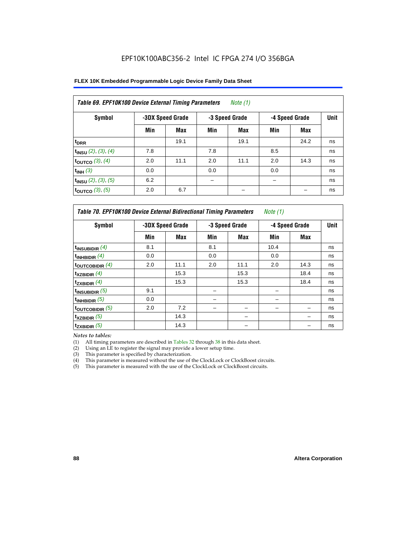| FLEX 10K Embedded Programmable Logic Device Family Data Sheet |  |
|---------------------------------------------------------------|--|
|---------------------------------------------------------------|--|

| Table 69. EPF10K100 Device External Timing Parameters<br>Note $(1)$ |                  |      |                |      |                |      |      |  |  |  |
|---------------------------------------------------------------------|------------------|------|----------------|------|----------------|------|------|--|--|--|
| Symbol                                                              | -3DX Speed Grade |      | -3 Speed Grade |      | -4 Speed Grade |      | Unit |  |  |  |
|                                                                     | Min              | Max  | Min            | Max  | Min            | Max  |      |  |  |  |
| t <sub>DRR</sub>                                                    |                  | 19.1 |                | 19.1 |                | 24.2 | ns   |  |  |  |
| $t_{INSU}$ (2), (3), (4)                                            | 7.8              |      | 7.8            |      | 8.5            |      | ns   |  |  |  |
| toutco $(3)$ , $(4)$                                                | 2.0              | 11.1 | 2.0            | 11.1 | 2.0            | 14.3 | ns   |  |  |  |
| $t_{INH}$ (3)                                                       | 0.0              |      | 0.0            |      | 0.0            |      | ns   |  |  |  |
| $t_{INSU}$ (2), (3), (5)                                            | 6.2              |      |                |      |                |      | ns   |  |  |  |
| toutco $(3)$ , $(5)$                                                | 2.0              | 6.7  |                |      |                |      | ns   |  |  |  |

| Table 70. EPF10K100 Device External Bidirectional Timing Parameters<br>Note (1) |     |                  |     |                |                |             |    |  |  |  |
|---------------------------------------------------------------------------------|-----|------------------|-----|----------------|----------------|-------------|----|--|--|--|
| Symbol                                                                          |     | -3DX Speed Grade |     | -3 Speed Grade | -4 Speed Grade | <b>Unit</b> |    |  |  |  |
|                                                                                 | Min | Max              | Min | Max            | Min            | <b>Max</b>  |    |  |  |  |
| $t_{INSUBIDIR}(4)$                                                              | 8.1 |                  | 8.1 |                | 10.4           |             | ns |  |  |  |
| $t_{INHBIDIR}$ (4)                                                              | 0.0 |                  | 0.0 |                | 0.0            |             | ns |  |  |  |
| toutcobidir $(4)$                                                               | 2.0 | 11.1             | 2.0 | 11.1           | 2.0            | 14.3        | ns |  |  |  |
| $t_{XZBIDIR}$ (4)                                                               |     | 15.3             |     | 15.3           |                | 18.4        | ns |  |  |  |
| $t_{ZXBIDIR}$ (4)                                                               |     | 15.3             |     | 15.3           |                | 18.4        | ns |  |  |  |
| $t_{INSUBIDIR}$ (5)                                                             | 9.1 |                  |     |                |                |             | ns |  |  |  |
| $t_{INHBIDIR}$ (5)                                                              | 0.0 |                  |     |                |                |             | ns |  |  |  |
| toutcobidir $(5)$                                                               | 2.0 | 7.2              |     |                |                |             | ns |  |  |  |
| $t_{XZBIDIR}$ (5)                                                               |     | 14.3             |     |                |                |             | ns |  |  |  |
| $t_{ZXBIDIR}$ (5)                                                               |     | 14.3             |     |                |                |             | ns |  |  |  |

*Notes to tables:*

(1) All timing parameters are described in Tables 32 through 38 in this data sheet.

(2) Using an LE to register the signal may provide a lower setup time.

(3) This parameter is specified by characterization.

(4) This parameter is measured without the use of the ClockLock or ClockBoost circuits.

(5) This parameter is measured with the use of the ClockLock or ClockBoost circuits.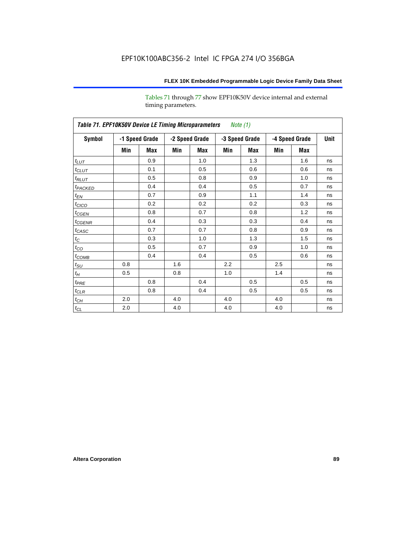Tables 71 through 77 show EPF10K50V device internal and external timing parameters.

| Table 71. EPF10K50V Device LE Timing Microparameters Note (1) |     |                |     |                |     |                |     |                |             |  |  |
|---------------------------------------------------------------|-----|----------------|-----|----------------|-----|----------------|-----|----------------|-------------|--|--|
| Symbol                                                        |     | -1 Speed Grade |     | -2 Speed Grade |     | -3 Speed Grade |     | -4 Speed Grade | <b>Unit</b> |  |  |
|                                                               | Min | Max            | Min | Max            | Min | Max            | Min | Max            |             |  |  |
| $t_{LUT}$                                                     |     | 0.9            |     | 1.0            |     | 1.3            |     | 1.6            | ns          |  |  |
| $t_{CLUT}$                                                    |     | 0.1            |     | 0.5            |     | 0.6            |     | 0.6            | ns          |  |  |
| $t_{RLUT}$                                                    |     | 0.5            |     | 0.8            |     | 0.9            |     | 1.0            | ns          |  |  |
| t <sub>PACKED</sub>                                           |     | 0.4            |     | 0.4            |     | 0.5            |     | 0.7            | ns          |  |  |
| $t_{EN}$                                                      |     | 0.7            |     | 0.9            |     | 1.1            |     | 1.4            | ns          |  |  |
| $t_{CICO}$                                                    |     | 0.2            |     | 0.2            |     | 0.2            |     | 0.3            | ns          |  |  |
| $t_{CGEN}$                                                    |     | 0.8            |     | 0.7            |     | 0.8            |     | 1.2            | ns          |  |  |
| $t_{\text{GENR}}$                                             |     | 0.4            |     | 0.3            |     | 0.3            |     | 0.4            | ns          |  |  |
| $t_{CASC}$                                                    |     | 0.7            |     | 0.7            |     | 0.8            |     | 0.9            | ns          |  |  |
| $t_C$                                                         |     | 0.3            |     | 1.0            |     | 1.3            |     | 1.5            | ns          |  |  |
| $t_{CO}$                                                      |     | 0.5            |     | 0.7            |     | 0.9            |     | 1.0            | ns          |  |  |
| $t_{COMB}$                                                    |     | 0.4            |     | 0.4            |     | 0.5            |     | 0.6            | ns          |  |  |
| $t_{\rm SU}$                                                  | 0.8 |                | 1.6 |                | 2.2 |                | 2.5 |                | ns          |  |  |
| $t_{\!H}$                                                     | 0.5 |                | 0.8 |                | 1.0 |                | 1.4 |                | ns          |  |  |
| $t_{PRE}$                                                     |     | 0.8            |     | 0.4            |     | 0.5            |     | 0.5            | ns          |  |  |
| $t_{CLR}$                                                     |     | 0.8            |     | 0.4            |     | 0.5            |     | 0.5            | ns          |  |  |
| $t_{\mathit{CH}}$                                             | 2.0 |                | 4.0 |                | 4.0 |                | 4.0 |                | ns          |  |  |
| $t_{\rm CL}$                                                  | 2.0 |                | 4.0 |                | 4.0 |                | 4.0 |                | ns          |  |  |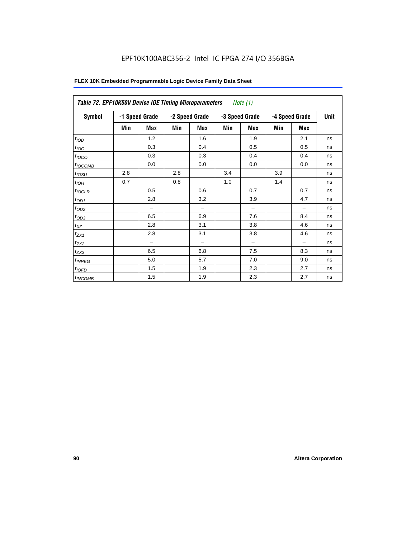| Symbol           |     | -1 Speed Grade |     | -2 Speed Grade           |     | -3 Speed Grade           |     | -4 Speed Grade |    |
|------------------|-----|----------------|-----|--------------------------|-----|--------------------------|-----|----------------|----|
|                  | Min | Max            | Min | <b>Max</b>               | Min | <b>Max</b>               | Min | <b>Max</b>     |    |
| t <sub>IOD</sub> |     | 1.2            |     | 1.6                      |     | 1.9                      |     | 2.1            | ns |
| $t_{\text{IOC}}$ |     | 0.3            |     | 0.4                      |     | 0.5                      |     | 0.5            | ns |
| $t_{IOCO}$       |     | 0.3            |     | 0.3                      |     | 0.4                      |     | 0.4            | ns |
| $t_{IOCOMB}$     |     | 0.0            |     | 0.0                      |     | 0.0                      |     | 0.0            | ns |
| $t_{IOSU}$       | 2.8 |                | 2.8 |                          | 3.4 |                          | 3.9 |                | ns |
| $t_{IOH}$        | 0.7 |                | 0.8 |                          | 1.0 |                          | 1.4 |                | ns |
| $t_{IOCLR}$      |     | 0.5            |     | 0.6                      |     | 0.7                      |     | 0.7            | ns |
| $t_{OD1}$        |     | 2.8            |     | 3.2                      |     | 3.9                      |     | 4.7            | ns |
| $t_{OD2}$        |     |                |     | $\overline{\phantom{0}}$ |     | $\overline{\phantom{0}}$ |     | -              | ns |
| $t_{OD3}$        |     | 6.5            |     | 6.9                      |     | 7.6                      |     | 8.4            | ns |
| $t_{XZ}$         |     | 2.8            |     | 3.1                      |     | 3.8                      |     | 4.6            | ns |
| $t_{ZX1}$        |     | 2.8            |     | 3.1                      |     | 3.8                      |     | 4.6            | ns |
| $t_{ZX2}$        |     |                |     |                          |     | -                        |     |                | ns |
| $t_{ZX3}$        |     | 6.5            |     | 6.8                      |     | 7.5                      |     | 8.3            | ns |
| $t_{INREG}$      |     | 5.0            |     | 5.7                      |     | 7.0                      |     | 9.0            | ns |
| $t_{IOFD}$       |     | 1.5            |     | 1.9                      |     | 2.3                      |     | 2.7            | ns |
| $t_{INCOMB}$     |     | 1.5            |     | 1.9                      |     | 2.3                      |     | 2.7            | ns |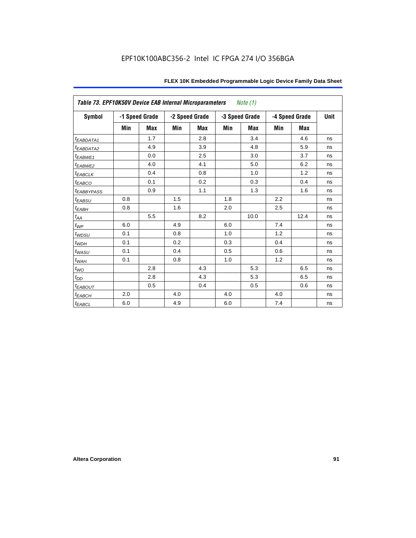| Table 73. EPF10K50V Device EAB Internal Microparameters<br>Note $(1)$ |     |                |     |                |     |                |     |                |             |  |
|-----------------------------------------------------------------------|-----|----------------|-----|----------------|-----|----------------|-----|----------------|-------------|--|
| Symbol                                                                |     | -1 Speed Grade |     | -2 Speed Grade |     | -3 Speed Grade |     | -4 Speed Grade | <b>Unit</b> |  |
|                                                                       | Min | <b>Max</b>     | Min | <b>Max</b>     | Min | <b>Max</b>     | Min | Max            |             |  |
| <i>EABDATA1</i>                                                       |     | 1.7            |     | 2.8            |     | 3.4            |     | 4.6            | ns          |  |
| <sup>t</sup> EABDATA2                                                 |     | 4.9            |     | 3.9            |     | 4.8            |     | 5.9            | ns          |  |
| t <sub>EABWE1</sub>                                                   |     | 0.0            |     | 2.5            |     | 3.0            |     | 3.7            | ns          |  |
| t <sub>EABWE2</sub>                                                   |     | 4.0            |     | 4.1            |     | 5.0            |     | 6.2            | ns          |  |
| $t_{EABCLK}$                                                          |     | 0.4            |     | 0.8            |     | 1.0            |     | 1.2            | ns          |  |
| $t_{EABCO}$                                                           |     | 0.1            |     | 0.2            |     | 0.3            |     | 0.4            | ns          |  |
| <i><b>EABBYPASS</b></i>                                               |     | 0.9            |     | 1.1            |     | 1.3            |     | 1.6            | ns          |  |
| $t_{EABSU}$                                                           | 0.8 |                | 1.5 |                | 1.8 |                | 2.2 |                | ns          |  |
| $t_{EABH}$                                                            | 0.8 |                | 1.6 |                | 2.0 |                | 2.5 |                | ns          |  |
| $t_{AA}$                                                              |     | 5.5            |     | 8.2            |     | 10.0           |     | 12.4           | ns          |  |
| $t_{WP}$                                                              | 6.0 |                | 4.9 |                | 6.0 |                | 7.4 |                | ns          |  |
| $t_{WDSU}$                                                            | 0.1 |                | 0.8 |                | 1.0 |                | 1.2 |                | ns          |  |
| $t_{WDH}$                                                             | 0.1 |                | 0.2 |                | 0.3 |                | 0.4 |                | ns          |  |
| $t_{WASU}$                                                            | 0.1 |                | 0.4 |                | 0.5 |                | 0.6 |                | ns          |  |
| $t_{WAH}$                                                             | 0.1 |                | 0.8 |                | 1.0 |                | 1.2 |                | ns          |  |
| $t_{WQ}$                                                              |     | 2.8            |     | 4.3            |     | 5.3            |     | 6.5            | ns          |  |
| $t_{DD}$                                                              |     | 2.8            |     | 4.3            |     | 5.3            |     | 6.5            | ns          |  |
| $t_{EABOUT}$                                                          |     | 0.5            |     | 0.4            |     | 0.5            |     | 0.6            | ns          |  |
| $t_{EABCH}$                                                           | 2.0 |                | 4.0 |                | 4.0 |                | 4.0 |                | ns          |  |
| $t_{EABCL}$                                                           | 6.0 |                | 4.9 |                | 6.0 |                | 7.4 |                | ns          |  |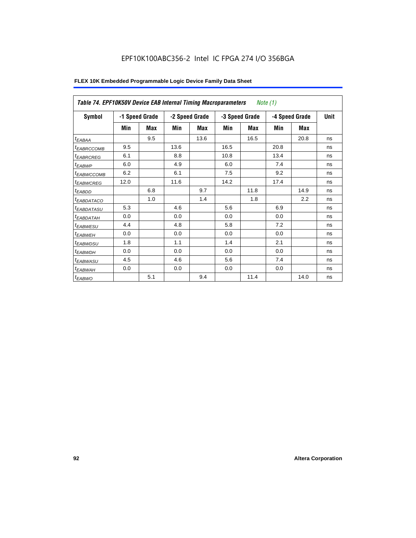|                        | Table 74. EPF10K50V Device EAB Internal Timing Macroparameters<br>Note (1) |                |      |                |                |      |                |      |             |  |  |
|------------------------|----------------------------------------------------------------------------|----------------|------|----------------|----------------|------|----------------|------|-------------|--|--|
| Symbol                 |                                                                            | -1 Speed Grade |      | -2 Speed Grade | -3 Speed Grade |      | -4 Speed Grade |      | <b>Unit</b> |  |  |
|                        | Min                                                                        | Max            | Min  | Max            | Min            | Max  | Min            | Max  |             |  |  |
| $t_{EABA}$             |                                                                            | 9.5            |      | 13.6           |                | 16.5 |                | 20.8 | ns          |  |  |
| <sup>t</sup> EABRCCOMB | 9.5                                                                        |                | 13.6 |                | 16.5           |      | 20.8           |      | ns          |  |  |
| <sup>t</sup> EABRCREG  | 6.1                                                                        |                | 8.8  |                | 10.8           |      | 13.4           |      | ns          |  |  |
| <sup>t</sup> EABWP     | 6.0                                                                        |                | 4.9  |                | 6.0            |      | 7.4            |      | ns          |  |  |
| <sup>t</sup> EABWCCOMB | 6.2                                                                        |                | 6.1  |                | 7.5            |      | 9.2            |      | ns          |  |  |
| <sup>t</sup> EABWCREG  | 12.0                                                                       |                | 11.6 |                | 14.2           |      | 17.4           |      | ns          |  |  |
| <sup>t</sup> EABDD     |                                                                            | 6.8            |      | 9.7            |                | 11.8 |                | 14.9 | ns          |  |  |
| <sup>t</sup> EABDATACO |                                                                            | 1.0            |      | 1.4            |                | 1.8  |                | 2.2  | ns          |  |  |
| <sup>t</sup> EABDATASU | 5.3                                                                        |                | 4.6  |                | 5.6            |      | 6.9            |      | ns          |  |  |
| <sup>t</sup> EABDATAH  | 0.0                                                                        |                | 0.0  |                | 0.0            |      | 0.0            |      | ns          |  |  |
| <sup>t</sup> EABWESU   | 4.4                                                                        |                | 4.8  |                | 5.8            |      | 7.2            |      | ns          |  |  |
| $t_{EABWEH}$           | 0.0                                                                        |                | 0.0  |                | 0.0            |      | 0.0            |      | ns          |  |  |
| <sup>t</sup> EABWDSU   | 1.8                                                                        |                | 1.1  |                | 1.4            |      | 2.1            |      | ns          |  |  |
| <sup>t</sup> EABWDH    | 0.0                                                                        |                | 0.0  |                | 0.0            |      | 0.0            |      | ns          |  |  |
| <sup>t</sup> EABWASU   | 4.5                                                                        |                | 4.6  |                | 5.6            |      | 7.4            |      | ns          |  |  |
| <sup>t</sup> EABWAH    | 0.0                                                                        |                | 0.0  |                | 0.0            |      | 0.0            |      | ns          |  |  |
| $t_{EABWO}$            |                                                                            | 5.1            |      | 9.4            |                | 11.4 |                | 14.0 | ns          |  |  |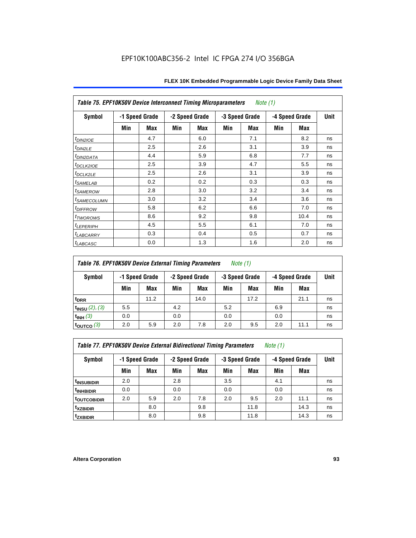| Table 75. EPF10K50V Device Interconnect Timing Microparameters<br>Note (1) |     |                |     |                |                |     |                |      |             |  |
|----------------------------------------------------------------------------|-----|----------------|-----|----------------|----------------|-----|----------------|------|-------------|--|
| Symbol                                                                     |     | -1 Speed Grade |     | -2 Speed Grade | -3 Speed Grade |     | -4 Speed Grade |      | <b>Unit</b> |  |
|                                                                            | Min | Max            | Min | Max            | Min            | Max | Min            | Max  |             |  |
| $t_{DINZIOE}$                                                              |     | 4.7            |     | 6.0            |                | 7.1 |                | 8.2  | ns          |  |
| t <sub>DIN2LE</sub>                                                        |     | 2.5            |     | 2.6            |                | 3.1 |                | 3.9  | ns          |  |
| <sup>t</sup> DIN2DATA                                                      |     | 4.4            |     | 5.9            |                | 6.8 |                | 7.7  | ns          |  |
| t <sub>DCLK2IOE</sub>                                                      |     | 2.5            |     | 3.9            |                | 4.7 |                | 5.5  | ns          |  |
| $t_{DCLK2LE}$                                                              |     | 2.5            |     | 2.6            |                | 3.1 |                | 3.9  | ns          |  |
| <i>t<sub>SAMELAB</sub></i>                                                 |     | 0.2            |     | 0.2            |                | 0.3 |                | 0.3  | ns          |  |
| <sup>t</sup> SAMEROW                                                       |     | 2.8            |     | 3.0            |                | 3.2 |                | 3.4  | ns          |  |
| <sup>t</sup> SAMECOLUMN                                                    |     | 3.0            |     | 3.2            |                | 3.4 |                | 3.6  | ns          |  |
| <i>t<sub>DIFFROW</sub></i>                                                 |     | 5.8            |     | 6.2            |                | 6.6 |                | 7.0  | ns          |  |
| t <sub>TWOROWS</sub>                                                       |     | 8.6            |     | 9.2            |                | 9.8 |                | 10.4 | ns          |  |
| $t_{LEPERIPH}$                                                             |     | 4.5            |     | 5.5            |                | 6.1 |                | 7.0  | ns          |  |
| t <sub>LABCARRY</sub>                                                      |     | 0.3            |     | 0.4            |                | 0.5 |                | 0.7  | ns          |  |
| <i>t<sub>LABCASC</sub></i>                                                 |     | 0.0            |     | 1.3            |                | 1.6 |                | 2.0  | ns          |  |

### *Table 76. EPF10K50V Device External Timing Parameters Note (1)*

| Symbol                   |     | -1 Speed Grade |     | -2 Speed Grade |     | -3 Speed Grade |     | -4 Speed Grade |    |
|--------------------------|-----|----------------|-----|----------------|-----|----------------|-----|----------------|----|
|                          | Min | Max            | Min | Max            | Min | Max            | Min | Max            |    |
| t <sub>DRR</sub>         |     | 11.2           |     | 14.0           |     | 17.2           |     | 21.1           | ns |
| $t_{INSU}$ (2), (3)      | 5.5 |                | 4.2 |                | 5.2 |                | 6.9 |                | ns |
| $t_{INH}$ (3)            | 0.0 |                | 0.0 |                | 0.0 |                | 0.0 |                | ns |
| $\tt_{\text{OUTCO}}$ (3) | 2.0 | 5.9            | 2.0 | 7.8            | 2.0 | 9.5            | 2.0 | 11.1           | ns |

*Table 77. EPF10K50V Device External Bidirectional Timing Parameters Note (1)*

| Symbol                 |     | -1 Speed Grade |     | -2 Speed Grade |     | -3 Speed Grade |     | -4 Speed Grade |    |
|------------------------|-----|----------------|-----|----------------|-----|----------------|-----|----------------|----|
|                        | Min | Max            | Min | Max            | Min | Max            | Min | Max            |    |
| <sup>t</sup> INSUBIDIR | 2.0 |                | 2.8 |                | 3.5 |                | 4.1 |                | ns |
| <sup>t</sup> INHBIDIR  | 0.0 |                | 0.0 |                | 0.0 |                | 0.0 |                | ns |
| <b>toutcobidir</b>     | 2.0 | 5.9            | 2.0 | 7.8            | 2.0 | 9.5            | 2.0 | 11.1           | ns |
| <sup>t</sup> xzbidir   |     | 8.0            |     | 9.8            |     | 11.8           |     | 14.3           | ns |
| <sup>t</sup> zxbidir   |     | 8.0            |     | 9.8            |     | 11.8           |     | 14.3           | ns |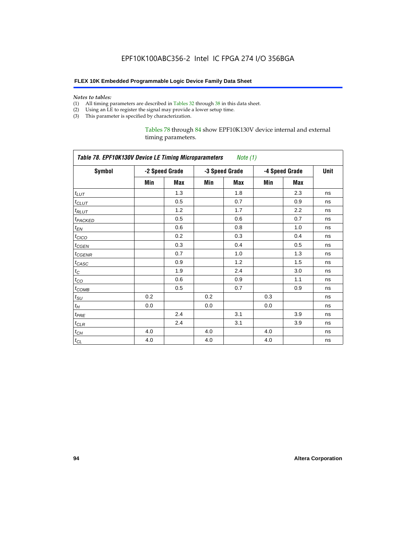#### *Notes to tables:*

- (1) All timing parameters are described in Tables 32 through 38 in this data sheet.
- (2) Using an LE to register the signal may provide a lower setup time.
- (3) This parameter is specified by characterization.

### Tables 78 through 84 show EPF10K130V device internal and external timing parameters.

| Table 78. EPF10K130V Device LE Timing Microparameters Note (1) |     |                |     |                |     |                |      |  |  |  |
|----------------------------------------------------------------|-----|----------------|-----|----------------|-----|----------------|------|--|--|--|
| <b>Symbol</b>                                                  |     | -2 Speed Grade |     | -3 Speed Grade |     | -4 Speed Grade | Unit |  |  |  |
|                                                                | Min | Max            | Min | Max            | Min | Max            |      |  |  |  |
| $t_{LUT}$                                                      |     | 1.3            |     | 1.8            |     | 2.3            | ns   |  |  |  |
| $t_{CLUT}$                                                     |     | 0.5            |     | 0.7            |     | 0.9            | ns   |  |  |  |
| $t_{RLUT}$                                                     |     | 1.2            |     | 1.7            |     | 2.2            | ns   |  |  |  |
| t <sub>PACKED</sub>                                            |     | 0.5            |     | 0.6            |     | 0.7            | ns   |  |  |  |
| $t_{EN}$                                                       |     | 0.6            |     | 0.8            |     | 1.0            | ns   |  |  |  |
| $t_{CICO}$                                                     |     | 0.2            |     | 0.3            |     | 0.4            | ns   |  |  |  |
| $t_{GEN}$                                                      |     | 0.3            |     | 0.4            |     | 0.5            | ns   |  |  |  |
| t <sub>CGENR</sub>                                             |     | 0.7            |     | 1.0            |     | 1.3            | ns   |  |  |  |
| $t_{CASC}$                                                     |     | 0.9            |     | 1.2            |     | 1.5            | ns   |  |  |  |
| $t_C$                                                          |     | 1.9            |     | 2.4            |     | 3.0            | ns   |  |  |  |
| $t_{CO}$                                                       |     | 0.6            |     | 0.9            |     | 1.1            | ns   |  |  |  |
| $t_{COMB}$                                                     |     | 0.5            |     | 0.7            |     | 0.9            | ns   |  |  |  |
| $t_{\rm SU}$                                                   | 0.2 |                | 0.2 |                | 0.3 |                | ns   |  |  |  |
| $t_H$                                                          | 0.0 |                | 0.0 |                | 0.0 |                | ns   |  |  |  |
| $t_{PRE}$                                                      |     | 2.4            |     | 3.1            |     | 3.9            | ns   |  |  |  |
| $t_{CLR}$                                                      |     | 2.4            |     | 3.1            |     | 3.9            | ns   |  |  |  |
| $t_{CH}$                                                       | 4.0 |                | 4.0 |                | 4.0 |                | ns   |  |  |  |
| $t_{CL}$                                                       | 4.0 |                | 4.0 |                | 4.0 |                | ns   |  |  |  |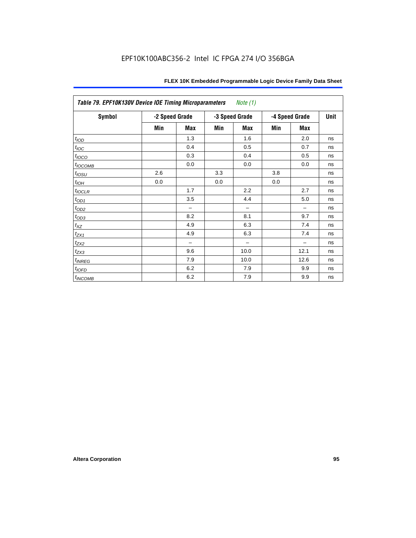| Table 79. EPF10K130V Device IOE Timing Microparameters Note (1) |                |            |     |                |     |                |      |  |  |  |
|-----------------------------------------------------------------|----------------|------------|-----|----------------|-----|----------------|------|--|--|--|
| <b>Symbol</b>                                                   | -2 Speed Grade |            |     | -3 Speed Grade |     | -4 Speed Grade | Unit |  |  |  |
|                                                                 | Min            | <b>Max</b> | Min | <b>Max</b>     | Min | <b>Max</b>     |      |  |  |  |
| $t_{I \underline{OD}}$                                          |                | 1.3        |     | 1.6            |     | 2.0            | ns   |  |  |  |
| $t_{\text{IOC}}$                                                |                | 0.4        |     | 0.5            |     | 0.7            | ns   |  |  |  |
| $t_{IOCO}$                                                      |                | 0.3        |     | 0.4            |     | 0.5            | ns   |  |  |  |
| $t_{IOCOMB}$                                                    |                | 0.0        |     | 0.0            |     | 0.0            | ns   |  |  |  |
| $t_{IOSU}$                                                      | 2.6            |            | 3.3 |                | 3.8 |                | ns   |  |  |  |
| $t_{IOH}$                                                       | 0.0            |            | 0.0 |                | 0.0 |                | ns   |  |  |  |
| $t_{IOCLR}$                                                     |                | 1.7        |     | 2.2            |     | 2.7            | ns   |  |  |  |
| $t_{OD1}$                                                       |                | 3.5        |     | 4.4            |     | 5.0            | ns   |  |  |  |
| $t_{\underline{OD2}}$                                           |                | -          |     |                |     |                | ns   |  |  |  |
| $t_{OD3}$                                                       |                | 8.2        |     | 8.1            |     | 9.7            | ns   |  |  |  |
| $t_{XZ}$                                                        |                | 4.9        |     | 6.3            |     | 7.4            | ns   |  |  |  |
| $t_{ZX1}$                                                       |                | 4.9        |     | 6.3            |     | 7.4            | ns   |  |  |  |
| $t_{ZX2}$                                                       |                |            |     |                |     |                | ns   |  |  |  |
| $t_{ZX3}$                                                       |                | 9.6        |     | 10.0           |     | 12.1           | ns   |  |  |  |
| $t_{INREG}$                                                     |                | 7.9        |     | 10.0           |     | 12.6           | ns   |  |  |  |
| t <sub>IOFD</sub>                                               |                | 6.2        |     | 7.9            |     | 9.9            | ns   |  |  |  |
| $t_{INCOMB}$                                                    |                | 6.2        |     | 7.9            |     | 9.9            | ns   |  |  |  |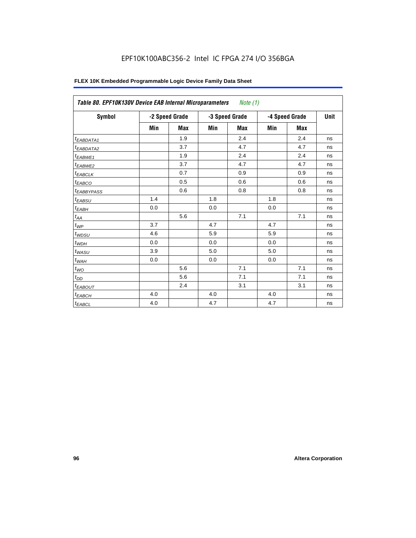| Symbol                 |     | -2 Speed Grade |     | -3 Speed Grade | -4 Speed Grade | Unit       |    |
|------------------------|-----|----------------|-----|----------------|----------------|------------|----|
|                        | Min | <b>Max</b>     | Min | <b>Max</b>     | Min            | <b>Max</b> |    |
| <sup>t</sup> EABDATA1  |     | 1.9            |     | 2.4            |                | 2.4        | ns |
| <sup>t</sup> EABDATA2  |     | 3.7            |     | 4.7            |                | 4.7        | ns |
| <sup>t</sup> EABWE1    |     | 1.9            |     | 2.4            |                | 2.4        | ns |
| t <sub>EABWE2</sub>    |     | 3.7            |     | 4.7            |                | 4.7        | ns |
| <sup>t</sup> EABCLK    |     | 0.7            |     | 0.9            |                | 0.9        | ns |
| <sup>t</sup> EABCO     |     | 0.5            |     | 0.6            |                | 0.6        | ns |
| <sup>t</sup> EABBYPASS |     | 0.6            |     | 0.8            |                | 0.8        | ns |
| t <sub>EABSU</sub>     | 1.4 |                | 1.8 |                | 1.8            |            | ns |
| $t_{EABH}$             | 0.0 |                | 0.0 |                | 0.0            |            | ns |
| $t_{AA}$               |     | 5.6            |     | 7.1            |                | 7.1        | ns |
| $t_{\mathit{WP}}$      | 3.7 |                | 4.7 |                | 4.7            |            | ns |
| $t_{WDSU}$             | 4.6 |                | 5.9 |                | 5.9            |            | ns |
| $t_{WDH}$              | 0.0 |                | 0.0 |                | 0.0            |            | ns |
| $t_{WASU}$             | 3.9 |                | 5.0 |                | 5.0            |            | ns |
| $t_{W\!AH}$            | 0.0 |                | 0.0 |                | 0.0            |            | ns |
| $t_{WO}$               |     | 5.6            |     | 7.1            |                | 7.1        | ns |
| $t_{DD}$               |     | 5.6            |     | 7.1            |                | 7.1        | ns |
| <sup>t</sup> EABOUT    |     | 2.4            |     | 3.1            |                | 3.1        | ns |
| $t_{EABCH}$            | 4.0 |                | 4.0 |                | 4.0            |            | ns |
| $t_{EABCL}$            | 4.0 |                | 4.7 |                | 4.7            |            | ns |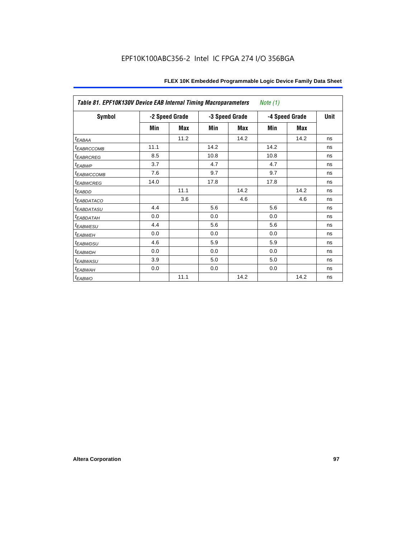| Table 81. EPF10K130V Device EAB Internal Timing Macroparameters<br>Note $(1)$ |      |                |      |                |      |                |    |  |  |  |
|-------------------------------------------------------------------------------|------|----------------|------|----------------|------|----------------|----|--|--|--|
| <b>Symbol</b>                                                                 |      | -2 Speed Grade |      | -3 Speed Grade |      | -4 Speed Grade |    |  |  |  |
|                                                                               | Min  | Max            | Min  | Max            | Min  | Max            |    |  |  |  |
| t <sub>EABAA</sub>                                                            |      | 11.2           |      | 14.2           |      | 14.2           | ns |  |  |  |
| <sup>t</sup> EABRCCOMB                                                        | 11.1 |                | 14.2 |                | 14.2 |                | ns |  |  |  |
| <b><i>EABRCREG</i></b>                                                        | 8.5  |                | 10.8 |                | 10.8 |                | ns |  |  |  |
| <sup>t</sup> EABWP                                                            | 3.7  |                | 4.7  |                | 4.7  |                | ns |  |  |  |
| <sup>t</sup> EABWCCOMB                                                        | 7.6  |                | 9.7  |                | 9.7  |                | ns |  |  |  |
| <sup>t</sup> EABWCREG                                                         | 14.0 |                | 17.8 |                | 17.8 |                | ns |  |  |  |
| <sup>t</sup> EABDD                                                            |      | 11.1           |      | 14.2           |      | 14.2           | ns |  |  |  |
| <sup>t</sup> EABDATACO                                                        |      | 3.6            |      | 4.6            |      | 4.6            | ns |  |  |  |
| <sup>t</sup> EABDATASU                                                        | 4.4  |                | 5.6  |                | 5.6  |                | ns |  |  |  |
| <sup>t</sup> EABDATAH                                                         | 0.0  |                | 0.0  |                | 0.0  |                | ns |  |  |  |
| <sup>t</sup> EABWESU                                                          | 4.4  |                | 5.6  |                | 5.6  |                | ns |  |  |  |
| <sup>t</sup> EABWEH                                                           | 0.0  |                | 0.0  |                | 0.0  |                | ns |  |  |  |
| <sup>t</sup> EABWDSU                                                          | 4.6  |                | 5.9  |                | 5.9  |                | ns |  |  |  |
| <sup>t</sup> EABWDH                                                           | 0.0  |                | 0.0  |                | 0.0  |                | ns |  |  |  |
| <sup>t</sup> EABWASU                                                          | 3.9  |                | 5.0  |                | 5.0  |                | ns |  |  |  |
| <sup>t</sup> EABWAH                                                           | 0.0  |                | 0.0  |                | 0.0  |                | ns |  |  |  |
| <sup>t</sup> EABWO                                                            |      | 11.1           |      | 14.2           |      | 14.2           | ns |  |  |  |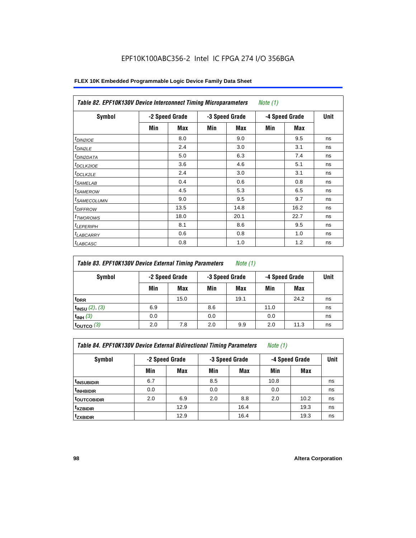| Symbol                     |     | -2 Speed Grade |     | -3 Speed Grade |     | -4 Speed Grade |    |
|----------------------------|-----|----------------|-----|----------------|-----|----------------|----|
|                            | Min | <b>Max</b>     | Min | Max            | Min | Max            |    |
| $tD$ IN2IOE                |     | 8.0            |     | 9.0            |     | 9.5            | ns |
| t <sub>DIN2LE</sub>        |     | 2.4            |     | 3.0            |     | 3.1            | ns |
| <sup>t</sup> DIN2DATA      |     | 5.0            |     | 6.3            |     | 7.4            | ns |
| <sup>t</sup> DCLK2IOE      |     | 3.6            |     | 4.6            |     | 5.1            | ns |
| ${}^t$ DCLK2LE             |     | 2.4            |     | 3.0            |     | 3.1            | ns |
| <sup>t</sup> SAMELAB       |     | 0.4            |     | 0.6            |     | 0.8            | ns |
| <sup>t</sup> SAMEROW       |     | 4.5            |     | 5.3            |     | 6.5            | ns |
| <sup>t</sup> SAMECOLUMN    |     | 9.0            |     | 9.5            |     | 9.7            | ns |
| <i>t<sub>DIFFROW</sub></i> |     | 13.5           |     | 14.8           |     | 16.2           | ns |
| <sup>t</sup> TWOROWS       |     | 18.0           |     | 20.1           |     | 22.7           | ns |
| <sup>t</sup> LEPERIPH      |     | 8.1            |     | 8.6            |     | 9.5            | ns |
| <sup>I</sup> LABCARRY      |     | 0.6            |     | 0.8            |     | 1.0            | ns |
| <sup>t</sup> LABCASC       |     | 0.8            |     | 1.0            |     | 1.2            | ns |

### **FLEX 10K Embedded Programmable Logic Device Family Data Sheet**

| Table 83. EPF10K130V Device External Timing Parameters | Note (1) |
|--------------------------------------------------------|----------|
|--------------------------------------------------------|----------|

| Symbol                 | -2 Speed Grade |      |     | -3 Speed Grade |      | -4 Speed Grade |    |
|------------------------|----------------|------|-----|----------------|------|----------------|----|
|                        | Min            | Max  | Min | Max            | Min  | Max            |    |
| t <sub>DRR</sub>       |                | 15.0 |     | 19.1           |      | 24.2           | ns |
| $t_{INSU}$ (2), (3)    | 6.9            |      | 8.6 |                | 11.0 |                | ns |
| $t_{INH}$ (3)          | 0.0            |      | 0.0 |                | 0.0  |                | ns |
| $t_{\text{OUTCO}}$ (3) | 2.0            | 7.8  | 2.0 | 9.9            | 2.0  | 11.3           | ns |

| Table 84. EPF10K130V Device External Bidirectional Timing Parameters | Note (1) |  |
|----------------------------------------------------------------------|----------|--|
|----------------------------------------------------------------------|----------|--|

**Symbol -2 Speed Grade -3 Speed Grade -4 Speed Grade Unit** Min | Max | Min | Max | Min | Max

| t <sub>INSUBIDIR</sub>    | 6.7 |      | 8.5 |      | 10.8 |      | ns |
|---------------------------|-----|------|-----|------|------|------|----|
| t <sub>INHBIDIR</sub>     | 0.0 |      | 0.0 |      | 0.0  |      | ns |
| <sup>I t</sup> outcobidir | 2.0 | 6.9  | 2.0 | 8.8  | 2.0  | 10.2 | ns |
| t <sub>XZBIDIR</sub>      |     | 12.9 |     | 16.4 |      | 19.3 | ns |
| tzxbidir                  |     | 12.9 |     | 16.4 |      | 19.3 | ns |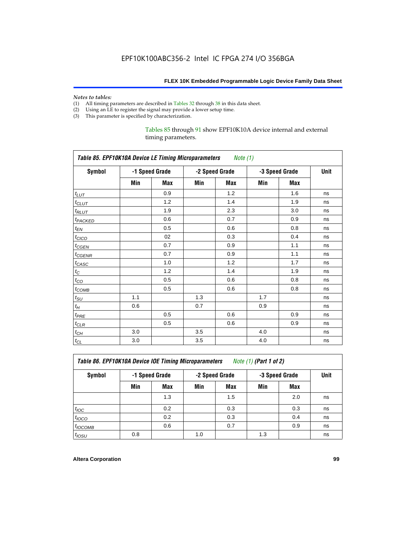# *Notes to tables:*<br>(1) All timing p

- (1) All timing parameters are described in Tables 32 through 38 in this data sheet.<br>(2) Using an LE to register the signal may provide a lower setup time.
- Using an LE to register the signal may provide a lower setup time.
- (3) This parameter is specified by characterization.

### Tables 85 through 91 show EPF10K10A device internal and external timing parameters.

| Table 85. EPF10K10A Device LE Timing Microparameters Note (1) |     |                |     |                |     |                |    |  |  |
|---------------------------------------------------------------|-----|----------------|-----|----------------|-----|----------------|----|--|--|
| <b>Symbol</b>                                                 |     | -1 Speed Grade |     | -2 Speed Grade |     | -3 Speed Grade |    |  |  |
|                                                               | Min | <b>Max</b>     | Min | Max            | Min | <b>Max</b>     |    |  |  |
| $t_{LUT}$                                                     |     | 0.9            |     | 1.2            |     | 1.6            | ns |  |  |
| $t_{CLUT}$                                                    |     | 1.2            |     | 1.4            |     | 1.9            | ns |  |  |
| $t_{RLUT}$                                                    |     | 1.9            |     | 2.3            |     | 3.0            | ns |  |  |
| t <sub>PACKED</sub>                                           |     | 0.6            |     | 0.7            |     | 0.9            | ns |  |  |
| $t_{EN}$                                                      |     | 0.5            |     | 0.6            |     | 0.8            | ns |  |  |
| $t_{CICO}$                                                    |     | 02             |     | 0.3            |     | 0.4            | ns |  |  |
| $t_{CGEN}$                                                    |     | 0.7            |     | 0.9            |     | 1.1            | ns |  |  |
| $t_{GENR}$                                                    |     | 0.7            |     | 0.9            |     | 1.1            | ns |  |  |
| $t_{CASC}$                                                    |     | 1.0            |     | 1.2            |     | 1.7            | ns |  |  |
| $t_{\rm C}$                                                   |     | 1.2            |     | 1.4            |     | 1.9            | ns |  |  |
| $t_{CO}$                                                      |     | 0.5            |     | 0.6            |     | 0.8            | ns |  |  |
| $t_{\text{COMB}}$                                             |     | 0.5            |     | 0.6            |     | 0.8            | ns |  |  |
| $t_{\text{SU}}$                                               | 1.1 |                | 1.3 |                | 1.7 |                | ns |  |  |
| $t_{\!H}$                                                     | 0.6 |                | 0.7 |                | 0.9 |                | ns |  |  |
| $t_{PRE}$                                                     |     | 0.5            |     | 0.6            |     | 0.9            | ns |  |  |
| $t_{CLR}$                                                     |     | 0.5            |     | 0.6            |     | 0.9            | ns |  |  |
| $t_{CH}$                                                      | 3.0 |                | 3.5 |                | 4.0 |                | ns |  |  |
| $t_{CL}$                                                      | 3.0 |                | 3.5 |                | 4.0 |                | ns |  |  |

*Table 86. EPF10K10A Device IOE Timing Microparameters Note (1) (Part 1 of 2)*

| Symbol           |     | -1 Speed Grade |     | -2 Speed Grade |     | -3 Speed Grade |    |
|------------------|-----|----------------|-----|----------------|-----|----------------|----|
|                  | Min | Max            | Min | Max            | Min | <b>Max</b>     |    |
|                  |     | 1.3            |     | 1.5            |     | 2.0            | ns |
| $t_{\text{IOC}}$ |     | 0.2            |     | 0.3            |     | 0.3            | ns |
| $t_{IOCO}$       |     | 0.2            |     | 0.3            |     | 0.4            | ns |
| $t_{IOCOMB}$     |     | 0.6            |     | 0.7            |     | 0.9            | ns |
| $t_{IOSU}$       | 0.8 |                | 1.0 |                | 1.3 |                | ns |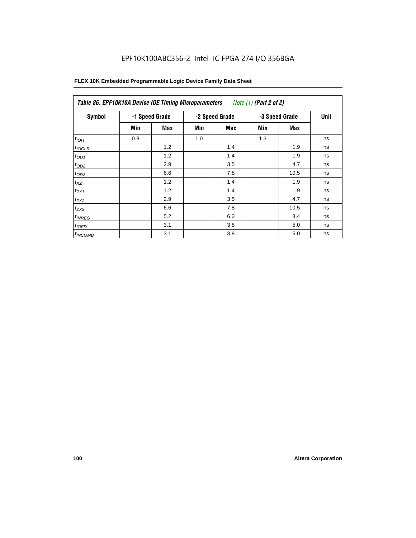| Symbol             |     | -1 Speed Grade |     | -2 Speed Grade | -3 Speed Grade | <b>Unit</b> |    |
|--------------------|-----|----------------|-----|----------------|----------------|-------------|----|
|                    | Min | Max            | Min | Max            | Min            | Max         |    |
| $t_{IOH}$          | 0.8 |                | 1.0 |                | 1.3            |             | ns |
| $t_{IOCLR}$        |     | 1.2            |     | 1.4            |                | 1.9         | ns |
| $t_{OD1}$          |     | 1.2            |     | 1.4            |                | 1.9         | ns |
| $t_{OD2}$          |     | 2.9            |     | 3.5            |                | 4.7         | ns |
| $t_{OD3}$          |     | 6.6            |     | 7.8            |                | 10.5        | ns |
| $t_{XZ}$           |     | 1.2            |     | 1.4            |                | 1.9         | ns |
| $t_{ZX1}$          |     | 1.2            |     | 1.4            |                | 1.9         | ns |
| $t_{ZX2}$          |     | 2.9            |     | 3.5            |                | 4.7         | ns |
| $t_{ZX3}$          |     | 6.6            |     | 7.8            |                | 10.5        | ns |
| <sup>t</sup> INREG |     | 5.2            |     | 6.3            |                | 8.4         | ns |
| $t_{IOFD}$         |     | 3.1            |     | 3.8            |                | 5.0         | ns |
| $t_{INCOMB}$       |     | 3.1            |     | 3.8            |                | 5.0         | ns |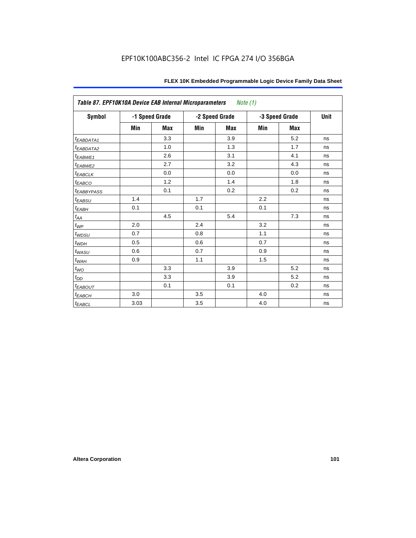| Table 87. EPF10K10A Device EAB Internal Microparameters |      |                |     | Note (1)       |     |                |      |  |
|---------------------------------------------------------|------|----------------|-----|----------------|-----|----------------|------|--|
| <b>Symbol</b>                                           |      | -1 Speed Grade |     | -2 Speed Grade |     | -3 Speed Grade | Unit |  |
|                                                         | Min  | <b>Max</b>     | Min | <b>Max</b>     | Min | <b>Max</b>     |      |  |
| t <sub>EABDATA1</sub>                                   |      | 3.3            |     | 3.9            |     | 5.2            | ns   |  |
| t <sub>EABDATA2</sub>                                   |      | 1.0            |     | 1.3            |     | 1.7            | ns   |  |
| t <sub>EABWE1</sub>                                     |      | 2.6            |     | 3.1            |     | 4.1            | ns   |  |
| t <sub>EABWE2</sub>                                     |      | 2.7            |     | 3.2            |     | 4.3            | ns   |  |
| $t_{EABCLK}$                                            |      | 0.0            |     | 0.0            |     | 0.0            | ns   |  |
| $t_{EABCO}$                                             |      | 1.2            |     | 1.4            |     | 1.8            | ns   |  |
| <b><i>EABBYPASS</i></b>                                 |      | 0.1            |     | 0.2            |     | 0.2            | ns   |  |
| $t_{EABSU}$                                             | 1.4  |                | 1.7 |                | 2.2 |                | ns   |  |
| $t_{EABH}$                                              | 0.1  |                | 0.1 |                | 0.1 |                | ns   |  |
| $t_{\mathit{AA}}$                                       |      | 4.5            |     | 5.4            |     | 7.3            | ns   |  |
| $t_{\mathit{WP}}$                                       | 2.0  |                | 2.4 |                | 3.2 |                | ns   |  |
| $t_{WDSU}$                                              | 0.7  |                | 0.8 |                | 1.1 |                | ns   |  |
| $t_{WDH}$                                               | 0.5  |                | 0.6 |                | 0.7 |                | ns   |  |
| $t_{\text{WASU}}$                                       | 0.6  |                | 0.7 |                | 0.9 |                | ns   |  |
| $t_{\underline{W AH}}$                                  | 0.9  |                | 1.1 |                | 1.5 |                | ns   |  |
| $t_{WO}$                                                |      | 3.3            |     | 3.9            |     | 5.2            | ns   |  |
| $t_{DD}$                                                |      | 3.3            |     | 3.9            |     | 5.2            | ns   |  |
| $t_{EABOUT}$                                            |      | 0.1            |     | 0.1            |     | 0.2            | ns   |  |
| $t_{EABCH}$                                             | 3.0  |                | 3.5 |                | 4.0 |                | ns   |  |
| $t_{EABCL}$                                             | 3.03 |                | 3.5 |                | 4.0 |                | ns   |  |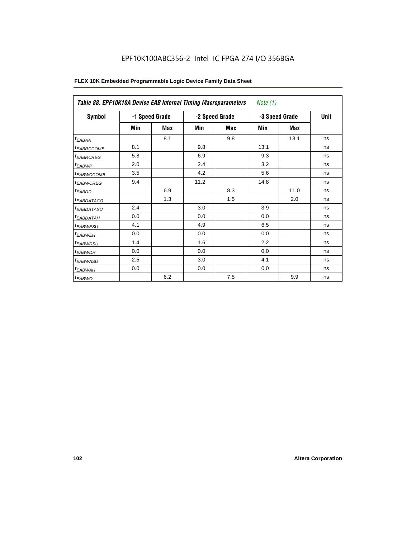| <b>Symbol</b>          | -1 Speed Grade |            |      | -2 Speed Grade | -3 Speed Grade | Unit |    |
|------------------------|----------------|------------|------|----------------|----------------|------|----|
|                        | Min            | <b>Max</b> | Min  | Max            | Min            | Max  |    |
| $t_{EABA}$             |                | 8.1        |      | 9.8            |                | 13.1 | ns |
| <sup>t</sup> EABRCCOMB | 8.1            |            | 9.8  |                | 13.1           |      | ns |
| <sup>t</sup> EABRCREG  | 5.8            |            | 6.9  |                | 9.3            |      | ns |
| <sup>t</sup> EABWP     | 2.0            |            | 2.4  |                | 3.2            |      | ns |
| <sup>I</sup> EABWCCOMB | 3.5            |            | 4.2  |                | 5.6            |      | ns |
| <sup>t</sup> EABWCREG  | 9.4            |            | 11.2 |                | 14.8           |      | ns |
| <sup>t</sup> EABDD     |                | 6.9        |      | 8.3            |                | 11.0 | ns |
| <sup>t</sup> EABDATACO |                | 1.3        |      | 1.5            |                | 2.0  | ns |
| <sup>t</sup> EABDATASU | 2.4            |            | 3.0  |                | 3.9            |      | ns |
| <sup>t</sup> EABDATAH  | 0.0            |            | 0.0  |                | 0.0            |      | ns |
| <sup>t</sup> EABWESU   | 4.1            |            | 4.9  |                | 6.5            |      | ns |
| <sup>t</sup> EABWEH    | 0.0            |            | 0.0  |                | 0.0            |      | ns |
| <sup>t</sup> EABWDSU   | 1.4            |            | 1.6  |                | 2.2            |      | ns |
| <sup>t</sup> EABWDH    | 0.0            |            | 0.0  |                | 0.0            |      | ns |
| t <sub>EABWASU</sub>   | 2.5            |            | 3.0  |                | 4.1            |      | ns |
| <sup>t</sup> EABWAH    | 0.0            |            | 0.0  |                | 0.0            |      | ns |
| <sup>t</sup> EABWO     |                | 6.2        |      | 7.5            |                | 9.9  | ns |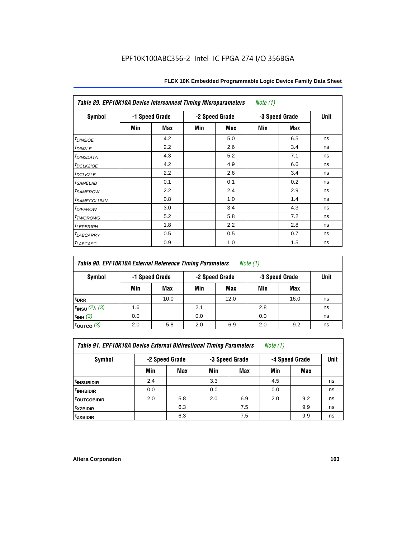| Table 89. EPF10K10A Device Interconnect Timing Microparameters<br>Note (1) |     |                |     |                |     |                |    |  |  |
|----------------------------------------------------------------------------|-----|----------------|-----|----------------|-----|----------------|----|--|--|
| Symbol                                                                     |     | -1 Speed Grade |     | -2 Speed Grade |     | -3 Speed Grade |    |  |  |
|                                                                            | Min | Max            | Min | Max            | Min | <b>Max</b>     |    |  |  |
| $t_{DINZIOE}$                                                              |     | 4.2            |     | 5.0            |     | 6.5            | ns |  |  |
| $t_{DIN2LE}$                                                               |     | 2.2            |     | 2.6            |     | 3.4            | ns |  |  |
| <sup>t</sup> DIN2DATA                                                      |     | 4.3            |     | 5.2            |     | 7.1            | ns |  |  |
| t <sub>DCLK2IOE</sub>                                                      |     | 4.2            |     | 4.9            |     | 6.6            | ns |  |  |
| t <sub>DCLK2LE</sub>                                                       |     | 2.2            |     | 2.6            |     | 3.4            | ns |  |  |
| <i>t</i> SAMELAB                                                           |     | 0.1            |     | 0.1            |     | 0.2            | ns |  |  |
| <i>t</i> SAMEROW                                                           |     | 2.2            |     | 2.4            |     | 2.9            | ns |  |  |
| <sup>t</sup> SAMECOLUMN                                                    |     | 0.8            |     | 1.0            |     | 1.4            | ns |  |  |
| <i>t<sub>DIFFROW</sub></i>                                                 |     | 3.0            |     | 3.4            |     | 4.3            | ns |  |  |
| t <sub>TWOROWS</sub>                                                       |     | 5.2            |     | 5.8            |     | 7.2            | ns |  |  |
| <sup>t</sup> LEPERIPH                                                      |     | 1.8            |     | 2.2            |     | 2.8            | ns |  |  |
| <sup>t</sup> LABCARRY                                                      |     | 0.5            |     | 0.5            |     | 0.7            | ns |  |  |
| t <sub>LABCASC</sub>                                                       |     | 0.9            |     | 1.0            |     | 1.5            | ns |  |  |

| <b>Table 90. EPF10K10A External Reference Timing Parameters</b> | Note (1) |
|-----------------------------------------------------------------|----------|
|-----------------------------------------------------------------|----------|

| Symbol                   | -1 Speed Grade |      | -2 Speed Grade |      | -3 Speed Grade | Unit |    |
|--------------------------|----------------|------|----------------|------|----------------|------|----|
|                          | Min            | Max  | Min            | Max  | Min            | Max  |    |
| t <sub>DRR</sub>         |                | 10.0 |                | 12.0 |                | 16.0 | ns |
| $t_{INSU}$ (2), (3)      | 1.6            |      | 2.1            |      | 2.8            |      | ns |
| $t_{INH}$ (3)            | 0.0            |      | 0.0            |      | 0.0            |      | ns |
| $\tt_{\text{OUTCO}}$ (3) | 2.0            | 5.8  | 2.0            | 6.9  | 2.0            | 9.2  | ns |

*Table 91. EPF10K10A Device External Bidirectional Timing Parameters Note (1)*

| Symbol                  | -2 Speed Grade |     |     | -3 Speed Grade | -4 Speed Grade | Unit       |    |
|-------------------------|----------------|-----|-----|----------------|----------------|------------|----|
|                         | Min            | Max | Min | <b>Max</b>     | Min            | <b>Max</b> |    |
| <sup>t</sup> insubidir  | 2.4            |     | 3.3 |                | 4.5            |            | ns |
| <sup>T</sup> INHBIDIR   | 0.0            |     | 0.0 |                | 0.0            |            | ns |
| <sup>t</sup> OUTCOBIDIR | 2.0            | 5.8 | 2.0 | 6.9            | 2.0            | 9.2        | ns |
| <sup>t</sup> xzbidir    |                | 6.3 |     | 7.5            |                | 9.9        | ns |
| <sup>t</sup> zxbidir    |                | 6.3 |     | 7.5            |                | 9.9        | ns |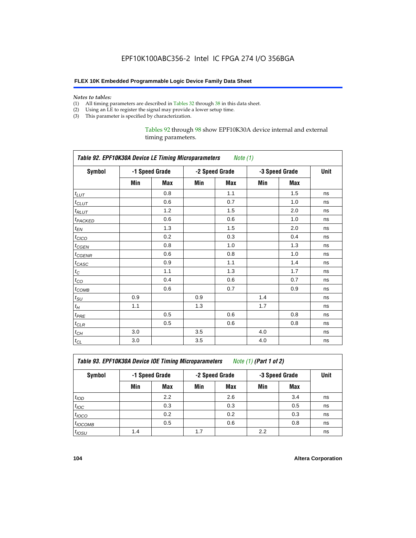#### *Notes to tables:*

- (1) All timing parameters are described in Tables 32 through 38 in this data sheet.
- (2) Using an LE to register the signal may provide a lower setup time.
- (3) This parameter is specified by characterization.

Tables 92 through 98 show EPF10K30A device internal and external timing parameters.

| Table 92. EPF10K30A Device LE Timing Microparameters Note (1) |                |            |     |                |                |      |    |  |  |
|---------------------------------------------------------------|----------------|------------|-----|----------------|----------------|------|----|--|--|
| <b>Symbol</b>                                                 | -1 Speed Grade |            |     | -2 Speed Grade | -3 Speed Grade | Unit |    |  |  |
|                                                               | Min            | <b>Max</b> | Min | Max            | Min            | Max  |    |  |  |
| $t_{LUT}$                                                     |                | 0.8        |     | 1.1            |                | 1.5  | ns |  |  |
| $t_{CLUT}$                                                    |                | 0.6        |     | 0.7            |                | 1.0  | ns |  |  |
| $t_{RLUT}$                                                    |                | 1.2        |     | 1.5            |                | 2.0  | ns |  |  |
| t <sub>PACKED</sub>                                           |                | 0.6        |     | 0.6            |                | 1.0  | ns |  |  |
| $t_{EN}$                                                      |                | 1.3        |     | 1.5            |                | 2.0  | ns |  |  |
| $t_{CICO}$                                                    |                | 0.2        |     | 0.3            |                | 0.4  | ns |  |  |
| $t_{\text{GEN}}$                                              |                | 0.8        |     | 1.0            |                | 1.3  | ns |  |  |
| t <sub>CGENR</sub>                                            |                | 0.6        |     | 0.8            |                | 1.0  | ns |  |  |
| $t_{CASC}$                                                    |                | 0.9        |     | 1.1            |                | 1.4  | ns |  |  |
| $t_C$                                                         |                | 1.1        |     | 1.3            |                | 1.7  | ns |  |  |
| $t_{CO}$                                                      |                | 0.4        |     | 0.6            |                | 0.7  | ns |  |  |
| $t_{\text{COMB}}$                                             |                | 0.6        |     | 0.7            |                | 0.9  | ns |  |  |
| $t_{\text{SU}}$                                               | 0.9            |            | 0.9 |                | 1.4            |      | ns |  |  |
| $t_H\,$                                                       | 1.1            |            | 1.3 |                | 1.7            |      | ns |  |  |
| $t_{PRE}$                                                     |                | 0.5        |     | 0.6            |                | 0.8  | ns |  |  |
| $t_{CLR}$                                                     |                | 0.5        |     | 0.6            |                | 0.8  | ns |  |  |
| $t_{CH}$                                                      | 3.0            |            | 3.5 |                | 4.0            |      | ns |  |  |
| $t_{CL}$                                                      | 3.0            |            | 3.5 |                | 4.0            |      | ns |  |  |

*Table 93. EPF10K30A Device IOE Timing Microparameters Note (1) (Part 1 of 2)*

| Symbol            | -1 Speed Grade |     |     | -2 Speed Grade | -3 Speed Grade | <b>Unit</b> |    |  |  |  |  |
|-------------------|----------------|-----|-----|----------------|----------------|-------------|----|--|--|--|--|
|                   | Min            | Max | Min | <b>Max</b>     | Min            | <b>Max</b>  |    |  |  |  |  |
| t <sub>IOD</sub>  |                | 2.2 |     | 2.6            |                | 3.4         | ns |  |  |  |  |
| $t_{\text{IOC}}$  |                | 0.3 |     | 0.3            |                | 0.5         | ns |  |  |  |  |
| $t_{IOCO}$        |                | 0.2 |     | 0.2            |                | 0.3         | ns |  |  |  |  |
| $t_{IOCOMB}$      |                | 0.5 |     | 0.6            |                | 0.8         | ns |  |  |  |  |
| t <sub>IOSU</sub> | 1.4            |     | 1.7 |                | 2.2            |             | ns |  |  |  |  |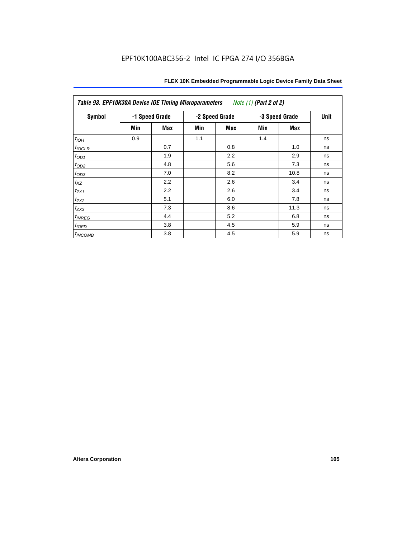| Table 93. EPF10K30A Device IOE Timing Microparameters<br>Note (1) (Part 2 of 2) |     |                |     |                |                |             |    |  |  |
|---------------------------------------------------------------------------------|-----|----------------|-----|----------------|----------------|-------------|----|--|--|
| <b>Symbol</b>                                                                   |     | -1 Speed Grade |     | -2 Speed Grade | -3 Speed Grade | <b>Unit</b> |    |  |  |
|                                                                                 | Min | Max            | Min | Max            | Min            | Max         |    |  |  |
| $t_{IOH}$                                                                       | 0.9 |                | 1.1 |                | 1.4            |             | ns |  |  |
| $t_{IOCLR}$                                                                     |     | 0.7            |     | 0.8            |                | 1.0         | ns |  |  |
| $t_{OD1}$                                                                       |     | 1.9            |     | 2.2            |                | 2.9         | ns |  |  |
| $t_{OD2}$                                                                       |     | 4.8            |     | 5.6            |                | 7.3         | ns |  |  |
| $t_{OD3}$                                                                       |     | 7.0            |     | 8.2            |                | 10.8        | ns |  |  |
| $t_{\mathsf{XZ}}$                                                               |     | 2.2            |     | 2.6            |                | 3.4         | ns |  |  |
| $t_{ZX1}$                                                                       |     | 2.2            |     | 2.6            |                | 3.4         | ns |  |  |
| $t_{ZX2}$                                                                       |     | 5.1            |     | 6.0            |                | 7.8         | ns |  |  |
| $t_{ZX3}$                                                                       |     | 7.3            |     | 8.6            |                | 11.3        | ns |  |  |
| $t_{INREG}$                                                                     |     | 4.4            |     | 5.2            |                | 6.8         | ns |  |  |
| $t_{IOFD}$                                                                      |     | 3.8            |     | 4.5            |                | 5.9         | ns |  |  |
| $t_{INCOMB}$                                                                    |     | 3.8            |     | 4.5            |                | 5.9         | ns |  |  |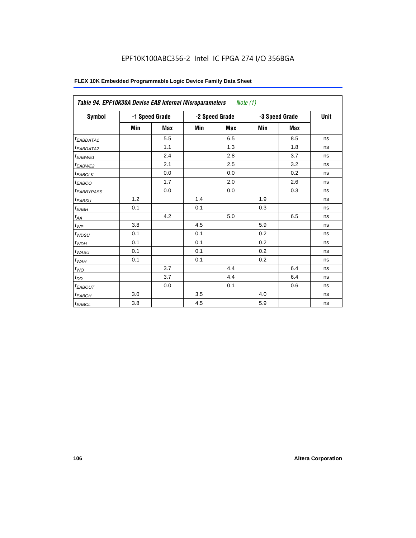| <b>Symbol</b>          |         | -1 Speed Grade |     | -2 Speed Grade | -3 Speed Grade | <b>Unit</b> |    |
|------------------------|---------|----------------|-----|----------------|----------------|-------------|----|
|                        | Min     | <b>Max</b>     | Min | Max            | Min            | <b>Max</b>  |    |
| <sup>t</sup> EABDATA1  |         | 5.5            |     | 6.5            |                | 8.5         | ns |
| <sup>t</sup> EABDATA2  |         | 1.1            |     | 1.3            |                | 1.8         | ns |
| <sup>t</sup> EABWE1    |         | 2.4            |     | 2.8            |                | 3.7         | ns |
| <sup>t</sup> EABWE2    |         | 2.1            |     | 2.5            |                | 3.2         | ns |
| <sup>t</sup> EABCLK    |         | 0.0            |     | 0.0            |                | 0.2         | ns |
| <sup>t</sup> EABCO     |         | 1.7            |     | 2.0            |                | 2.6         | ns |
| <sup>t</sup> EABBYPASS |         | 0.0            |     | 0.0            |                | 0.3         | ns |
| t <sub>EABSU</sub>     | 1.2     |                | 1.4 |                | 1.9            |             | ns |
| <sup>t</sup> ЕАВН      | 0.1     |                | 0.1 |                | 0.3            |             | ns |
| $t_{AA}$               |         | 4.2            |     | 5.0            |                | 6.5         | ns |
| $t_{\mathcal{WP}}$     | 3.8     |                | 4.5 |                | 5.9            |             | ns |
| t <sub>WDSU</sub>      | 0.1     |                | 0.1 |                | 0.2            |             | ns |
| $t_{WDH}$              | 0.1     |                | 0.1 |                | 0.2            |             | ns |
| $t_{WASU}$             | 0.1     |                | 0.1 |                | 0.2            |             | ns |
| $t_{W{\!A} H}$         | 0.1     |                | 0.1 |                | 0.2            |             | ns |
| $t_{WO}$               |         | 3.7            |     | 4.4            |                | 6.4         | ns |
| $t_{DD}$               |         | 3.7            |     | 4.4            |                | 6.4         | ns |
| <sup>t</sup> EABOUT    |         | 0.0            |     | 0.1            |                | 0.6         | ns |
| $t_{EABCH}$            | 3.0     |                | 3.5 |                | 4.0            |             | ns |
| $t_{EABCL}$            | $3.8\,$ |                | 4.5 |                | 5.9            |             | ns |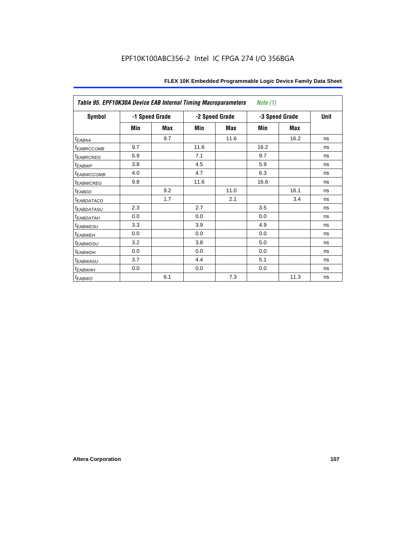| Table 95. EPF10K30A Device EAB Internal Timing Macroparameters<br>Note $(1)$ |                |            |      |                |                |             |    |  |  |
|------------------------------------------------------------------------------|----------------|------------|------|----------------|----------------|-------------|----|--|--|
| Symbol                                                                       | -1 Speed Grade |            |      | -2 Speed Grade | -3 Speed Grade | <b>Unit</b> |    |  |  |
|                                                                              | Min            | <b>Max</b> | Min  | <b>Max</b>     | Min            | Max         |    |  |  |
| $t_{EABA}$                                                                   |                | 9.7        |      | 11.6           |                | 16.2        | ns |  |  |
| <sup>t</sup> EABRCCOMB                                                       | 9.7            |            | 11.6 |                | 16.2           |             | ns |  |  |
| <sup>t</sup> EABRCREG                                                        | 5.9            |            | 7.1  |                | 9.7            |             | ns |  |  |
| t <sub>EABWP</sub>                                                           | 3.8            |            | 4.5  |                | 5.9            |             | ns |  |  |
| <sup>t</sup> ЕАВWССОМВ                                                       | 4.0            |            | 4.7  |                | 6.3            |             | ns |  |  |
| <sup>t</sup> EABWCREG                                                        | 9.8            |            | 11.6 |                | 16.6           |             | ns |  |  |
| $t_{EABDD}$                                                                  |                | 9.2        |      | 11.0           |                | 16.1        | ns |  |  |
| <sup>t</sup> EABDATACO                                                       |                | 1.7        |      | 2.1            |                | 3.4         | ns |  |  |
| <sup>t</sup> EABDATASU                                                       | 2.3            |            | 2.7  |                | 3.5            |             | ns |  |  |
| <sup>t</sup> EABDATAH                                                        | 0.0            |            | 0.0  |                | 0.0            |             | ns |  |  |
| <sup>t</sup> EABWESU                                                         | 3.3            |            | 3.9  |                | 4.9            |             | ns |  |  |
| <sup>t</sup> ЕАВWЕН                                                          | 0.0            |            | 0.0  |                | 0.0            |             | ns |  |  |
| <i>t<sub>EABWDSU</sub></i>                                                   | 3.2            |            | 3.8  |                | 5.0            |             | ns |  |  |
| <sup>t</sup> EABWDH                                                          | 0.0            |            | 0.0  |                | 0.0            |             | ns |  |  |
| <sup>t</sup> EABWASU                                                         | 3.7            |            | 4.4  |                | 5.1            |             | ns |  |  |
| <sup>t</sup> EABWAH                                                          | 0.0            |            | 0.0  |                | 0.0            |             | ns |  |  |
| $t_{EABWO}$                                                                  |                | 6.1        |      | 7.3            |                | 11.3        | ns |  |  |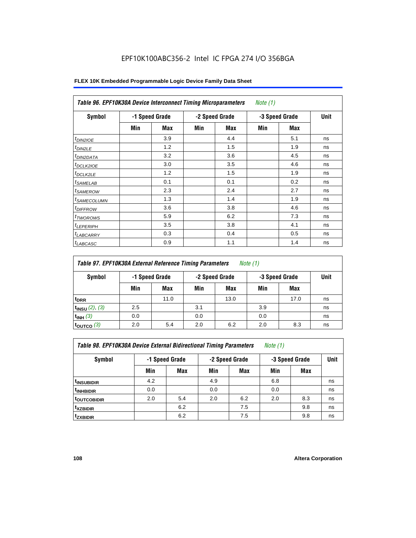| Symbol                     |     | -1 Speed Grade |     | -2 Speed Grade | -3 Speed Grade | <b>Unit</b> |    |
|----------------------------|-----|----------------|-----|----------------|----------------|-------------|----|
|                            | Min | Max            | Min | Max            | Min            | Max         |    |
| $t_{DIN2IOE}$              |     | 3.9            |     | 4.4            |                | 5.1         | ns |
| t <sub>DIN2LE</sub>        |     | 1.2            |     | 1.5            |                | 1.9         | ns |
| <sup>t</sup> DIN2DATA      |     | 3.2            |     | 3.6            |                | 4.5         | ns |
| <sup>t</sup> DCLK2IOE      |     | 3.0            |     | 3.5            |                | 4.6         | ns |
| <sup>t</sup> DCLK2LE       |     | 1.2            |     | 1.5            |                | 1.9         | ns |
| <sup>t</sup> SAMELAB       |     | 0.1            |     | 0.1            |                | 0.2         | ns |
| <sup>t</sup> SAMEROW       |     | 2.3            |     | 2.4            |                | 2.7         | ns |
| <sup>t</sup> SAMECOLUMN    |     | 1.3            |     | 1.4            |                | 1.9         | ns |
| <i>t<sub>DIFFROW</sub></i> |     | 3.6            |     | 3.8            |                | 4.6         | ns |
| <sup>t</sup> TWOROWS       |     | 5.9            |     | 6.2            |                | 7.3         | ns |
| <sup>t</sup> LEPERIPH      |     | 3.5            |     | 3.8            |                | 4.1         | ns |
| <sup>I</sup> LABCARRY      |     | 0.3            |     | 0.4            |                | 0.5         | ns |
| <sup>t</sup> LABCASC       |     | 0.9            |     | 1.1            |                | 1.4         | ns |

## **FLEX 10K Embedded Programmable Logic Device Family Data Sheet**

| Table 97. EPF10K30A External Reference Timing Parameters<br><i>Note</i> $(1)$ |     |                |     |                |     |                |      |  |  |  |
|-------------------------------------------------------------------------------|-----|----------------|-----|----------------|-----|----------------|------|--|--|--|
| Symbol                                                                        |     | -1 Speed Grade |     | -2 Speed Grade |     | -3 Speed Grade | Unit |  |  |  |
|                                                                               | Min | Max            | Min | Max            | Min | Max            |      |  |  |  |
| t <sub>DRR</sub>                                                              |     | 11.0           |     | 13.0           |     | 17.0           | ns   |  |  |  |
| $t_{INSU}$ (2), (3)                                                           | 2.5 |                | 3.1 |                | 3.9 |                | ns   |  |  |  |
| $t_{INH}$ (3)                                                                 | 0.0 |                | 0.0 |                | 0.0 |                | ns   |  |  |  |
| $t_{\text{OUTCO}}$ (3)                                                        | 2.0 | 5.4            | 2.0 | 6.2            | 2.0 | 8.3            | ns   |  |  |  |

*Table 98. EPF10K30A Device External Bidirectional Timing Parameters Note (1)*

| Symbol                 |     | -1 Speed Grade |     | -2 Speed Grade |     | -3 Speed Grade |    |  |
|------------------------|-----|----------------|-----|----------------|-----|----------------|----|--|
|                        | Min | <b>Max</b>     | Min | <b>Max</b>     | Min | <b>Max</b>     |    |  |
| <sup>t</sup> INSUBIDIR | 4.2 |                | 4.9 |                | 6.8 |                | ns |  |
| <sup>t</sup> INHBIDIR  | 0.0 |                | 0.0 |                | 0.0 |                | ns |  |
| <b>toutcobidir</b>     | 2.0 | 5.4            | 2.0 | 6.2            | 2.0 | 8.3            | ns |  |
| <sup>t</sup> xzbidir   |     | 6.2            |     | 7.5            |     | 9.8            | ns |  |
| <i>t</i> zxbidir       |     | 6.2            |     | 7.5            |     | 9.8            | ns |  |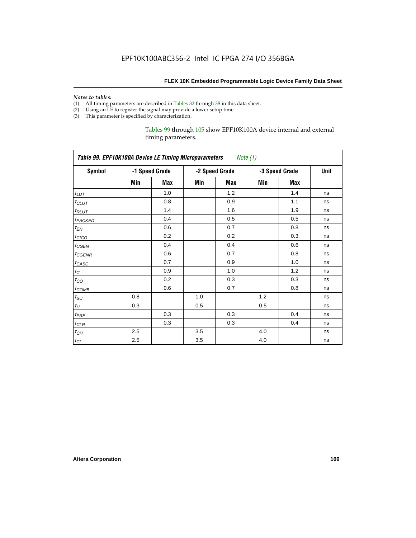#### *Notes to tables:*

- (1) All timing parameters are described in Tables 32 through 38 in this data sheet.
- (2) Using an LE to register the signal may provide a lower setup time.
- (3) This parameter is specified by characterization.

Tables 99 through 105 show EPF10K100A device internal and external timing parameters.

|                     | Table 99. EPF10K100A Device LE Timing Microparameters Note (1) |                |     |                |     |                |      |  |  |  |  |
|---------------------|----------------------------------------------------------------|----------------|-----|----------------|-----|----------------|------|--|--|--|--|
| <b>Symbol</b>       |                                                                | -1 Speed Grade |     | -2 Speed Grade |     | -3 Speed Grade | Unit |  |  |  |  |
|                     | Min                                                            | Max            | Min | Max            | Min | Max            |      |  |  |  |  |
| $t_{LUT}$           |                                                                | 1.0            |     | 1.2            |     | 1.4            | ns   |  |  |  |  |
| $t_{CLUT}$          |                                                                | 0.8            |     | 0.9            |     | 1.1            | ns   |  |  |  |  |
| $t_{RLUT}$          |                                                                | 1.4            |     | 1.6            |     | 1.9            | ns   |  |  |  |  |
| t <sub>PACKED</sub> |                                                                | 0.4            |     | 0.5            |     | 0.5            | ns   |  |  |  |  |
| $t_{EN}$            |                                                                | 0.6            |     | 0.7            |     | 0.8            | ns   |  |  |  |  |
| $t_{CICO}$          |                                                                | 0.2            |     | 0.2            |     | 0.3            | ns   |  |  |  |  |
| $t_{CGEN}$          |                                                                | 0.4            |     | 0.4            |     | 0.6            | ns   |  |  |  |  |
| $t_{GENR}$          |                                                                | 0.6            |     | 0.7            |     | 0.8            | ns   |  |  |  |  |
| t <sub>CASC</sub>   |                                                                | 0.7            |     | 0.9            |     | 1.0            | ns   |  |  |  |  |
| $t_{\rm C}$         |                                                                | 0.9            |     | 1.0            |     | 1.2            | ns   |  |  |  |  |
| $t_{CO}$            |                                                                | 0.2            |     | 0.3            |     | 0.3            | ns   |  |  |  |  |
| $t_{COMB}$          |                                                                | 0.6            |     | 0.7            |     | 0.8            | ns   |  |  |  |  |
| $t_{\rm SU}$        | 0.8                                                            |                | 1.0 |                | 1.2 |                | ns   |  |  |  |  |
| $t_H\,$             | 0.3                                                            |                | 0.5 |                | 0.5 |                | ns   |  |  |  |  |
| $t_{PRE}$           |                                                                | 0.3            |     | 0.3            |     | 0.4            | ns   |  |  |  |  |
| $t_{CLR}$           |                                                                | 0.3            |     | 0.3            |     | 0.4            | ns   |  |  |  |  |
| $t_{CH}$            | 2.5                                                            |                | 3.5 |                | 4.0 |                | ns   |  |  |  |  |
| $t_{CL}$            | 2.5                                                            |                | 3.5 |                | 4.0 |                | ns   |  |  |  |  |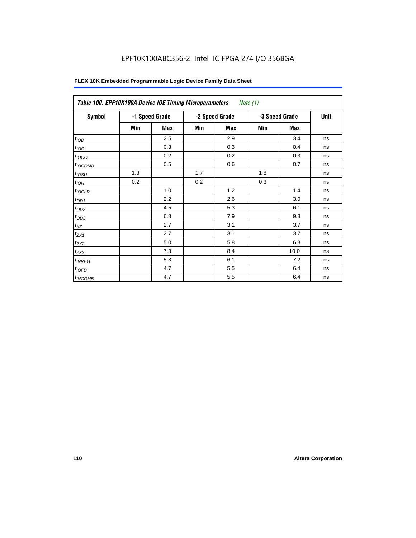| Symbol              | -1 Speed Grade |     |     | -2 Speed Grade | -3 Speed Grade | Unit |    |
|---------------------|----------------|-----|-----|----------------|----------------|------|----|
|                     | Min            | Max | Min | Max            | Min            | Max  |    |
| t <sub>IOD</sub>    |                | 2.5 |     | 2.9            |                | 3.4  | ns |
| $t_{\text{IOC}}$    |                | 0.3 |     | 0.3            |                | 0.4  | ns |
| $t_{IOCO}$          |                | 0.2 |     | 0.2            |                | 0.3  | ns |
| t <sub>IOCOMB</sub> |                | 0.5 |     | 0.6            |                | 0.7  | ns |
| t <sub>iosu</sub>   | 1.3            |     | 1.7 |                | 1.8            |      | ns |
| $t_{IOH}$           | 0.2            |     | 0.2 |                | 0.3            |      | ns |
| $t_{IOCLR}$         |                | 1.0 |     | 1.2            |                | 1.4  | ns |
| $t_{OD1}$           |                | 2.2 |     | 2.6            |                | 3.0  | ns |
| $t_{OD2}$           |                | 4.5 |     | 5.3            |                | 6.1  | ns |
| $t_{OD3}$           |                | 6.8 |     | 7.9            |                | 9.3  | ns |
| $t_{XZ}$            |                | 2.7 |     | 3.1            |                | 3.7  | ns |
| $t_{ZX1}$           |                | 2.7 |     | 3.1            |                | 3.7  | ns |
| $t_{ZX2}$           |                | 5.0 |     | 5.8            |                | 6.8  | ns |
| $t_{ZX3}$           |                | 7.3 |     | 8.4            |                | 10.0 | ns |
| $t_{INREG}$         |                | 5.3 |     | 6.1            |                | 7.2  | ns |
| $t_{IOED}$          |                | 4.7 |     | 5.5            |                | 6.4  | ns |
| <sup>t</sup> INCOMB |                | 4.7 |     | 5.5            |                | 6.4  | ns |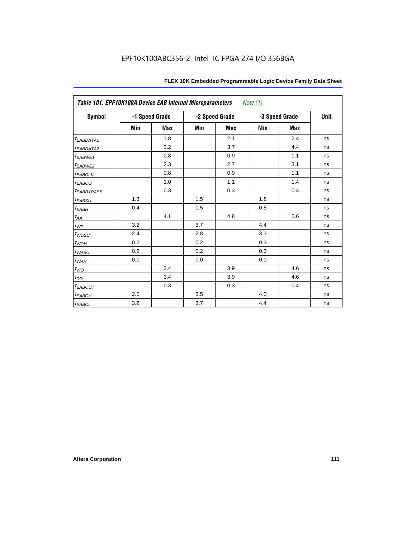| Table 101. EPF10K100A Device EAB Internal Microparameters |     |                |     |                | Note (1) |                |      |
|-----------------------------------------------------------|-----|----------------|-----|----------------|----------|----------------|------|
| <b>Symbol</b>                                             |     | -1 Speed Grade |     | -2 Speed Grade |          | -3 Speed Grade | Unit |
|                                                           | Min | <b>Max</b>     | Min | <b>Max</b>     | Min      | <b>Max</b>     |      |
| t <sub>EABDATA1</sub>                                     |     | 1.8            |     | 2.1            |          | 2.4            | ns   |
| t <sub>EABDATA2</sub>                                     |     | 3.2            |     | 3.7            |          | 4.4            | ns   |
| t <sub>EABWE1</sub>                                       |     | 0.8            |     | 0.9            |          | 1.1            | ns   |
| t <sub>EABWE2</sub>                                       |     | 2.3            |     | 2.7            |          | 3.1            | ns   |
| $t_{EABCLK}$                                              |     | 0.8            |     | 0.9            |          | 1.1            | ns   |
| $t_{EABCO}$                                               |     | 1.0            |     | 1.1            |          | 1.4            | ns   |
| <b><i>EABBYPASS</i></b>                                   |     | 0.3            |     | 0.3            |          | 0.4            | ns   |
| $t_{EABSU}$                                               | 1.3 |                | 1.5 |                | 1.8      |                | ns   |
| $t_{EABH}$                                                | 0.4 |                | 0.5 |                | 0.5      |                | ns   |
| $t_{\mathit{AA}}$                                         |     | 4.1            |     | 4.8            |          | 5.6            | ns   |
| $t_{\mathit{WP}}$                                         | 3.2 |                | 3.7 |                | 4.4      |                | ns   |
| $t_{WDSU}$                                                | 2.4 |                | 2.8 |                | 3.3      |                | ns   |
| $t_{WDH}$                                                 | 0.2 |                | 0.2 |                | 0.3      |                | ns   |
| $t_{WASU}$                                                | 0.2 |                | 0.2 |                | 0.3      |                | ns   |
| $t_{\underline{W AH}}$                                    | 0.0 |                | 0.0 |                | 0.0      |                | ns   |
| $t_{WO}$                                                  |     | 3.4            |     | 3.9            |          | 4.6            | ns   |
| $t_{DD}$                                                  |     | 3.4            |     | 3.9            |          | 4.6            | ns   |
| $t_{EABOUT}$                                              |     | 0.3            |     | 0.3            |          | 0.4            | ns   |
| $t_{EABCH}$                                               | 2.5 |                | 3.5 |                | 4.0      |                | ns   |
| $t_{EABCL}$                                               | 3.2 |                | 3.7 |                | 4.4      |                | ns   |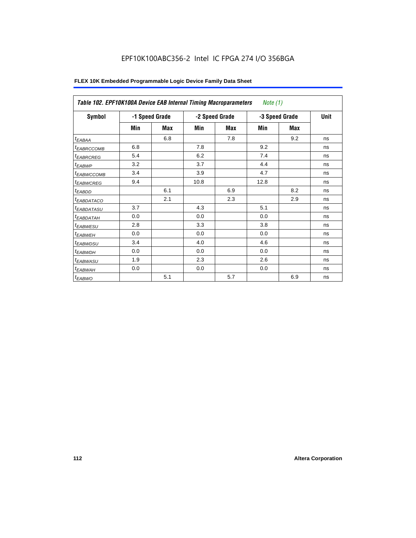| Symbol                 | -1 Speed Grade |            |      | -2 Speed Grade | -3 Speed Grade | <b>Unit</b> |    |
|------------------------|----------------|------------|------|----------------|----------------|-------------|----|
|                        | Min            | <b>Max</b> | Min  | Max            | Min            | Max         |    |
| $t_{EABA}$             |                | 6.8        |      | 7.8            |                | 9.2         | ns |
| <sup>t</sup> EABRCCOMB | 6.8            |            | 7.8  |                | 9.2            |             | ns |
| <sup>t</sup> EABRCREG  | 5.4            |            | 6.2  |                | 7.4            |             | ns |
| <sup>t</sup> EABWP     | 3.2            |            | 3.7  |                | 4.4            |             | ns |
| <sup>t</sup> EABWCCOMB | 3.4            |            | 3.9  |                | 4.7            |             | ns |
| <sup>t</sup> EABWCREG  | 9.4            |            | 10.8 |                | 12.8           |             | ns |
| <sup>t</sup> EABDD     |                | 6.1        |      | 6.9            |                | 8.2         | ns |
| <sup>t</sup> EABDATACO |                | 2.1        |      | 2.3            |                | 2.9         | ns |
| <sup>t</sup> EABDATASU | 3.7            |            | 4.3  |                | 5.1            |             | ns |
| <sup>t</sup> EABDATAH  | 0.0            |            | 0.0  |                | 0.0            |             | ns |
| <sup>t</sup> EABWESU   | 2.8            |            | 3.3  |                | 3.8            |             | ns |
| <sup>t</sup> EABWEH    | 0.0            |            | 0.0  |                | 0.0            |             | ns |
| <sup>t</sup> EABWDSU   | 3.4            |            | 4.0  |                | 4.6            |             | ns |
| <sup>t</sup> EABWDH    | 0.0            |            | 0.0  |                | 0.0            |             | ns |
| <sup>t</sup> EABWASU   | 1.9            |            | 2.3  |                | 2.6            |             | ns |
| <sup>t</sup> EABWAH    | 0.0            |            | 0.0  |                | 0.0            |             | ns |
| <sup>t</sup> EABWO     |                | 5.1        |      | 5.7            |                | 6.9         | ns |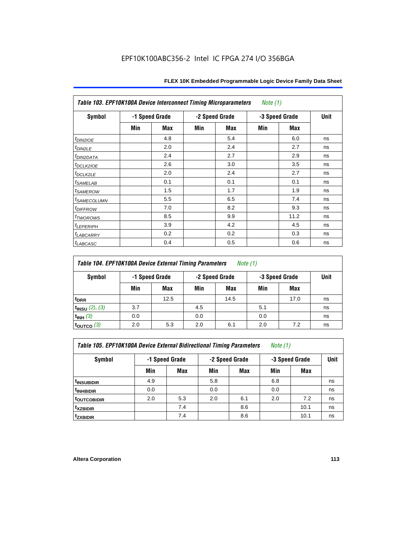| Table 103. EPF10K100A Device Interconnect Timing Microparameters<br>Note $(1)$ |     |                |     |                |     |                |      |  |  |  |
|--------------------------------------------------------------------------------|-----|----------------|-----|----------------|-----|----------------|------|--|--|--|
| Symbol                                                                         |     | -1 Speed Grade |     | -2 Speed Grade |     | -3 Speed Grade | Unit |  |  |  |
|                                                                                | Min | Max            | Min | Max            | Min | Max            |      |  |  |  |
| $t_{DINZIOE}$                                                                  |     | 4.8            |     | 5.4            |     | 6.0            | ns   |  |  |  |
| t <sub>DIN2LE</sub>                                                            |     | 2.0            |     | 2.4            |     | 2.7            | ns   |  |  |  |
| <sup>t</sup> DIN2DATA                                                          |     | 2.4            |     | 2.7            |     | 2.9            | ns   |  |  |  |
| t <sub>DCLK2IOE</sub>                                                          |     | 2.6            |     | 3.0            |     | 3.5            | ns   |  |  |  |
| $t_{DCLK2LE}$                                                                  |     | 2.0            |     | 2.4            |     | 2.7            | ns   |  |  |  |
| <i>t</i> SAMELAB                                                               |     | 0.1            |     | 0.1            |     | 0.1            | ns   |  |  |  |
| <sup>t</sup> SAMEROW                                                           |     | 1.5            |     | 1.7            |     | 1.9            | ns   |  |  |  |
| <sup>t</sup> SAMECOLUMN                                                        |     | 5.5            |     | 6.5            |     | 7.4            | ns   |  |  |  |
| <i>t<sub>DIFFROW</sub></i>                                                     |     | 7.0            |     | 8.2            |     | 9.3            | ns   |  |  |  |
| t <sub>TWOROWS</sub>                                                           |     | 8.5            |     | 9.9            |     | 11.2           | ns   |  |  |  |
| <sup>t</sup> LEPERIPH                                                          |     | 3.9            |     | 4.2            |     | 4.5            | ns   |  |  |  |
| <sup>t</sup> LABCARRY                                                          |     | 0.2            |     | 0.2            |     | 0.3            | ns   |  |  |  |
| t <sub>LABCASC</sub>                                                           |     | 0.4            |     | 0.5            |     | 0.6            | ns   |  |  |  |

| Table 104. EPF10K100A Device External Timing Parameters | Note (1) |
|---------------------------------------------------------|----------|
|---------------------------------------------------------|----------|

| Symbol                 | -1 Speed Grade |      |     | -2 Speed Grade |     | -3 Speed Grade |    |
|------------------------|----------------|------|-----|----------------|-----|----------------|----|
|                        | Min            | Max  | Min | Max            | Min | <b>Max</b>     |    |
| t <sub>DRR</sub>       |                | 12.5 |     | 14.5           |     | 17.0           | ns |
| $t_{INSU}$ (2), (3)    | 3.7            |      | 4.5 |                | 5.1 |                | ns |
| $t_{INH}$ (3)          | 0.0            |      | 0.0 |                | 0.0 |                | ns |
| $t_{\text{OUTCO}}$ (3) | 2.0            | 5.3  | 2.0 | 6.1            | 2.0 | 7.2            | ns |

| Table 105. EPF10K100A Device External Bidirectional Timing Parameters | Note (1) |  |  |
|-----------------------------------------------------------------------|----------|--|--|
|-----------------------------------------------------------------------|----------|--|--|

| Symbol                  | -1 Speed Grade |     |     | -2 Speed Grade |     | -3 Speed Grade |    |  |
|-------------------------|----------------|-----|-----|----------------|-----|----------------|----|--|
|                         | Min            | Max | Min | <b>Max</b>     | Min | Max            |    |  |
| <sup>t</sup> INSUBIDIR  | 4.9            |     | 5.8 |                | 6.8 |                | ns |  |
| <sup>T</sup> INHBIDIR   | 0.0            |     | 0.0 |                | 0.0 |                | ns |  |
| <sup>t</sup> OUTCOBIDIR | 2.0            | 5.3 | 2.0 | 6.1            | 2.0 | 7.2            | ns |  |
| <sup>t</sup> xzbidir    |                | 7.4 |     | 8.6            |     | 10.1           | ns |  |
| <sup>t</sup> zxbidir    |                | 7.4 |     | 8.6            |     | 10.1           | ns |  |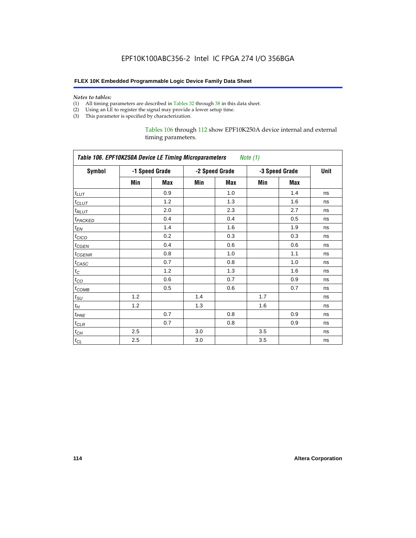#### *Notes to tables:*

- (1) All timing parameters are described in Tables 32 through 38 in this data sheet.
- (2) Using an LE to register the signal may provide a lower setup time.
- (3) This parameter is specified by characterization.

### Tables 106 through 112 show EPF10K250A device internal and external timing parameters.

| Table 106. EPF10K250A Device LE Timing Microparameters<br>Note (1) |     |                |     |                |     |                |    |  |
|--------------------------------------------------------------------|-----|----------------|-----|----------------|-----|----------------|----|--|
| Symbol                                                             |     | -1 Speed Grade |     | -2 Speed Grade |     | -3 Speed Grade |    |  |
|                                                                    | Min | Max            | Min | Max            | Min | Max            |    |  |
| $t_{LUT}$                                                          |     | 0.9            |     | 1.0            |     | 1.4            | ns |  |
| $t_{CLUT}$                                                         |     | 1.2            |     | 1.3            |     | 1.6            | ns |  |
| $t_{RLUT}$                                                         |     | 2.0            |     | 2.3            |     | 2.7            | ns |  |
| t <sub>PACKED</sub>                                                |     | 0.4            |     | 0.4            |     | 0.5            | ns |  |
| $t_{EN}$                                                           |     | 1.4            |     | 1.6            |     | 1.9            | ns |  |
| $t_{CICO}$                                                         |     | 0.2            |     | 0.3            |     | 0.3            | ns |  |
| $t_{GEN}$                                                          |     | 0.4            |     | 0.6            |     | 0.6            | ns |  |
| $t_{\sf GENR}$                                                     |     | 0.8            |     | 1.0            |     | 1.1            | ns |  |
| $t_{CASC}$                                                         |     | 0.7            |     | 0.8            |     | 1.0            | ns |  |
| $t_C$                                                              |     | 1.2            |     | 1.3            |     | 1.6            | ns |  |
| $t_{CO}$                                                           |     | 0.6            |     | 0.7            |     | 0.9            | ns |  |
| $t_{COMB}$                                                         |     | 0.5            |     | 0.6            |     | 0.7            | ns |  |
| $t_{\rm SU}$                                                       | 1.2 |                | 1.4 |                | 1.7 |                | ns |  |
| $t_H$                                                              | 1.2 |                | 1.3 |                | 1.6 |                | ns |  |
| $t_{PRE}$                                                          |     | 0.7            |     | 0.8            |     | 0.9            | ns |  |
| $t_{CLR}$                                                          |     | 0.7            |     | 0.8            |     | 0.9            | ns |  |
| $t_{CH}$                                                           | 2.5 |                | 3.0 |                | 3.5 |                | ns |  |
| $t_{CL}$                                                           | 2.5 |                | 3.0 |                | 3.5 |                | ns |  |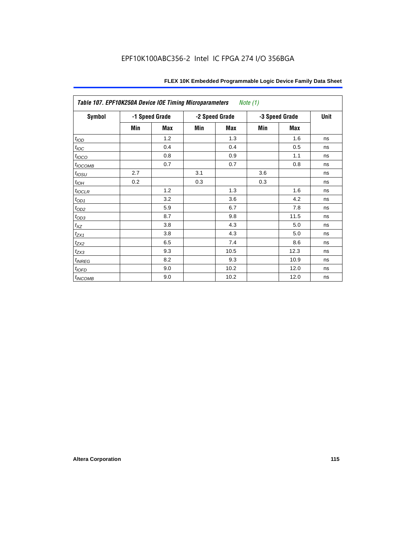| Table 107. EPF10K250A Device IOE Timing Microparameters<br>Note (1) |     |                |                |      |                |            |    |
|---------------------------------------------------------------------|-----|----------------|----------------|------|----------------|------------|----|
| <b>Symbol</b>                                                       |     | -1 Speed Grade | -2 Speed Grade |      | -3 Speed Grade | Unit       |    |
|                                                                     | Min | Max            | Min            | Max  | Min            | <b>Max</b> |    |
| t <sub>IOD</sub>                                                    |     | 1.2            |                | 1.3  |                | 1.6        | ns |
| $t_{\text{IOC}}$                                                    |     | 0.4            |                | 0.4  |                | 0.5        | ns |
| $t_{IOCO}$                                                          |     | 0.8            |                | 0.9  |                | 1.1        | ns |
| $t_{IOCOMB}$                                                        |     | 0.7            |                | 0.7  |                | 0.8        | ns |
| $t_{IOSU}$                                                          | 2.7 |                | 3.1            |      | 3.6            |            | ns |
| $t_{IOH}$                                                           | 0.2 |                | 0.3            |      | 0.3            |            | ns |
| $t_{IOCLR}$                                                         |     | 1.2            |                | 1.3  |                | 1.6        | ns |
| $t_{OD1}$                                                           |     | 3.2            |                | 3.6  |                | 4.2        | ns |
| $t_{OD2}$                                                           |     | 5.9            |                | 6.7  |                | 7.8        | ns |
| $t_{OD3}$                                                           |     | 8.7            |                | 9.8  |                | 11.5       | ns |
| $t_{\mathsf{XZ}}$                                                   |     | 3.8            |                | 4.3  |                | 5.0        | ns |
| $t_{ZX1}$                                                           |     | 3.8            |                | 4.3  |                | 5.0        | ns |
| $t_{ZX2}$                                                           |     | 6.5            |                | 7.4  |                | 8.6        | ns |
| $t_{ZX3}$                                                           |     | 9.3            |                | 10.5 |                | 12.3       | ns |
| $t_{INREG}$                                                         |     | 8.2            |                | 9.3  |                | 10.9       | ns |
| $t_{IOFD}$                                                          |     | 9.0            |                | 10.2 |                | 12.0       | ns |
| $t_{INCOMB}$                                                        |     | 9.0            |                | 10.2 |                | 12.0       | ns |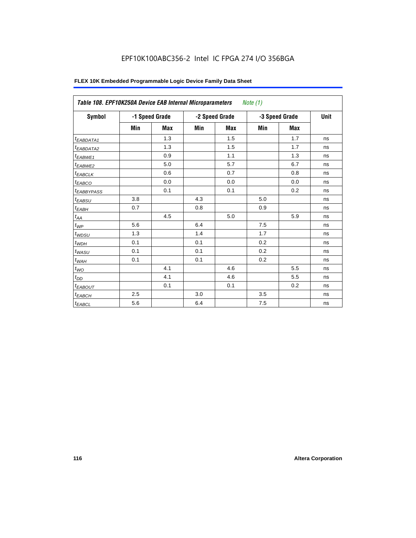| <b>Symbol</b>                |     | -1 Speed Grade |     | -2 Speed Grade | -3 Speed Grade | Unit       |    |
|------------------------------|-----|----------------|-----|----------------|----------------|------------|----|
|                              | Min | Max            | Min | <b>Max</b>     | Min            | <b>Max</b> |    |
| <sup>t</sup> EABDATA1        |     | 1.3            |     | 1.5            |                | 1.7        | ns |
| <sup>t</sup> EABDATA2        |     | 1.3            |     | 1.5            |                | 1.7        | ns |
| <sup>t</sup> EABWE1          |     | 0.9            |     | 1.1            |                | 1.3        | ns |
| <sup>t</sup> EABWE2          |     | 5.0            |     | 5.7            |                | 6.7        | ns |
| <sup>t</sup> EABCLK          |     | 0.6            |     | 0.7            |                | 0.8        | ns |
| <sup>t</sup> EABCO           |     | 0.0            |     | 0.0            |                | 0.0        | ns |
| <sup>t</sup> EABBYPASS       |     | 0.1            |     | 0.1            |                | 0.2        | ns |
| <sup>t</sup> EABSU           | 3.8 |                | 4.3 |                | 5.0            |            | ns |
| t <sub>EABH</sub>            | 0.7 |                | 0.8 |                | 0.9            |            | ns |
| $t_{\mathcal{A}\mathcal{A}}$ |     | 4.5            |     | 5.0            |                | 5.9        | ns |
| $t_{\mathcal{WP}}$           | 5.6 |                | 6.4 |                | 7.5            |            | ns |
| $t_{W\!D\!S\!U}$             | 1.3 |                | 1.4 |                | 1.7            |            | ns |
| $t_{WDH}$                    | 0.1 |                | 0.1 |                | 0.2            |            | ns |
| $t_{WASU}$                   | 0.1 |                | 0.1 |                | 0.2            |            | ns |
| $t_{W\!\!AH}$                | 0.1 |                | 0.1 |                | 0.2            |            | ns |
| $t_{WO}$                     |     | 4.1            |     | 4.6            |                | 5.5        | ns |
| $t_{DD}$                     |     | 4.1            |     | 4.6            |                | 5.5        | ns |
| <b><i>EABOUT</i></b>         |     | 0.1            |     | 0.1            |                | 0.2        | ns |
| <sup>t</sup> ЕАВСН           | 2.5 |                | 3.0 |                | 3.5            |            | ns |
| $t_{EABCL}$                  | 5.6 |                | 6.4 |                | 7.5            |            | ns |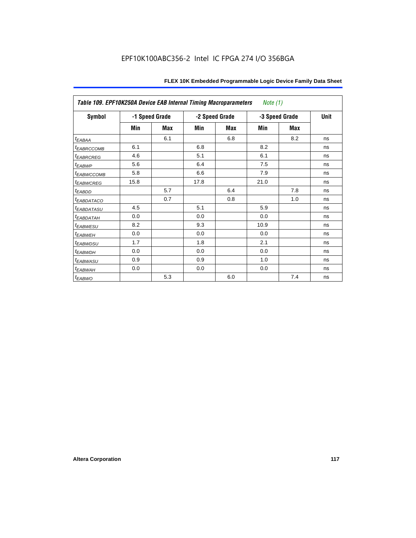| Table 109. EPF10K250A Device EAB Internal Timing Macroparameters<br><i>Note</i> $(1)$ |      |                |                |     |                |             |    |
|---------------------------------------------------------------------------------------|------|----------------|----------------|-----|----------------|-------------|----|
| Symbol                                                                                |      | -1 Speed Grade | -2 Speed Grade |     | -3 Speed Grade | <b>Unit</b> |    |
|                                                                                       | Min  | Max            | Min            | Max | Min            | Max         |    |
| $t_{EABAA}$                                                                           |      | 6.1            |                | 6.8 |                | 8.2         | ns |
| <i>EABRCCOMB</i>                                                                      | 6.1  |                | 6.8            |     | 8.2            |             | ns |
| <sup>t</sup> EABRCREG                                                                 | 4.6  |                | 5.1            |     | 6.1            |             | ns |
| t <sub>EABWP</sub>                                                                    | 5.6  |                | 6.4            |     | 7.5            |             | ns |
| <sup>t</sup> EABWCCOMB                                                                | 5.8  |                | 6.6            |     | 7.9            |             | ns |
| <b><i>EABWCREG</i></b>                                                                | 15.8 |                | 17.8           |     | 21.0           |             | ns |
| t <sub>EABDD</sub>                                                                    |      | 5.7            |                | 6.4 |                | 7.8         | ns |
| <sup>t</sup> EABDATACO                                                                |      | 0.7            |                | 0.8 |                | 1.0         | ns |
| <sup>t</sup> EABDATASU                                                                | 4.5  |                | 5.1            |     | 5.9            |             | ns |
| <sup>t</sup> EABDATAH                                                                 | 0.0  |                | 0.0            |     | 0.0            |             | ns |
| <sup>t</sup> EABWESU                                                                  | 8.2  |                | 9.3            |     | 10.9           |             | ns |
| t <sub>EABWEH</sub>                                                                   | 0.0  |                | 0.0            |     | 0.0            |             | ns |
| t <sub>EABWDSU</sub>                                                                  | 1.7  |                | 1.8            |     | 2.1            |             | ns |
| t <sub>EABWDH</sub>                                                                   | 0.0  |                | 0.0            |     | 0.0            |             | ns |
| <sup>t</sup> EABWASU                                                                  | 0.9  |                | 0.9            |     | 1.0            |             | ns |
| <sup>t</sup> EABWAH                                                                   | 0.0  |                | 0.0            |     | 0.0            |             | ns |
| $t_{EABWO}$                                                                           |      | 5.3            |                | 6.0 |                | 7.4         | ns |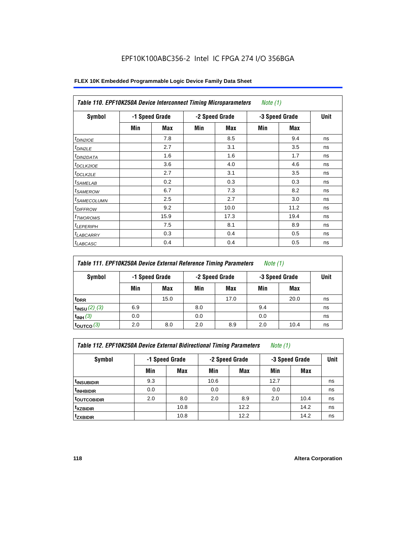| <b>Symbol</b>              |     | -1 Speed Grade |     | -2 Speed Grade |     | -3 Speed Grade | Unit |
|----------------------------|-----|----------------|-----|----------------|-----|----------------|------|
|                            | Min | <b>Max</b>     | Min | Max            | Min | Max            |      |
| <i>t<sub>DIN2IOE</sub></i> |     | 7.8            |     | 8.5            |     | 9.4            | ns   |
| t <sub>DIN2LE</sub>        |     | 2.7            |     | 3.1            |     | 3.5            | ns   |
| <sup>t</sup> DIN2DATA      |     | 1.6            |     | 1.6            |     | 1.7            | ns   |
| <sup>t</sup> DCLK2IOE      |     | 3.6            |     | 4.0            |     | 4.6            | ns   |
| $t_{DCLK2LE}$              |     | 2.7            |     | 3.1            |     | 3.5            | ns   |
| <sup>t</sup> SAMELAB       |     | 0.2            |     | 0.3            |     | 0.3            | ns   |
| <sup>t</sup> SAMEROW       |     | 6.7            |     | 7.3            |     | 8.2            | ns   |
| <sup>t</sup> SAMECOLUMN    |     | 2.5            |     | 2.7            |     | 3.0            | ns   |
| <i>t<sub>DIFFROW</sub></i> |     | 9.2            |     | 10.0           |     | 11.2           | ns   |
| <sup>t</sup> TWOROWS       |     | 15.9           |     | 17.3           |     | 19.4           | ns   |
| <sup>t</sup> LEPERIPH      |     | 7.5            |     | 8.1            |     | 8.9            | ns   |
| <sup>t</sup> LABCARRY      |     | 0.3            |     | 0.4            |     | 0.5            | ns   |
| <sup>t</sup> LABCASC       |     | 0.4            |     | 0.4            |     | 0.5            | ns   |

| Table 111. EPF10K250A Device External Reference Timing Parameters<br><i>Note</i> $(1)$ |     |                |                |      |                |      |             |
|----------------------------------------------------------------------------------------|-----|----------------|----------------|------|----------------|------|-------------|
| Symbol                                                                                 |     | -1 Speed Grade | -2 Speed Grade |      | -3 Speed Grade |      | <b>Unit</b> |
|                                                                                        | Min | Max            | Min            | Max  | Min            | Max  |             |
| t <sub>DRR</sub>                                                                       |     | 15.0           |                | 17.0 |                | 20.0 | ns          |
| $t_{INSU} (2) (3)$                                                                     | 6.9 |                | 8.0            |      | 9.4            |      | ns          |
| $t_{INH}$ (3)                                                                          | 0.0 |                | 0.0            |      | 0.0            |      | ns          |
| $t_{\text{OUTCO}}$ (3)                                                                 | 2.0 | 8.0            | 2.0            | 8.9  | 2.0            | 10.4 | ns          |

| Table 112. EPF10K250A Device External Bidirectional Timing Parameters |  |  | Note (1) |  |
|-----------------------------------------------------------------------|--|--|----------|--|
|-----------------------------------------------------------------------|--|--|----------|--|

| Symbol                  | -1 Speed Grade |      |      | -2 Speed Grade | -3 Speed Grade | <b>Unit</b> |    |  |
|-------------------------|----------------|------|------|----------------|----------------|-------------|----|--|
|                         | Min            | Max  | Min  | <b>Max</b>     | Min            | <b>Max</b>  |    |  |
| <sup>t</sup> insubidir  | 9.3            |      | 10.6 |                | 12.7           |             | ns |  |
| <sup>t</sup> INHBIDIR   | 0.0            |      | 0.0  |                | 0.0            |             | ns |  |
| <sup>t</sup> OUTCOBIDIR | 2.0            | 8.0  | 2.0  | 8.9            | 2.0            | 10.4        | ns |  |
| <sup>t</sup> xzbidir    |                | 10.8 |      | 12.2           |                | 14.2        | ns |  |
| <sup>t</sup> zxbidir    |                | 10.8 |      | 12.2           |                | 14.2        | ns |  |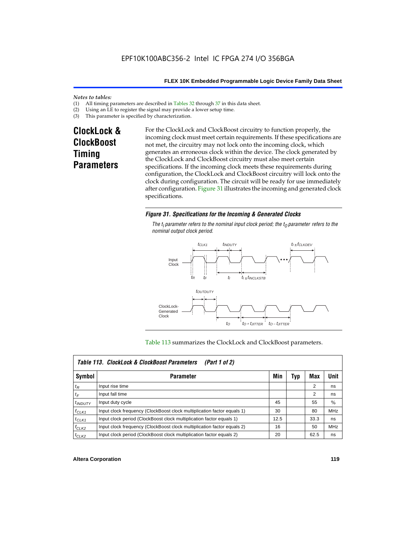#### *Notes to tables:*

- (1) All timing parameters are described in Tables  $32$  through  $37$  in this data sheet.<br>(2) Using an LE to register the signal may provide a lower setup time.
- (2) Using an LE to register the signal may provide a lower setup time.<br>(3) This parameter is specified by characterization.
- This parameter is specified by characterization.

# **ClockLock & ClockBoost Timing Parameters**

For the ClockLock and ClockBoost circuitry to function properly, the incoming clock must meet certain requirements. If these specifications are not met, the circuitry may not lock onto the incoming clock, which generates an erroneous clock within the device. The clock generated by the ClockLock and ClockBoost circuitry must also meet certain specifications. If the incoming clock meets these requirements during configuration, the ClockLock and ClockBoost circuitry will lock onto the clock during configuration. The circuit will be ready for use immediately after configuration. Figure 31 illustrates the incoming and generated clock specifications.

#### *Figure 31. Specifications for the Incoming & Generated Clocks*

The  $t_i$  parameter refers to the nominal input clock period; the  $t_0$  parameter refers to the *nominal output clock period.*



#### Table 113 summarizes the ClockLock and ClockBoost parameters.

|              | Table 113. ClockLock & ClockBoost Parameters<br>(Part 1 of 2)           |      |     |                |            |  |  |  |
|--------------|-------------------------------------------------------------------------|------|-----|----------------|------------|--|--|--|
| Symbol       | <b>Parameter</b>                                                        | Min  | Typ | Max            | Unit       |  |  |  |
| $t_{R}$      | Input rise time                                                         |      |     | $\overline{2}$ | ns         |  |  |  |
| $t_F$        | Input fall time                                                         |      |     | 2              | ns         |  |  |  |
| $t_{INDUTY}$ | Input duty cycle                                                        | 45   |     | 55             | $\%$       |  |  |  |
| $f_{CLK1}$   | Input clock frequency (ClockBoost clock multiplication factor equals 1) | 30   |     | 80             | <b>MHz</b> |  |  |  |
| $t$ CLK1     | Input clock period (ClockBoost clock multiplication factor equals 1)    | 12.5 |     | 33.3           | ns         |  |  |  |
| $f_{CLK2}$   | Input clock frequency (ClockBoost clock multiplication factor equals 2) | 16   |     | 50             | <b>MHz</b> |  |  |  |
| $t_{CLK2}$   | Input clock period (ClockBoost clock multiplication factor equals 2)    | 20   |     | 62.5           | ns         |  |  |  |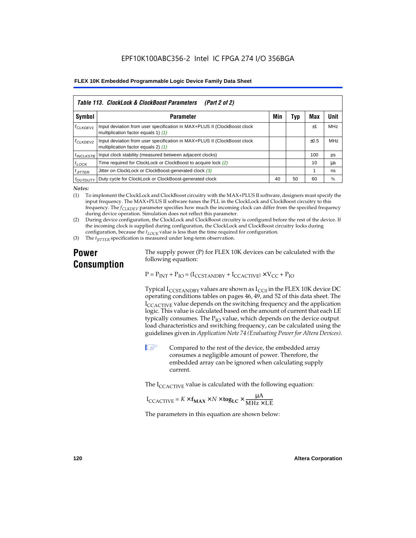| Table 113. ClockLock & ClockBoost Parameters<br>(Part 2 of 2) |                                                                                                                 |     |     |           |            |  |  |  |
|---------------------------------------------------------------|-----------------------------------------------------------------------------------------------------------------|-----|-----|-----------|------------|--|--|--|
| Symbol                                                        | <b>Parameter</b>                                                                                                | Min | Typ | Max       | Unit       |  |  |  |
| f <sub>CLKDEV1</sub>                                          | Input deviation from user specification in MAX+PLUS II (ClockBoost clock<br>multiplication factor equals 1) (1) |     |     | $+1$      | <b>MHz</b> |  |  |  |
| <sup>f</sup> CLKDEV2                                          | Input deviation from user specification in MAX+PLUS II (ClockBoost clock<br>multiplication factor equals 2) (1) |     |     | $\pm 0.5$ | <b>MHz</b> |  |  |  |
| <sup>t</sup> INCLKSTB                                         | Input clock stability (measured between adjacent clocks)                                                        |     |     | 100       | ps         |  |  |  |
| $t_{LOCK}$                                                    | Time required for ClockLock or ClockBoost to acquire lock (2)                                                   |     |     | 10        | μs         |  |  |  |
| $t_{JITTER}$                                                  | Jitter on ClockLock or ClockBoost-generated clock (3)                                                           |     |     |           | ns         |  |  |  |
| <i>toutbuty</i>                                               | Duty cycle for ClockLock or ClockBoost-generated clock                                                          | 40  | 50  | 60        | %          |  |  |  |

*Notes:*

(1) To implement the ClockLock and ClockBoost circuitry with the MAX+PLUS II software, designers must specify the input frequency. The MAX+PLUS II software tunes the PLL in the ClockLock and ClockBoost circuitry to this frequency. The *fCLKDEV* parameter specifies how much the incoming clock can differ from the specified frequency during device operation. Simulation does not reflect this parameter.

(2) During device configuration, the ClockLock and ClockBoost circuitry is configured before the rest of the device. If the incoming clock is supplied during configuration, the ClockLock and ClockBoost circuitry locks during configuration, because the  $t_{LOCK}$  value is less than the time required for configuration.

(3) The *t<sub>IITTER</sub>* specification is measured under long-term observation.

# **Power Consumption**

The supply power (P) for FLEX 10K devices can be calculated with the following equation:

 $P = P_{INT} + P_{IO} = (I_{CCSTANDBY} + I_{CCACTIVE}) \times V_{CC} + P_{IO}$ 

Typical  $I_{CCSTANDBY}$  values are shown as  $I_{CC0}$  in the FLEX 10K device DC operating conditions tables on pages 46, 49, and 52 of this data sheet. The  $I_{\text{CCACTIVE}}$  value depends on the switching frequency and the application logic. This value is calculated based on the amount of current that each LE typically consumes. The  $P_{IO}$  value, which depends on the device output load characteristics and switching frequency, can be calculated using the guidelines given in *Application Note 74 (Evaluating Power for Altera Devices)*.

 $\Box$  Compared to the rest of the device, the embedded array consumes a negligible amount of power. Therefore, the embedded array can be ignored when calculating supply current.

The  $I_{\text{CCACTIVE}}$  value is calculated with the following equation:

$$
I_{\text{CCACTIVE}} = K \times f_{\text{MAX}} \times N \times \text{tog}_{\text{LC}} \times \frac{\mu A}{\text{MHz} \times \text{LE}}
$$

The parameters in this equation are shown below: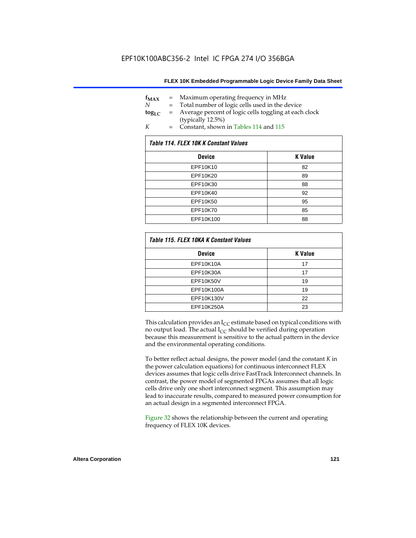| $f_{MAX}$  | $=$ | Maximum operating frequency in MHz                    |
|------------|-----|-------------------------------------------------------|
| N          |     | Total number of logic cells used in the device        |
| $log_{LC}$ | $=$ | Average percent of logic cells toggling at each clock |
|            |     | (typically 12.5%)                                     |
| K          | $=$ | Constant, shown in Tables 114 and 115                 |

| Table 114. FLEX 10K K Constant Values |                |  |  |  |  |
|---------------------------------------|----------------|--|--|--|--|
| <b>Device</b>                         | <b>K</b> Value |  |  |  |  |
| EPF10K10                              | 82             |  |  |  |  |
| EPF10K20                              | 89             |  |  |  |  |
| EPF10K30                              | 88             |  |  |  |  |
| EPF10K40                              | 92             |  |  |  |  |
| EPF10K50                              | 95             |  |  |  |  |
| EPF10K70                              | 85             |  |  |  |  |
| EPF10K100                             | 88             |  |  |  |  |

| Table 115. FLEX 10KA K Constant Values |                |
|----------------------------------------|----------------|
| <b>Device</b>                          | <b>K</b> Value |
| <b>EPF10K10A</b>                       | 17             |
| EPF10K30A                              | 17             |
| EPF10K50V                              | 19             |
| EPF10K100A                             | 19             |
| EPF10K130V                             | 22             |
| EPF10K250A                             | 23             |

This calculation provides an  $I_{CC}$  estimate based on typical conditions with no output load. The actual  $I_{CC}$  should be verified during operation because this measurement is sensitive to the actual pattern in the device and the environmental operating conditions.

To better reflect actual designs, the power model (and the constant *K* in the power calculation equations) for continuous interconnect FLEX devices assumes that logic cells drive FastTrack Interconnect channels. In contrast, the power model of segmented FPGAs assumes that all logic cells drive only one short interconnect segment. This assumption may lead to inaccurate results, compared to measured power consumption for an actual design in a segmented interconnect FPGA.

Figure 32 shows the relationship between the current and operating frequency of FLEX 10K devices.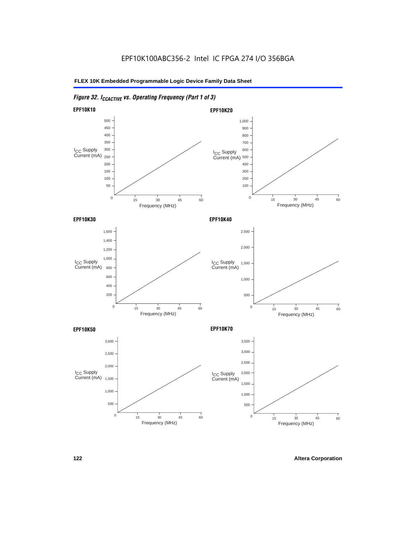# *Figure 32. ICCACTIVE vs. Operating Frequency (Part 1 of 3)*

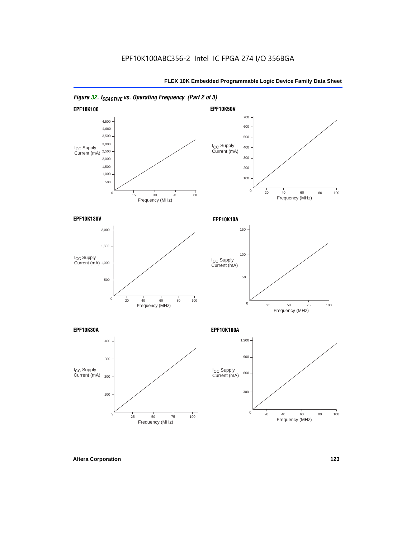

# *Figure 32. ICCACTIVE vs. Operating Frequency (Part 2 of 3)*

**Altera Corporation 123**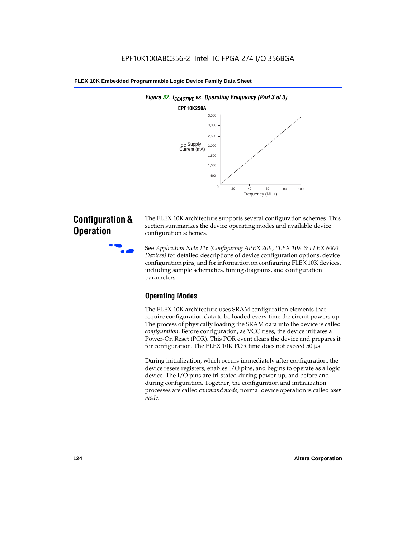

# **Configuration & Operation**

The FLEX 10K architecture supports several configuration schemes. This section summarizes the device operating modes and available device configuration schemes.

f See *Application Note 116 (Configuring APEX 20K, FLEX 10K & FLEX 6000 Devices)* for detailed descriptions of device configuration options, device configuration pins, and for information on configuring FLEX 10K devices, including sample schematics, timing diagrams, and configuration parameters.

# **Operating Modes**

The FLEX 10K architecture uses SRAM configuration elements that require configuration data to be loaded every time the circuit powers up. The process of physically loading the SRAM data into the device is called *configuration*. Before configuration, as VCC rises, the device initiates a Power-On Reset (POR). This POR event clears the device and prepares it for configuration. The FLEX 10K POR time does not exceed 50 µs.

During initialization, which occurs immediately after configuration, the device resets registers, enables I/O pins, and begins to operate as a logic device. The I/O pins are tri-stated during power-up, and before and during configuration. Together, the configuration and initialization processes are called *command mode*; normal device operation is called *user mode*.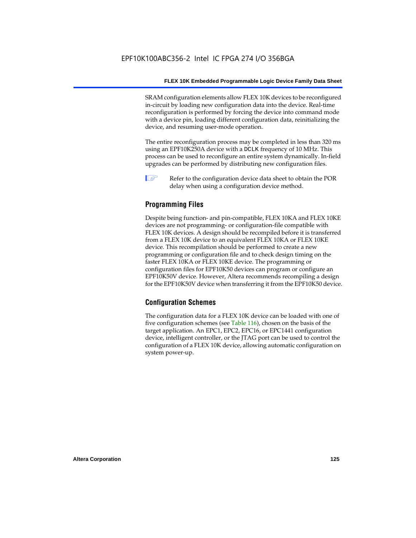SRAM configuration elements allow FLEX 10K devices to be reconfigured in-circuit by loading new configuration data into the device. Real-time reconfiguration is performed by forcing the device into command mode with a device pin, loading different configuration data, reinitializing the device, and resuming user-mode operation.

The entire reconfiguration process may be completed in less than 320 ms using an EPF10K250A device with a DCLK frequency of 10 MHz. This process can be used to reconfigure an entire system dynamically. In-field upgrades can be performed by distributing new configuration files.

 $\Box$  Refer to the configuration device data sheet to obtain the POR delay when using a configuration device method.

## **Programming Files**

Despite being function- and pin-compatible, FLEX 10KA and FLEX 10KE devices are not programming- or configuration-file compatible with FLEX 10K devices. A design should be recompiled before it is transferred from a FLEX 10K device to an equivalent FLEX 10KA or FLEX 10KE device. This recompilation should be performed to create a new programming or configuration file and to check design timing on the faster FLEX 10KA or FLEX 10KE device. The programming or configuration files for EPF10K50 devices can program or configure an EPF10K50V device. However, Altera recommends recompiling a design for the EPF10K50V device when transferring it from the EPF10K50 device.

### **Configuration Schemes**

The configuration data for a FLEX 10K device can be loaded with one of five configuration schemes (see Table 116), chosen on the basis of the target application. An EPC1, EPC2, EPC16, or EPC1441 configuration device, intelligent controller, or the JTAG port can be used to control the configuration of a FLEX 10K device, allowing automatic configuration on system power-up.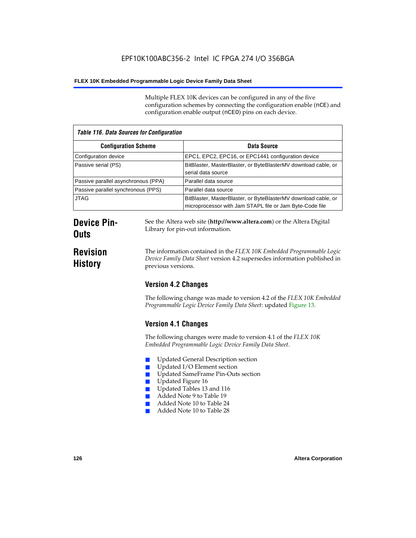Multiple FLEX 10K devices can be configured in any of the five configuration schemes by connecting the configuration enable (nCE) and configuration enable output (nCEO) pins on each device.

| <b>Table 116. Data Sources for Configuration</b> |                                                                                                                            |  |
|--------------------------------------------------|----------------------------------------------------------------------------------------------------------------------------|--|
| <b>Configuration Scheme</b>                      | Data Source                                                                                                                |  |
| Configuration device                             | EPC1, EPC2, EPC16, or EPC1441 configuration device                                                                         |  |
| Passive serial (PS)                              | BitBlaster, MasterBlaster, or ByteBlasterMV download cable, or<br>serial data source                                       |  |
| Passive parallel asynchronous (PPA)              | Parallel data source                                                                                                       |  |
| Passive parallel synchronous (PPS)               | Parallel data source                                                                                                       |  |
| <b>JTAG</b>                                      | BitBlaster, MasterBlaster, or ByteBlasterMV download cable, or<br>microprocessor with Jam STAPL file or Jam Byte-Code file |  |

# **Device Pin-Outs**

# **Revision History**

The information contained in the *FLEX 10K Embedded Programmable Logic Device Family Data Sheet* version 4.2 supersedes information published in

See the Altera web site (**http://www.altera.com**) or the Altera Digital

# **Version 4.2 Changes**

previous versions.

Library for pin-out information.

The following change was made to version 4.2 of the *FLEX 10K Embedded Programmable Logic Device Family Data Sheet*: updated Figure 13.

# **Version 4.1 Changes**

The following changes were made to version 4.1 of the *FLEX 10K Embedded Programmable Logic Device Family Data Sheet*.

- Updated General Description section
- Updated I/O Element section
- Updated SameFrame Pin-Outs section
- Updated Figure 16
- Updated Tables 13 and 116
- Added Note 9 to Table 19
- Added Note 10 to Table 24
- Added Note 10 to Table 28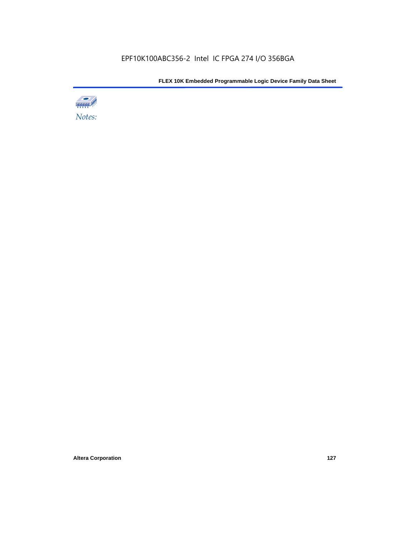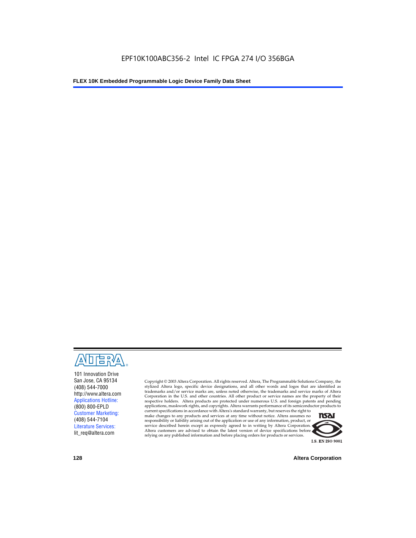

101 Innovation Drive San Jose, CA 95134 (408) 544-7000 http://www.altera.com Applications Hotline: (800) 800-EPLD Customer Marketing: (408) 544-7104 Literature Services: lit\_req@altera.com

Copyright © 2003 Altera Corporation. All rights reserved. Altera, The Programmable Solutions Company, the stylized Altera logo, specific device designations, and all other words and logos that are identified as trademarks and/or service marks are, unless noted otherwise, the trademarks and service marks of Altera Corporation in the U.S. and other countries. All other product or service names are the property of their respective holders. Altera products are protected under numerous U.S. and foreign patents and pending applications, maskwork rights, and copyrights. Altera warrants performance of its semiconductor products to

current specifications in accordance with Altera's standard warranty, but reserves the right to make changes to any products and services at any time without notice. Altera assumes no responsibility or liability arising out of the application or use of any information, product, or service described herein except as expressly agreed to in writing by Altera Corporation. Altera customers are advised to obtain the latest version of device specifications before relying on any published information and before placing orders for products or services.